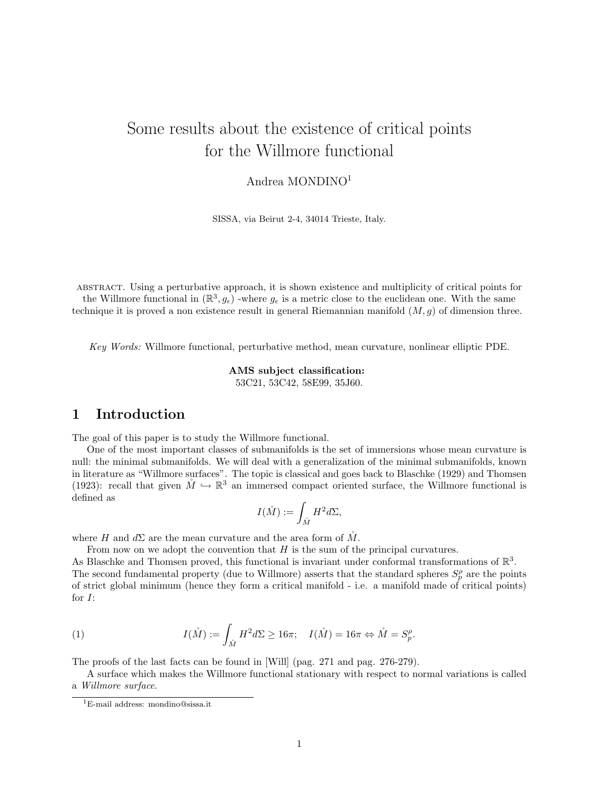# Some results about the existence of critical points for the Willmore functional

### Andrea MONDINO<sup>1</sup>

SISSA, via Beirut 2-4, 34014 Trieste, Italy.

abstract. Using a perturbative approach, it is shown existence and multiplicity of critical points for the Willmore functional in  $(\mathbb{R}^3, g_{\epsilon})$  -where  $g_{\epsilon}$  is a metric close to the euclidean one. With the same technique it is proved a non existence result in general Riemannian manifold  $(M, g)$  of dimension three.

Key Words: Willmore functional, perturbative method, mean curvature, nonlinear elliptic PDE.

AMS subject classification: 53C21, 53C42, 58E99, 35J60.

## 1 Introduction

The goal of this paper is to study the Willmore functional.

One of the most important classes of submanifolds is the set of immersions whose mean curvature is null: the minimal submanifolds. We will deal with a generalization of the minimal submanifolds, known in literature as "Willmore surfaces". The topic is classical and goes back to Blaschke (1929) and Thomsen (1923): recall that given  $\mathring{M} \hookrightarrow \mathbb{R}^3$  an immersed compact oriented surface, the Willmore functional is defined as

$$
I(\mathring{M}):=\int_{\mathring{M}}H^2d\Sigma,
$$

where H and  $d\Sigma$  are the mean curvature and the area form of  $\tilde{M}$ .

From now on we adopt the convention that H is the sum of the principal curvatures.

As Blaschke and Thomsen proved, this functional is invariant under conformal transformations of  $\mathbb{R}^3$ . The second fundamental property (due to Willmore) asserts that the standard spheres  $S_p^{\rho}$  are the points of strict global minimum (hence they form a critical manifold - i.e. a manifold made of critical points) for I:

(1) 
$$
I(\stackrel{\circ}{M}) := \int_{\stackrel{\circ}{M}} H^2 d\Sigma \ge 16\pi; \quad I(\stackrel{\circ}{M}) = 16\pi \Leftrightarrow \stackrel{\circ}{M} = S_p^{\rho}.
$$

The proofs of the last facts can be found in [Will] (pag. 271 and pag. 276-279).

A surface which makes the Willmore functional stationary with respect to normal variations is called a Willmore surface.

<sup>1</sup>E-mail address: mondino@sissa.it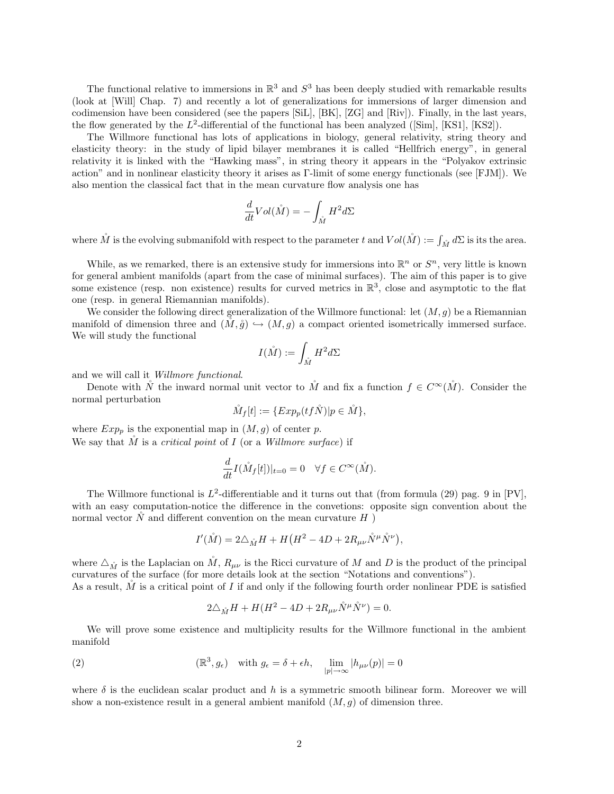The functional relative to immersions in  $\mathbb{R}^3$  and  $S^3$  has been deeply studied with remarkable results (look at [Will] Chap. 7) and recently a lot of generalizations for immersions of larger dimension and codimension have been considered (see the papers [SiL], [BK], [ZG] and [Riv]). Finally, in the last years, the flow generated by the  $L^2$ -differential of the functional has been analyzed ([Sim], [KS1], [KS2]).

The Willmore functional has lots of applications in biology, general relativity, string theory and elasticity theory: in the study of lipid bilayer membranes it is called "Hellfrich energy", in general relativity it is linked with the "Hawking mass", in string theory it appears in the "Polyakov extrinsic action" and in nonlinear elasticity theory it arises as Γ-limit of some energy functionals (see [FJM]). We also mention the classical fact that in the mean curvature flow analysis one has

$$
\frac{d}{dt} Vol(\stackrel{\circ}{M}) = - \int_{\stackrel{\circ}{M}} H^2 d\Sigma
$$

where  $\mathring{M}$  is the evolving submanifold with respect to the parameter t and  $Vol(\mathring{M}) := \int_{\mathring{M}} d\Sigma$  is its the area.

While, as we remarked, there is an extensive study for immersions into  $\mathbb{R}^n$  or  $S^n$ , very little is known for general ambient manifolds (apart from the case of minimal surfaces). The aim of this paper is to give some existence (resp. non existence) results for curved metrics in  $\mathbb{R}^3$ , close and asymptotic to the flat one (resp. in general Riemannian manifolds).

We consider the following direct generalization of the Willmore functional: let  $(M, q)$  be a Riemannian manifold of dimension three and  $(M, \mathring{g}) \hookrightarrow (M, g)$  a compact oriented isometrically immersed surface. We will study the functional

$$
I(\mathring{M}):=\int_{\mathring{M}}H^2d\Sigma
$$

and we will call it Willmore functional.

Denote with  $\mathring{N}$  the inward normal unit vector to  $\mathring{M}$  and fix a function  $f \in C^{\infty}(\mathring{M})$ . Consider the normal perturbation

$$
\tilde{M}_f[t] := \{ Exp_p(tf\tilde{N}) | p \in \tilde{M} \},
$$

where  $Exp_p$  is the exponential map in  $(M, g)$  of center p. We say that  $\tilde{M}$  is a *critical point* of  $I$  (or a *Willmore surface*) if

$$
\frac{d}{dt}I(\mathring{M}_f[t])|_{t=0} = 0 \quad \forall f \in C^{\infty}(\mathring{M}).
$$

The Willmore functional is  $L^2$ -differentiable and it turns out that (from formula (29) pag. 9 in [PV], with an easy computation-notice the difference in the convetions: opposite sign convention about the normal vector  $\tilde{N}$  and different convention on the mean curvature  $H$ )

$$
I'(\mathring{M}) = 2\triangle_{\mathring{M}}H + H\left(H^2 - 4D + 2R_{\mu\nu}\mathring{N}^{\mu}\mathring{N}^{\nu}\right),
$$

where  $\Delta_{\hat{M}}$  is the Laplacian on  $\hat{M}$ ,  $R_{\mu\nu}$  is the Ricci curvature of M and D is the product of the principal curvatures of the surface (for more details look at the section "Notations and conventions"). As a result,  $\tilde{M}$  is a critical point of I if and only if the following fourth order nonlinear PDE is satisfied

$$
2\triangle_{\mathring{M}}H + H(H^2 - 4D + 2R_{\mu\nu}\mathring{N}^{\mu}\mathring{N}^{\nu}) = 0.
$$

We will prove some existence and multiplicity results for the Willmore functional in the ambient manifold

(2) 
$$
(\mathbb{R}^3, g_{\epsilon}) \text{ with } g_{\epsilon} = \delta + \epsilon h, \quad \lim_{|p| \to \infty} |h_{\mu\nu}(p)| = 0
$$

where  $\delta$  is the euclidean scalar product and h is a symmetric smooth bilinear form. Moreover we will show a non-existence result in a general ambient manifold  $(M, g)$  of dimension three.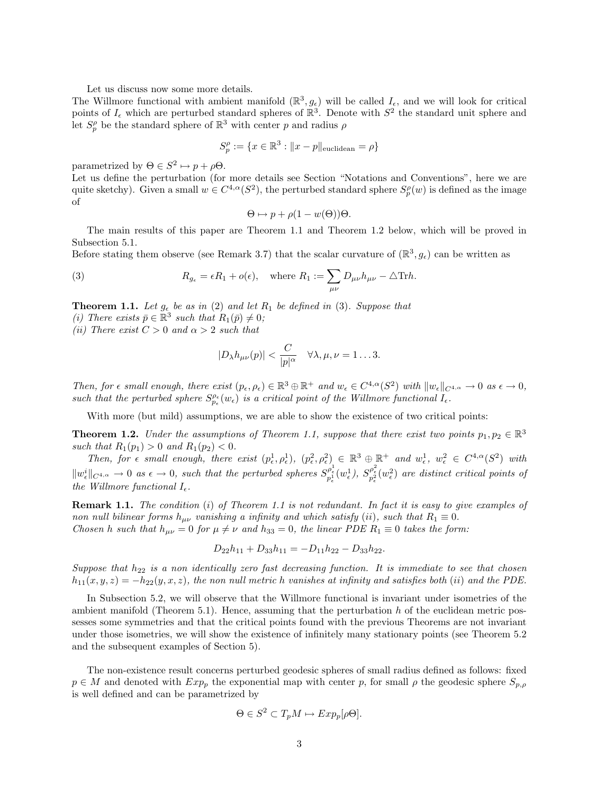Let us discuss now some more details.

The Willmore functional with ambient manifold  $(\mathbb{R}^3, g_{\epsilon})$  will be called  $I_{\epsilon}$ , and we will look for critical points of  $I_{\epsilon}$  which are perturbed standard spheres of  $\mathbb{R}^3$ . Denote with  $S^2$  the standard unit sphere and let  $S_p^{\rho}$  be the standard sphere of  $\mathbb{R}^3$  with center p and radius  $\rho$ 

$$
S_p^{\rho} := \{ x \in \mathbb{R}^3 : ||x - p||_{\text{euclidean}} = \rho \}
$$

parametrized by  $\Theta \in S^2 \mapsto p + \rho \Theta$ .

Let us define the perturbation (for more details see Section "Notations and Conventions", here we are quite sketchy). Given a small  $w \in C^{4,\alpha}(S^2)$ , the perturbed standard sphere  $S_p^{\rho}(w)$  is defined as the image of

$$
\Theta \mapsto p + \rho(1 - w(\Theta))\Theta.
$$

The main results of this paper are Theorem 1.1 and Theorem 1.2 below, which will be proved in Subsection 5.1.

Before stating them observe (see Remark 3.7) that the scalar curvature of  $(\mathbb{R}^3, g_{\epsilon})$  can be written as

(3) 
$$
R_{g_{\epsilon}} = \epsilon R_1 + o(\epsilon), \text{ where } R_1 := \sum_{\mu\nu} D_{\mu\nu} h_{\mu\nu} - \Delta \text{Tr} h.
$$

**Theorem 1.1.** Let  $g_{\epsilon}$  be as in (2) and let  $R_1$  be defined in (3). Suppose that

(i) There exists  $\bar{p} \in \mathbb{R}^3$  such that  $R_1(\bar{p}) \neq 0$ ;

(ii) There exist  $C > 0$  and  $\alpha > 2$  such that

$$
|D_{\lambda}h_{\mu\nu}(p)| < \frac{C}{|p|^{\alpha}} \quad \forall \lambda, \mu, \nu = 1 \dots 3.
$$

Then, for  $\epsilon$  small enough, there exist  $(p_{\epsilon}, \rho_{\epsilon}) \in \mathbb{R}^3 \oplus \mathbb{R}^+$  and  $w_{\epsilon} \in C^{4,\alpha}(S^2)$  with  $||w_{\epsilon}||_{C^{4,\alpha}} \to 0$  as  $\epsilon \to 0$ , such that the perturbed sphere  $S_{p_{\epsilon}}^{\rho_{\epsilon}}(w_{\epsilon})$  is a critical point of the Willmore functional  $I_{\epsilon}$ .

With more (but mild) assumptions, we are able to show the existence of two critical points:

**Theorem 1.2.** Under the assumptions of Theorem 1.1, suppose that there exist two points  $p_1, p_2 \in \mathbb{R}^3$ such that  $R_1(p_1) > 0$  and  $R_1(p_2) < 0$ .

Then, for  $\epsilon$  small enough, there exist  $(p_{\epsilon}^1, \rho_{\epsilon}^1), (p_{\epsilon}^2, \rho_{\epsilon}^2) \in \mathbb{R}^3 \oplus \mathbb{R}^+$  and  $w_{\epsilon}^1, w_{\epsilon}^2 \in C^{4,\alpha}(S^2)$  with  $\|w_{\epsilon}^i\|_{C^{4,\alpha}} \to 0$  as  $\epsilon \to 0$ , such that the perturbed spheres  $S_{p_{\epsilon}^1}^{\rho_{\epsilon}^1}(w_{\epsilon}^1), S_{p_{\epsilon}^2}^{\rho_{\epsilon}^2}(w_{\epsilon}^2)$  are distinct critical points of the Willmore functional  $I_{\epsilon}$ .

**Remark 1.1.** The condition (i) of Theorem 1.1 is not redundant. In fact it is easy to give examples of non null bilinear forms  $h_{\mu\nu}$  vanishing a infinity and which satisfy (ii), such that  $R_1 \equiv 0$ . Chosen h such that  $h_{\mu\nu} = 0$  for  $\mu \neq \nu$  and  $h_{33} = 0$ , the linear PDE  $R_1 \equiv 0$  takes the form:

$$
D_{22}h_{11} + D_{33}h_{11} = -D_{11}h_{22} - D_{33}h_{22}.
$$

Suppose that  $h_{22}$  is a non identically zero fast decreasing function. It is immediate to see that chosen  $h_{11}(x, y, z) = -h_{22}(y, x, z)$ , the non null metric h vanishes at infinity and satisfies both (ii) and the PDE.

In Subsection 5.2, we will observe that the Willmore functional is invariant under isometries of the ambient manifold (Theorem 5.1). Hence, assuming that the perturbation  $h$  of the euclidean metric possesses some symmetries and that the critical points found with the previous Theorems are not invariant under those isometries, we will show the existence of infinitely many stationary points (see Theorem 5.2 and the subsequent examples of Section 5).

The non-existence result concerns perturbed geodesic spheres of small radius defined as follows: fixed  $p \in M$  and denoted with  $Exp_p$  the exponential map with center p, for small  $\rho$  the geodesic sphere  $S_{p,\rho}$ is well defined and can be parametrized by

$$
\Theta \in S^2 \subset T_p M \mapsto Exp_p[\rho \Theta].
$$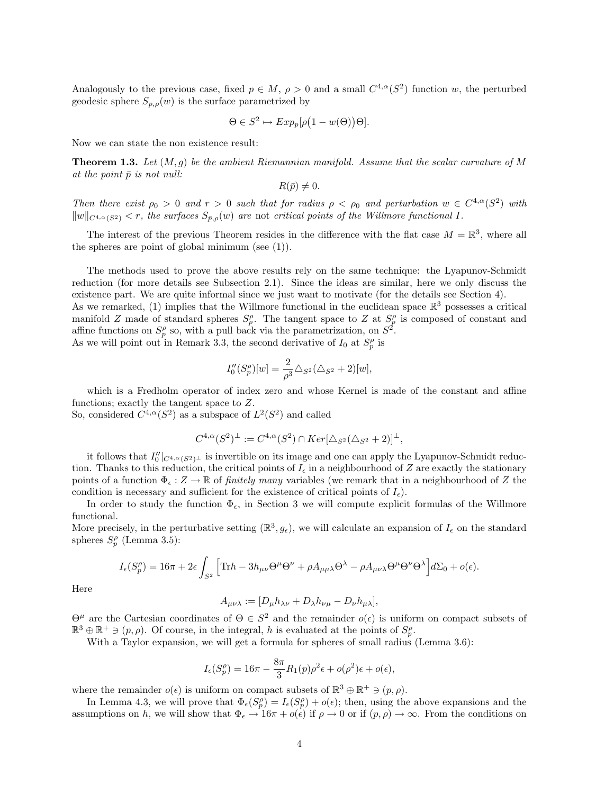Analogously to the previous case, fixed  $p \in M$ ,  $\rho > 0$  and a small  $C^{4,\alpha}(S^2)$  function w, the perturbed geodesic sphere  $S_{p,\rho}(w)$  is the surface parametrized by

$$
\Theta \in S^2 \mapsto Exp_p[\rho(1 - w(\Theta))\Theta].
$$

Now we can state the non existence result:

**Theorem 1.3.** Let  $(M, g)$  be the ambient Riemannian manifold. Assume that the scalar curvature of M at the point  $\bar{p}$  is not null:

$$
R(\bar{p})\neq 0.
$$

Then there exist  $\rho_0 > 0$  and  $r > 0$  such that for radius  $\rho < \rho_0$  and perturbation  $w \in C^{4,\alpha}(S^2)$  with  $\|w\|_{C^{4,\alpha}(S^2)} < r$ , the surfaces  $S_{\bar{p},\rho}(w)$  are not critical points of the Willmore functional I.

The interest of the previous Theorem resides in the difference with the flat case  $M = \mathbb{R}^3$ , where all the spheres are point of global minimum (see  $(1)$ ).

The methods used to prove the above results rely on the same technique: the Lyapunov-Schmidt reduction (for more details see Subsection 2.1). Since the ideas are similar, here we only discuss the existence part. We are quite informal since we just want to motivate (for the details see Section 4). As we remarked, (1) implies that the Willmore functional in the euclidean space  $\mathbb{R}^3$  possesses a critical

manifold Z made of standard spheres  $S_p^{\rho}$ . The tangent space to Z at  $S_p^{\rho}$  is composed of constant and affine functions on  $S_p^{\rho}$  so, with a pull back via the parametrization, on  $S^2$ .

As we will point out in Remark 3.3, the second derivative of  $I_0$  at  $S_p^{\rho}$  is

$$
I_0''(S_p^{\rho})[w] = \frac{2}{\rho^3} \triangle_{S^2} (\triangle_{S^2} + 2)[w],
$$

which is a Fredholm operator of index zero and whose Kernel is made of the constant and affine functions; exactly the tangent space to Z.

So, considered  $C^{4,\alpha}(S^2)$  as a subspace of  $L^2(S^2)$  and called

$$
C^{4,\alpha}(S^2)^{\perp} := C^{4,\alpha}(S^2) \cap Ker[\Delta_{S^2}(\Delta_{S^2} + 2)]^{\perp},
$$

it follows that  $I_0''|_{C^{4,\alpha}(S^2)^{\perp}}$  is invertible on its image and one can apply the Lyapunov-Schmidt reduction. Thanks to this reduction, the critical points of  $I_{\epsilon}$  in a neighbourhood of Z are exactly the stationary points of a function  $\Phi_{\epsilon}: Z \to \mathbb{R}$  of *finitely many* variables (we remark that in a neighbourhood of Z the condition is necessary and sufficient for the existence of critical points of  $I_{\epsilon}$ ).

In order to study the function  $\Phi_{\epsilon}$ , in Section 3 we will compute explicit formulas of the Willmore functional.

More precisely, in the perturbative setting  $(\mathbb{R}^3, g_{\epsilon})$ , we will calculate an expansion of  $I_{\epsilon}$  on the standard spheres  $S_p^{\rho}$  (Lemma 3.5):

$$
I_{\epsilon}(S_{p}^{\rho}) = 16\pi + 2\epsilon \int_{S^{2}} \left[ \text{Tr}h - 3h_{\mu\nu}\Theta^{\mu}\Theta^{\nu} + \rho A_{\mu\mu\lambda}\Theta^{\lambda} - \rho A_{\mu\nu\lambda}\Theta^{\mu}\Theta^{\nu}\Theta^{\lambda} \right] d\Sigma_{0} + o(\epsilon).
$$

Here

$$
A_{\mu\nu\lambda} := [D_{\mu}h_{\lambda\nu} + D_{\lambda}h_{\nu\mu} - D_{\nu}h_{\mu\lambda}],
$$

 $\Theta^{\mu}$  are the Cartesian coordinates of  $\Theta \in S^2$  and the remainder  $o(\epsilon)$  is uniform on compact subsets of  $\mathbb{R}^3 \oplus \mathbb{R}^+ \ni (p, \rho)$ . Of course, in the integral, h is evaluated at the points of  $S_p^{\rho}$ .

With a Taylor expansion, we will get a formula for spheres of small radius (Lemma 3.6):

$$
I_{\epsilon}(S_{p}^{\rho}) = 16\pi - \frac{8\pi}{3}R_{1}(p)\rho^{2}\epsilon + o(\rho^{2})\epsilon + o(\epsilon),
$$

where the remainder  $o(\epsilon)$  is uniform on compact subsets of  $\mathbb{R}^3 \oplus \mathbb{R}^+ \ni (p, \rho)$ .

In Lemma 4.3, we will prove that  $\Phi_{\epsilon}(S_p^{\rho}) = I_{\epsilon}(S_p^{\rho}) + o(\epsilon)$ ; then, using the above expansions and the assumptions on h, we will show that  $\Phi_{\epsilon} \to 16\pi + o(\epsilon)$  if  $\rho \to 0$  or if  $(p, \rho) \to \infty$ . From the conditions on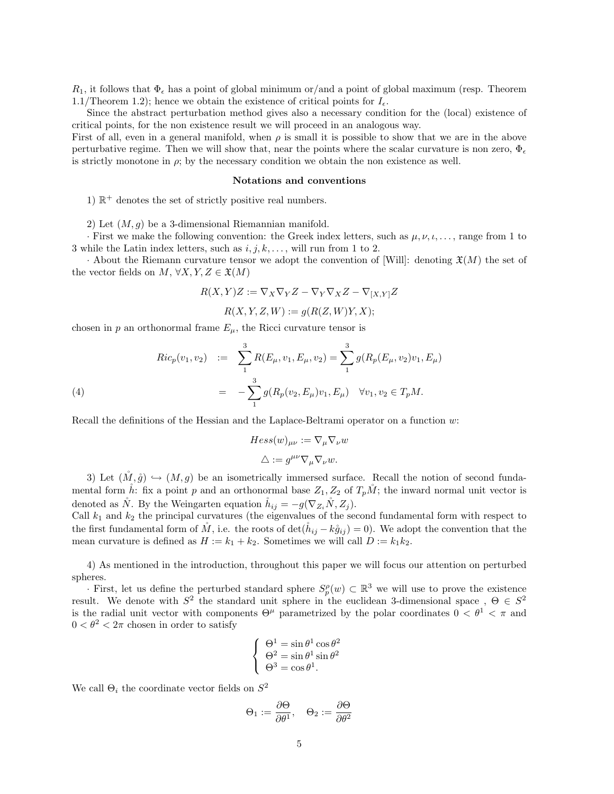$R_1$ , it follows that  $\Phi_{\epsilon}$  has a point of global minimum or/and a point of global maximum (resp. Theorem 1.1/Theorem 1.2); hence we obtain the existence of critical points for  $I_{\epsilon}$ .

Since the abstract perturbation method gives also a necessary condition for the (local) existence of critical points, for the non existence result we will proceed in an analogous way.

First of all, even in a general manifold, when  $\rho$  is small it is possible to show that we are in the above perturbative regime. Then we will show that, near the points where the scalar curvature is non zero,  $\Phi_{\epsilon}$ is strictly monotone in  $\rho$ ; by the necessary condition we obtain the non existence as well.

#### Notations and conventions

1)  $\mathbb{R}^+$  denotes the set of strictly positive real numbers.

2) Let  $(M, g)$  be a 3-dimensional Riemannian manifold.

· First we make the following convention: the Greek index letters, such as  $\mu, \nu, \ldots$ , range from 1 to 3 while the Latin index letters, such as  $i, j, k, \ldots$ , will run from 1 to 2.

· About the Riemann curvature tensor we adopt the convention of [Will]: denoting  $\mathfrak{X}(M)$  the set of the vector fields on  $M, \forall X, Y, Z \in \mathfrak{X}(M)$ 

$$
R(X,Y)Z := \nabla_X \nabla_Y Z - \nabla_Y \nabla_X Z - \nabla_{[X,Y]} Z
$$

$$
R(X, Y, Z, W) := g(R(Z, W)Y, X);
$$

chosen in p an orthonormal frame  $E_{\mu}$ , the Ricci curvature tensor is

(4)  
\n
$$
Ric_p(v_1, v_2) := \sum_{1}^{3} R(E_{\mu}, v_1, E_{\mu}, v_2) = \sum_{1}^{3} g(R_p(E_{\mu}, v_2)v_1, E_{\mu})
$$
\n
$$
= -\sum_{1}^{3} g(R_p(v_2, E_{\mu})v_1, E_{\mu}) \quad \forall v_1, v_2 \in T_pM.
$$

Recall the definitions of the Hessian and the Laplace-Beltrami operator on a function w:

$$
Hess(w)_{\mu\nu} := \nabla_{\mu} \nabla_{\nu} w
$$

$$
\triangle := g^{\mu\nu} \nabla_{\mu} \nabla_{\nu} w.
$$

3) Let  $(M, \hat{g}) \hookrightarrow (M, g)$  be an isometrically immersed surface. Recall the notion of second fundamental form h: fix a point p and an orthonormal base  $Z_1, Z_2$  of  $T_pM$ ; the inward normal unit vector is denoted as N. By the Weingarten equation  $h_{ij} = -g(\nabla_{Z_i} N, Z_j)$ .

Call  $k_1$  and  $k_2$  the principal curvatures (the eigenvalues of the second fundamental form with respect to the first fundamental form of  $\tilde{M}$ , i.e. the roots of det $(\tilde{h}_{ij} - k\tilde{g}_{ij}) = 0$ . We adopt the convention that the mean curvature is defined as  $H := k_1 + k_2$ . Sometimes we will call  $D := k_1 k_2$ .

4) As mentioned in the introduction, throughout this paper we will focus our attention on perturbed spheres.

· First, let us define the perturbed standard sphere  $S_p^{\rho}(w)$  ⊂  $\mathbb{R}^3$  we will use to prove the existence result. We denote with  $S^2$  the standard unit sphere in the euclidean 3-dimensional space,  $\Theta \in S^2$ is the radial unit vector with components  $\Theta^{\mu}$  parametrized by the polar coordinates  $0 < \theta^{1} < \pi$  and  $0 < \theta^2 < 2\pi$  chosen in order to satisfy

$$
\begin{cases}\n\Theta^1 = \sin \theta^1 \cos \theta^2 \\
\Theta^2 = \sin \theta^1 \sin \theta^2 \\
\Theta^3 = \cos \theta^1.\n\end{cases}
$$

We call  $\Theta_i$  the coordinate vector fields on  $S^2$ 

$$
\Theta_1 := \frac{\partial \Theta}{\partial \theta^1}, \quad \Theta_2 := \frac{\partial \Theta}{\partial \theta^2}
$$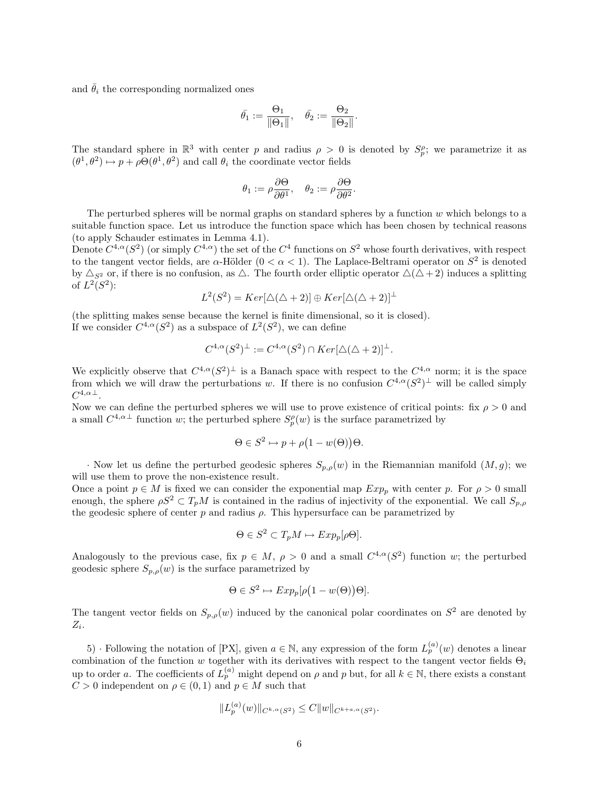and  $\bar{\theta}_i$  the corresponding normalized ones

$$
\bar{\theta_1} := \frac{\Theta_1}{\|\Theta_1\|}, \quad \bar{\theta_2} := \frac{\Theta_2}{\|\Theta_2\|}.
$$

The standard sphere in  $\mathbb{R}^3$  with center p and radius  $\rho > 0$  is denoted by  $S_p^{\rho}$ ; we parametrize it as  $(\theta^1, \theta^2) \mapsto p + \rho \Theta(\theta^1, \theta^2)$  and call  $\theta_i$  the coordinate vector fields

$$
\theta_1 := \rho \frac{\partial \Theta}{\partial \theta^1}, \quad \theta_2 := \rho \frac{\partial \Theta}{\partial \theta^2}.
$$

The perturbed spheres will be normal graphs on standard spheres by a function  $w$  which belongs to a suitable function space. Let us introduce the function space which has been chosen by technical reasons (to apply Schauder estimates in Lemma 4.1).

Denote  $C^{4,\alpha}(S^2)$  (or simply  $C^{4,\alpha}$ ) the set of the  $C^4$  functions on  $S^2$  whose fourth derivatives, with respect to the tangent vector fields, are  $\alpha$ -Hölder  $(0 < \alpha < 1)$ . The Laplace-Beltrami operator on  $S^2$  is denoted by  $\Delta_{S^2}$  or, if there is no confusion, as  $\Delta$ . The fourth order elliptic operator  $\Delta(\Delta+2)$  induces a splitting of  $L^2(S^2)$ :

$$
L^{2}(S^{2}) = Ker[\triangle(\triangle + 2)] \oplus Ker[\triangle(\triangle + 2)]^{\perp}
$$

(the splitting makes sense because the kernel is finite dimensional, so it is closed). If we consider  $C^{4,\alpha}(S^2)$  as a subspace of  $L^2(S^2)$ , we can define

$$
C^{4,\alpha}(S^2)^{\perp} := C^{4,\alpha}(S^2) \cap Ker[\Delta(\Delta + 2)]^{\perp}.
$$

We explicitly observe that  $C^{4,\alpha}(S^2)^{\perp}$  is a Banach space with respect to the  $C^{4,\alpha}$  norm; it is the space from which we will draw the perturbations w. If there is no confusion  $C^{4,\alpha}(S^2)^{\perp}$  will be called simply  $C^{4,\alpha \perp}.$ 

Now we can define the perturbed spheres we will use to prove existence of critical points: fix  $\rho > 0$  and a small  $C^{4,\alpha\perp}$  function w; the perturbed sphere  $S_p^{\rho}(w)$  is the surface parametrized by

$$
\Theta \in S^2 \mapsto p + \rho \big( 1 - w(\Theta) \big) \Theta.
$$

· Now let us define the perturbed geodesic spheres  $S_{p,\rho}(w)$  in the Riemannian manifold  $(M, g)$ ; we will use them to prove the non-existence result.

Once a point  $p \in M$  is fixed we can consider the exponential map  $Exp_p$  with center p. For  $\rho > 0$  small enough, the sphere  $\rho S^2 \subset T_pM$  is contained in the radius of injectivity of the exponential. We call  $S_{p,\rho}$ the geodesic sphere of center  $p$  and radius  $\rho$ . This hypersurface can be parametrized by

$$
\Theta \in S^2 \subset T_p M \mapsto Exp_p[\rho \Theta].
$$

Analogously to the previous case, fix  $p \in M$ ,  $\rho > 0$  and a small  $C^{4,\alpha}(S^2)$  function w; the perturbed geodesic sphere  $S_{p,\rho}(w)$  is the surface parametrized by

$$
\Theta \in S^2 \mapsto Exp_p[\rho(1 - w(\Theta))\Theta].
$$

The tangent vector fields on  $S_{p,\rho}(w)$  induced by the canonical polar coordinates on  $S^2$  are denoted by  $Z_i$ .

5) · Following the notation of [PX], given  $a \in \mathbb{N}$ , any expression of the form  $L_p^{(a)}(w)$  denotes a linear combination of the function w together with its derivatives with respect to the tangent vector fields  $\Theta_i$ up to order a. The coefficients of  $L_p^{(a)}$  might depend on  $\rho$  and  $p$  but, for all  $k \in \mathbb{N}$ , there exists a constant  $C > 0$  independent on  $\rho \in (0, 1)$  and  $p \in M$  such that

$$
||L_p^{(a)}(w)||_{C^{k,\alpha}(S^2)} \leq C||w||_{C^{k+a,\alpha}(S^2)}.
$$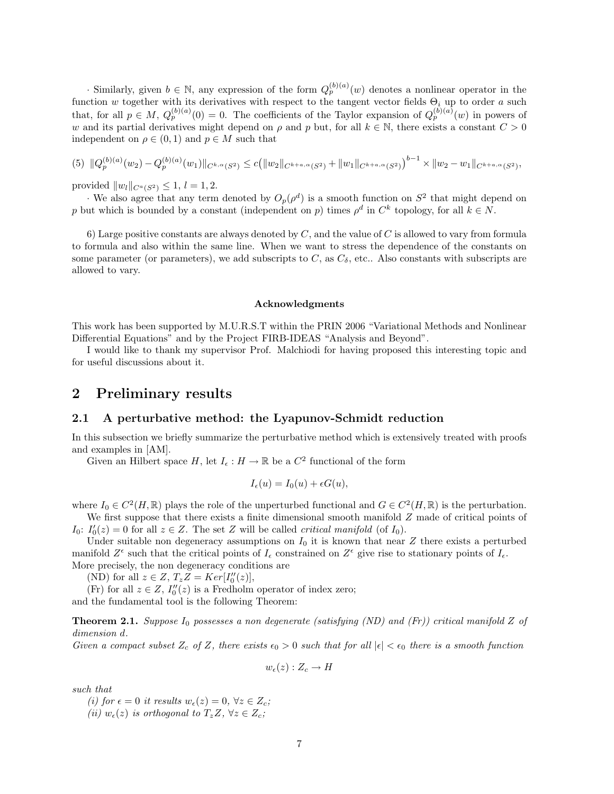· Similarly, given  $b \in \mathbb{N}$ , any expression of the form  $Q_p^{(b)(a)}(w)$  denotes a nonlinear operator in the function w together with its derivatives with respect to the tangent vector fields  $\Theta_i$  up to order a such that, for all  $p \in M$ ,  $Q_p^{(b)(a)}(0) = 0$ . The coefficients of the Taylor expansion of  $Q_p^{(b)(a)}(w)$  in powers of w and its partial derivatives might depend on  $\rho$  and p but, for all  $k \in \mathbb{N}$ , there exists a constant  $C > 0$ independent on  $\rho \in (0,1)$  and  $p \in M$  such that

$$
(5) \|Q_p^{(b)(a)}(w_2) - Q_p^{(b)(a)}(w_1)\|_{C^{k,\alpha}(S^2)} \le c \big( \|w_2\|_{C^{k+a,\alpha}(S^2)} + \|w_1\|_{C^{k+a,\alpha}(S^2)} \big)^{b-1} \times \|w_2 - w_1\|_{C^{k+a,\alpha}(S^2)},
$$

provided  $||w_l||_{C^a(S^2)} \leq 1, l = 1, 2.$ 

· We also agree that any term denoted by  $O_p(\rho^d)$  is a smooth function on  $S^2$  that might depend on p but which is bounded by a constant (independent on p) times  $\rho^d$  in  $C^k$  topology, for all  $k \in N$ .

6) Large positive constants are always denoted by  $C$ , and the value of  $C$  is allowed to vary from formula to formula and also within the same line. When we want to stress the dependence of the constants on some parameter (or parameters), we add subscripts to  $C$ , as  $C_{\delta}$ , etc.. Also constants with subscripts are allowed to vary.

### Acknowledgments

This work has been supported by M.U.R.S.T within the PRIN 2006 "Variational Methods and Nonlinear Differential Equations" and by the Project FIRB-IDEAS "Analysis and Beyond".

I would like to thank my supervisor Prof. Malchiodi for having proposed this interesting topic and for useful discussions about it.

### 2 Preliminary results

### 2.1 A perturbative method: the Lyapunov-Schmidt reduction

In this subsection we briefly summarize the perturbative method which is extensively treated with proofs and examples in [AM].

Given an Hilbert space H, let  $I_{\epsilon}: H \to \mathbb{R}$  be a  $C^2$  functional of the form

$$
I_{\epsilon}(u) = I_0(u) + \epsilon G(u),
$$

where  $I_0 \in C^2(H,\mathbb{R})$  plays the role of the unperturbed functional and  $G \in C^2(H,\mathbb{R})$  is the perturbation. We first suppose that there exists a finite dimensional smooth manifold  $Z$  made of critical points of

 $I_0: I'_0(z) = 0$  for all  $z \in Z$ . The set Z will be called *critical manifold* (of  $I_0$ ).

Under suitable non degeneracy assumptions on  $I_0$  it is known that near Z there exists a perturbed manifold  $Z^{\epsilon}$  such that the critical points of  $I_{\epsilon}$  constrained on  $Z^{\epsilon}$  give rise to stationary points of  $I_{\epsilon}$ . More precisely, the non degeneracy conditions are

(ND) for all  $z \in Z$ ,  $T_z Z = Ker[I_0''(z)],$ 

(Fr) for all  $z \in Z$ ,  $I_0''(z)$  is a Fredholm operator of index zero;

and the fundamental tool is the following Theorem:

**Theorem 2.1.** Suppose  $I_0$  possesses a non degenerate (satisfying (ND) and (Fr)) critical manifold Z of dimension d.

Given a compact subset  $Z_c$  of Z, there exists  $\epsilon_0 > 0$  such that for all  $|\epsilon| < \epsilon_0$  there is a smooth function

 $w_{\epsilon}(z) : Z_c \to H$ 

such that

(i) for  $\epsilon = 0$  it results  $w_{\epsilon}(z) = 0, \forall z \in Z_c$ ; (ii)  $w_{\epsilon}(z)$  is orthogonal to  $T_z Z$ ,  $\forall z \in Z_c$ ;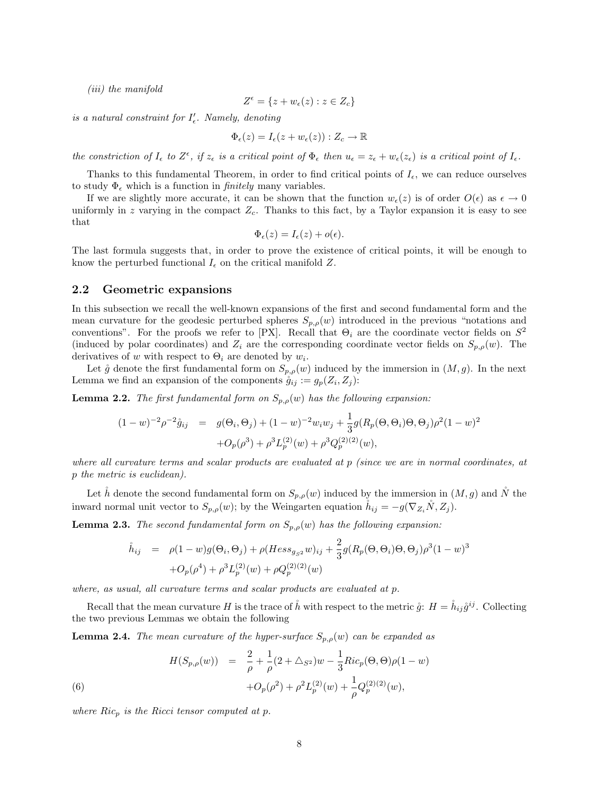(iii) the manifold

$$
Z^{\epsilon} = \{ z + w_{\epsilon}(z) : z \in Z_c \}
$$

is a natural constraint for  $I'_{\epsilon}$ . Namely, denoting

$$
\Phi_{\epsilon}(z) = I_{\epsilon}(z + w_{\epsilon}(z)) : Z_{c} \to \mathbb{R}
$$

the constriction of  $I_{\epsilon}$  to  $Z^{\epsilon}$ , if  $z_{\epsilon}$  is a critical point of  $\Phi_{\epsilon}$  then  $u_{\epsilon} = z_{\epsilon} + w_{\epsilon}(z_{\epsilon})$  is a critical point of  $I_{\epsilon}$ .

Thanks to this fundamental Theorem, in order to find critical points of  $I_{\epsilon}$ , we can reduce ourselves to study  $\Phi_{\epsilon}$  which is a function in *finitely* many variables.

If we are slightly more accurate, it can be shown that the function  $w_{\epsilon}(z)$  is of order  $O(\epsilon)$  as  $\epsilon \to 0$ uniformly in z varying in the compact  $Z_c$ . Thanks to this fact, by a Taylor expansion it is easy to see that

$$
\Phi_{\epsilon}(z) = I_{\epsilon}(z) + o(\epsilon).
$$

The last formula suggests that, in order to prove the existence of critical points, it will be enough to know the perturbed functional  $I_{\epsilon}$  on the critical manifold Z.

### 2.2 Geometric expansions

In this subsection we recall the well-known expansions of the first and second fundamental form and the mean curvature for the geodesic perturbed spheres  $S_{p,\rho}(w)$  introduced in the previous "notations and conventions". For the proofs we refer to [PX]. Recall that  $\Theta_i$  are the coordinate vector fields on  $S^2$ (induced by polar coordinates) and  $Z_i$  are the corresponding coordinate vector fields on  $S_{p,\rho}(w)$ . The derivatives of w with respect to  $\Theta_i$  are denoted by  $w_i$ .

Let  $\mathring{g}$  denote the first fundamental form on  $S_{p,\rho}(w)$  induced by the immersion in  $(M, g)$ . In the next Lemma we find an expansion of the components  $\mathring{g}_{ij} := g_p(Z_i, Z_j)$ :

**Lemma 2.2.** The first fundamental form on  $S_{p,\rho}(w)$  has the following expansion:

$$
(1-w)^{-2} \rho^{-2} \mathring{g}_{ij} = g(\Theta_i, \Theta_j) + (1-w)^{-2} w_i w_j + \frac{1}{3} g(R_p(\Theta, \Theta_i) \Theta, \Theta_j) \rho^2 (1-w)^2
$$
  
+  $O_p(\rho^3) + \rho^3 L_p^{(2)}(w) + \rho^3 Q_p^{(2)(2)}(w),$ 

where all curvature terms and scalar products are evaluated at p (since we are in normal coordinates, at p the metric is euclidean).

Let h denote the second fundamental form on  $S_{p,\rho}(w)$  induced by the immersion in  $(M, g)$  and N the inward normal unit vector to  $S_{p,\rho}(w)$ ; by the Weingarten equation  $\check{h}_{ij} = -g(\nabla_{Z_i}\check{N}, Z_j)$ .

**Lemma 2.3.** The second fundamental form on  $S_{p,\rho}(w)$  has the following expansion:

$$
\dot{h}_{ij} = \rho(1-w)g(\Theta_i, \Theta_j) + \rho(Hess_{g_{S^2}}w)_{ij} + \frac{2}{3}g(R_p(\Theta, \Theta_i)\Theta, \Theta_j)\rho^3(1-w)^3
$$
  
+ $O_p(\rho^4) + \rho^3 L_p^{(2)}(w) + \rho Q_p^{(2)(2)}(w)$ 

where, as usual, all curvature terms and scalar products are evaluated at p.

Recall that the mean curvature H is the trace of  $\mathring{h}$  with respect to the metric  $\mathring{g}: H = \mathring{h}_{ij}\mathring{g}^{ij}$ . Collecting the two previous Lemmas we obtain the following

**Lemma 2.4.** The mean curvature of the hyper-surface  $S_{p,\rho}(w)$  can be expanded as

(6)  

$$
H(S_{p,\rho}(w)) = \frac{2}{\rho} + \frac{1}{\rho}(2 + \Delta_{S^2})w - \frac{1}{3}Ric_p(\Theta, \Theta)\rho(1 - w) + O_p(\rho^2) + \rho^2 L_p^{(2)}(w) + \frac{1}{\rho}Q_p^{(2)(2)}(w),
$$

where  $Ric_p$  is the Ricci tensor computed at p.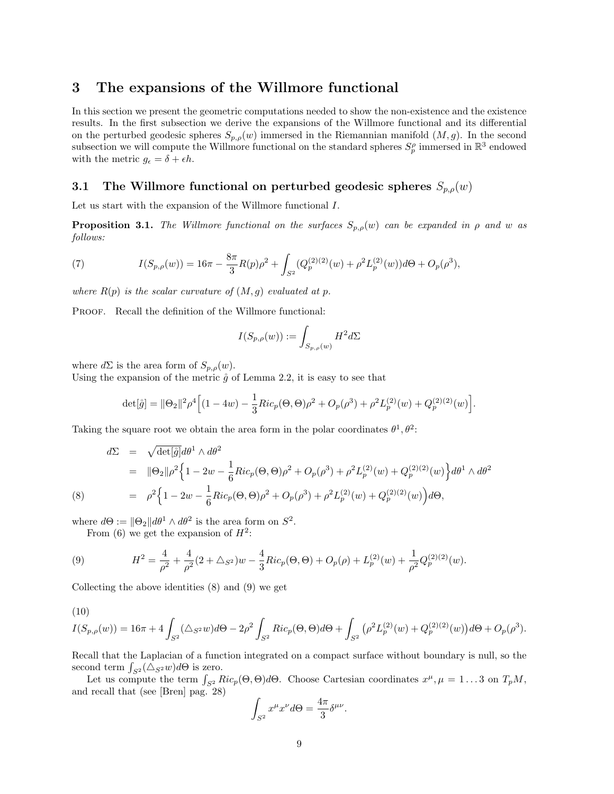## 3 The expansions of the Willmore functional

In this section we present the geometric computations needed to show the non-existence and the existence results. In the first subsection we derive the expansions of the Willmore functional and its differential on the perturbed geodesic spheres  $S_{p,\rho}(w)$  immersed in the Riemannian manifold  $(M, g)$ . In the second subsection we will compute the Willmore functional on the standard spheres  $S_p^{\rho}$  immersed in  $\mathbb{R}^3$  endowed with the metric  $g_{\epsilon} = \delta + \epsilon h$ .

### 3.1 The Willmore functional on perturbed geodesic spheres  $S_{p,\rho}(w)$

Let us start with the expansion of the Willmore functional I.

**Proposition 3.1.** The Willmore functional on the surfaces  $S_{p,\rho}(w)$  can be expanded in  $\rho$  and w as follows:

(7) 
$$
I(S_{p,\rho}(w)) = 16\pi - \frac{8\pi}{3}R(p)\rho^2 + \int_{S^2}(Q_p^{(2)(2)}(w) + \rho^2 L_p^{(2)}(w))d\Theta + O_p(\rho^3),
$$

where  $R(p)$  is the scalar curvature of  $(M, g)$  evaluated at p.

PROOF. Recall the definition of the Willmore functional:

$$
I(S_{p,\rho}(w)) := \int_{S_{p,\rho}(w)} H^2 d\Sigma
$$

where  $d\Sigma$  is the area form of  $S_{p,\rho}(w)$ .

Using the expansion of the metric  $\hat{g}$  of Lemma 2.2, it is easy to see that

$$
\det[\mathring{g}] = \|\Theta_2\|^2 \rho^4 \Big[ (1 - 4w) - \frac{1}{3} Ric_p(\Theta, \Theta) \rho^2 + O_p(\rho^3) + \rho^2 L_p^{(2)}(w) + Q_p^{(2)(2)}(w) \Big].
$$

Taking the square root we obtain the area form in the polar coordinates  $\theta^1, \theta^2$ .

(8) 
$$
d\Sigma = \sqrt{\det[\hat{g}]} d\theta^{1} \wedge d\theta^{2}
$$
  
\n
$$
= ||\Theta_{2}||\rho^{2} \Big\{ 1 - 2w - \frac{1}{6} Ric_{p}(\Theta, \Theta) \rho^{2} + O_{p}(\rho^{3}) + \rho^{2} L_{p}^{(2)}(w) + Q_{p}^{(2)(2)}(w) \Big\} d\theta^{1} \wedge d\theta^{2}
$$
  
\n
$$
= \rho^{2} \Big\{ 1 - 2w - \frac{1}{6} Ric_{p}(\Theta, \Theta) \rho^{2} + O_{p}(\rho^{3}) + \rho^{2} L_{p}^{(2)}(w) + Q_{p}^{(2)(2)}(w) \Big) d\Theta,
$$

where  $d\Theta := ||\Theta_2|| d\theta^1 \wedge d\theta^2$  is the area form on  $S^2$ .

From (6) we get the expansion of  $H^2$ :

(9) 
$$
H^{2} = \frac{4}{\rho^{2}} + \frac{4}{\rho^{2}}(2 + \triangle_{S^{2}})w - \frac{4}{3}Ric_{p}(\Theta, \Theta) + O_{p}(\rho) + L_{p}^{(2)}(w) + \frac{1}{\rho^{2}}Q_{p}^{(2)(2)}(w).
$$

Collecting the above identities (8) and (9) we get

(10)

$$
I(S_{p,\rho}(w)) = 16\pi + 4 \int_{S^2} (\Delta_{S^2}w)d\Theta - 2\rho^2 \int_{S^2} Ric_p(\Theta,\Theta)d\Theta + \int_{S^2} (\rho^2 L_p^{(2)}(w) + Q_p^{(2)(2)}(w))d\Theta + O_p(\rho^3).
$$

Recall that the Laplacian of a function integrated on a compact surface without boundary is null, so the second term  $\int_{S^2} (\triangle_{S^2} w) d\Theta$  is zero.

Let us compute the term  $\int_{S^2} Ric_p(\Theta, \Theta)d\Theta$ . Choose Cartesian coordinates  $x^{\mu}, \mu = 1...3$  on  $T_pM$ , and recall that (see [Bren] pag. 28)

$$
\int_{S^2} x^{\mu} x^{\nu} d\Theta = \frac{4\pi}{3} \delta^{\mu \nu}.
$$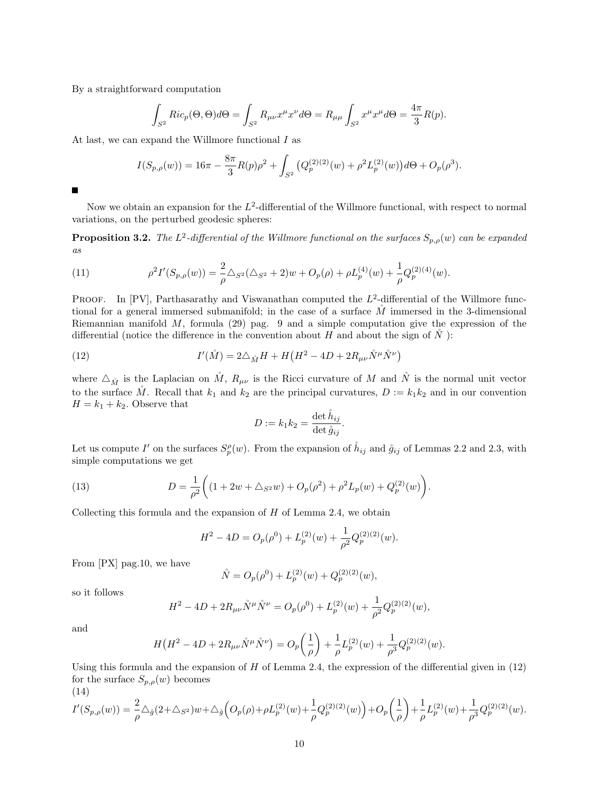By a straightforward computation

$$
\int_{S^2} Ric_p(\Theta,\Theta)d\Theta = \int_{S^2} R_{\mu\nu}x^{\mu}x^{\nu}d\Theta = R_{\mu\mu} \int_{S^2} x^{\mu}x^{\mu}d\Theta = \frac{4\pi}{3}R(p).
$$

At last, we can expand the Willmore functional I as

$$
I(S_{p,\rho}(w)) = 16\pi - \frac{8\pi}{3}R(p)\rho^2 + \int_{S^2} \left( Q_p^{(2)(2)}(w) + \rho^2 L_p^{(2)}(w) \right) d\Theta + O_p(\rho^3).
$$

П

Now we obtain an expansion for the  $L^2$ -differential of the Willmore functional, with respect to normal variations, on the perturbed geodesic spheres:

**Proposition 3.2.** The L<sup>2</sup>-differential of the Willmore functional on the surfaces  $S_{p,\rho}(w)$  can be expanded as

(11) 
$$
\rho^2 I'(S_{p,\rho}(w)) = \frac{2}{\rho} \Delta_{S^2} (\Delta_{S^2} + 2)w + O_p(\rho) + \rho L_p^{(4)}(w) + \frac{1}{\rho} Q_p^{(2)(4)}(w).
$$

PROOF. In [PV], Parthasarathy and Viswanathan computed the  $L^2$ -differential of the Willmore functional for a general immersed submanifold; in the case of a surface  $\tilde{M}$  immersed in the 3-dimensional Riemannian manifold  $M$ , formula (29) pag. 9 and a simple computation give the expression of the differential (notice the difference in the convention about H and about the sign of  $\tilde{N}$ ):

(12) 
$$
I'(\mathring{M}) = 2\Delta_{\mathring{M}}H + H\left(H^2 - 4D + 2R_{\mu\nu}\mathring{N}^{\mu}\mathring{N}^{\nu}\right)
$$

where  $\Delta_{\mathring{M}}$  is the Laplacian on  $\check{M}$ ,  $R_{\mu\nu}$  is the Ricci curvature of M and  $\check{N}$  is the normal unit vector to the surface  $\mathring{M}$ . Recall that  $k_1$  and  $k_2$  are the principal curvatures,  $D := k_1 k_2$  and in our convention  $H = k_1 + k_2$ . Observe that

$$
D := k_1 k_2 = \frac{\det \overset{\circ}{h}_{ij}}{\det \overset{\circ}{g}_{ij}}.
$$

Let us compute I' on the surfaces  $S_p^{\rho}(w)$ . From the expansion of  $\hat{h}_{ij}$  and  $\hat{g}_{ij}$  of Lemmas 2.2 and 2.3, with simple computations we get

(13) 
$$
D = \frac{1}{\rho^2} \left( (1 + 2w + \Delta_{S^2} w) + O_p(\rho^2) + \rho^2 L_p(w) + Q_p^{(2)}(w) \right).
$$

Collecting this formula and the expansion of  $H$  of Lemma 2.4, we obtain

$$
H^{2} - 4D = O_{p}(\rho^{0}) + L_{p}^{(2)}(w) + \frac{1}{\rho^{2}}Q_{p}^{(2)(2)}(w).
$$

From [PX] pag.10, we have

$$
\mathring{N} = O_p(\rho^0) + L_p^{(2)}(w) + Q_p^{(2)(2)}(w),
$$

so it follows

$$
H^{2}-4D+2R_{\mu\nu}\mathring{N}^{\mu}\mathring{N}^{\nu}=O_{p}(\rho^{0})+L_{p}^{(2)}(w)+\frac{1}{\rho^{2}}Q_{p}^{(2)(2)}(w),
$$

and

$$
H\left(H^2 - 4D + 2R_{\mu\nu}\mathring{N}^\mu\mathring{N}^\nu\right) = O_p\left(\frac{1}{\rho}\right) + \frac{1}{\rho}L_p^{(2)}(w) + \frac{1}{\rho^3}Q_p^{(2)(2)}(w).
$$

Using this formula and the expansion of  $H$  of Lemma 2.4, the expression of the differential given in  $(12)$ for the surface  $S_{p,\rho}(w)$  becomes (14)

$$
I'(S_{p,\rho}(w)) = \frac{2}{\rho} \triangle_{\mathring{g}}(2+\triangle_{S^2})w + \triangle_{\mathring{g}}\Big(O_p(\rho) + \rho L_p^{(2)}(w) + \frac{1}{\rho}Q_p^{(2)(2)}(w)\Big) + O_p\left(\frac{1}{\rho}\right) + \frac{1}{\rho}L_p^{(2)}(w) + \frac{1}{\rho^3}Q_p^{(2)(2)}(w).
$$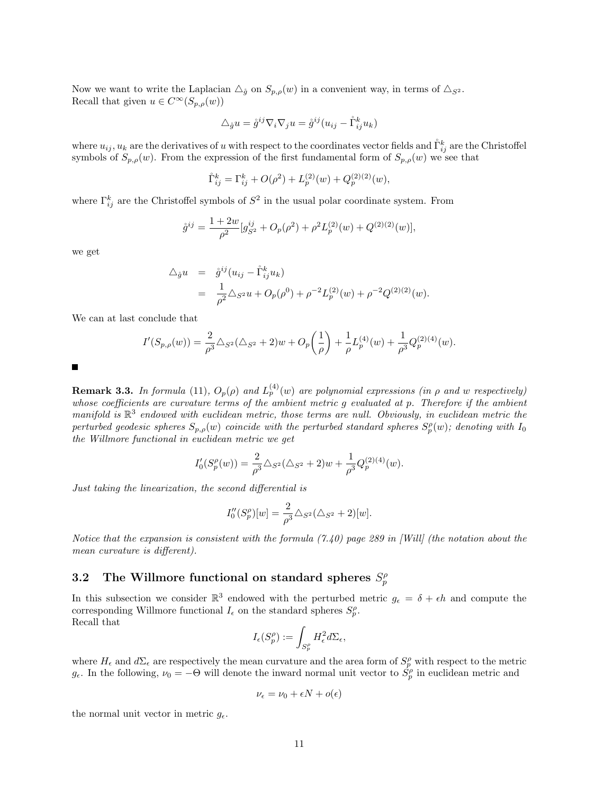Now we want to write the Laplacian  $\Delta_{\hat{g}}$  on  $S_{p,\rho}(w)$  in a convenient way, in terms of  $\Delta_{S^2}$ . Recall that given  $u \in C^{\infty}(S_{p,\rho}(w))$ 

$$
\triangle_{\mathring{g}} u = \mathring{g}^{ij} \nabla_i \nabla_j u = \mathring{g}^{ij} (u_{ij} - \mathring{\Gamma}_{ij}^k u_k)
$$

where  $u_{ij}$ ,  $u_k$  are the derivatives of u with respect to the coordinates vector fields and  $\mathring{\Gamma}_{ij}^k$  are the Christoffel symbols of  $S_{p,\rho}(w)$ . From the expression of the first fundamental form of  $S_{p,\rho}(w)$  we see that

$$
\mathring{\Gamma}_{ij}^{k} = \Gamma_{ij}^{k} + O(\rho^{2}) + L_{p}^{(2)}(w) + Q_{p}^{(2)(2)}(w),
$$

where  $\Gamma_{ij}^k$  are the Christoffel symbols of  $S^2$  in the usual polar coordinate system. From

$$
\mathring{g}^{ij} = \frac{1+2w}{\rho^2} [g_{S^2}^{ij} + O_p(\rho^2) + \rho^2 L_p^{(2)}(w) + Q^{(2)(2)}(w)],
$$

we get

$$
\Delta_{\mathring{g}} u = \mathring{g}^{ij} (u_{ij} - \mathring{\Gamma}_{ij}^k u_k) \n= \frac{1}{\rho^2} \Delta_{S^2} u + O_p(\rho^0) + \rho^{-2} L_p^{(2)}(w) + \rho^{-2} Q^{(2)(2)}(w).
$$

We can at last conclude that

$$
I'(S_{p,\rho}(w)) = \frac{2}{\rho^3} \triangle_{S^2} (\triangle_{S^2} + 2)w + O_p\left(\frac{1}{\rho}\right) + \frac{1}{\rho} L_p^{(4)}(w) + \frac{1}{\rho^3} Q_p^{(2)(4)}(w).
$$

Е

**Remark 3.3.** In formula (11),  $O_p(\rho)$  and  $L_p^{(4)}(w)$  are polynomial expressions (in  $\rho$  and w respectively) whose coefficients are curvature terms of the ambient metric g evaluated at p. Therefore if the ambient manifold is  $\mathbb{R}^3$  endowed with euclidean metric, those terms are null. Obviously, in euclidean metric the perturbed geodesic spheres  $S_{p,\rho}(w)$  coincide with the perturbed standard spheres  $S_p^{\rho}(w)$ ; denoting with  $I_0$ the Willmore functional in euclidean metric we get

$$
I_0'(S_p^{\rho}(w)) = \frac{2}{\rho^3} \triangle_{S^2} (\triangle_{S^2} + 2)w + \frac{1}{\rho^3} Q_p^{(2)(4)}(w).
$$

Just taking the linearization, the second differential is

$$
I_0''(S_p^{\rho})[w] = \frac{2}{\rho^3} \Delta_{S^2}(\Delta_{S^2} + 2)[w].
$$

Notice that the expansion is consistent with the formula  $(7.40)$  page 289 in [Will] (the notation about the mean curvature is different).

## 3.2 The Willmore functional on standard spheres  $S_p^{\rho}$

In this subsection we consider  $\mathbb{R}^3$  endowed with the perturbed metric  $g_{\epsilon} = \delta + \epsilon h$  and compute the corresponding Willmore functional  $I_{\epsilon}$  on the standard spheres  $S_{p}^{\rho}$ . Recall that

$$
I_\epsilon(S_p^\rho):=\int_{S_p^\rho}H_\epsilon^2d\Sigma_\epsilon,
$$

where  $H_{\epsilon}$  and  $d\Sigma_{\epsilon}$  are respectively the mean curvature and the area form of  $S_p^{\rho}$  with respect to the metric g. In the following,  $\nu_0 = -\Theta$  will denote the inward normal unit vector to  $\dot{S}_p^{\rho}$  in euclidean metric and

$$
\nu_{\epsilon} = \nu_0 + \epsilon N + o(\epsilon)
$$

the normal unit vector in metric  $q_{\epsilon}$ .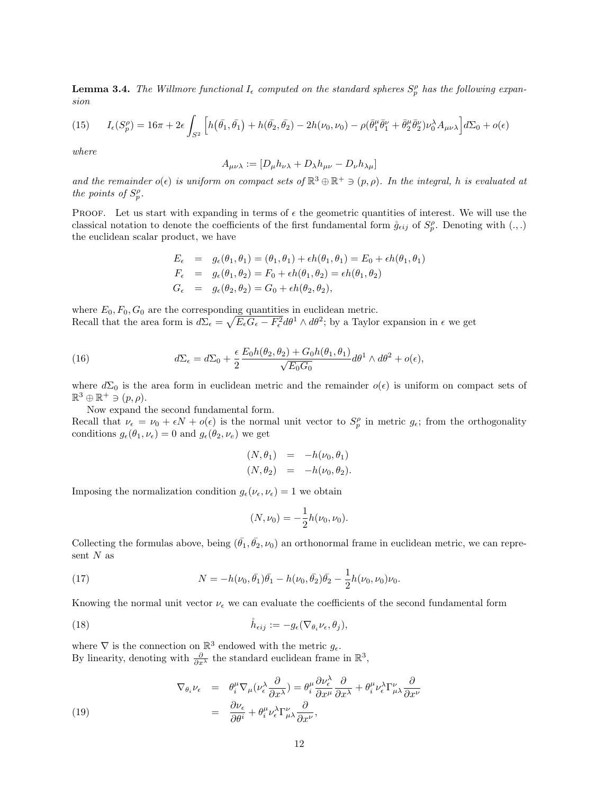**Lemma 3.4.** The Willmore functional  $I_{\epsilon}$  computed on the standard spheres  $S_p^{\rho}$  has the following expansion

(15) 
$$
I_{\epsilon}(S_p^{\rho}) = 16\pi + 2\epsilon \int_{S^2} \left[ h(\bar{\theta}_1, \bar{\theta}_1) + h(\bar{\theta}_2, \bar{\theta}_2) - 2h(\nu_0, \nu_0) - \rho(\bar{\theta}_1^{\mu}\bar{\theta}_1^{\nu} + \bar{\theta}_2^{\mu}\bar{\theta}_2^{\nu})\nu_0^{\lambda}A_{\mu\nu\lambda} \right] d\Sigma_0 + o(\epsilon)
$$

where

$$
A_{\mu\nu\lambda} := [D_{\mu}h_{\nu\lambda} + D_{\lambda}h_{\mu\nu} - D_{\nu}h_{\lambda\mu}]
$$

and the remainder  $o(\epsilon)$  is uniform on compact sets of  $\mathbb{R}^3 \oplus \mathbb{R}^+ \ni (p, \rho)$ . In the integral, h is evaluated at the points of  $S_p^{\rho}$ .

PROOF. Let us start with expanding in terms of  $\epsilon$  the geometric quantities of interest. We will use the classical notation to denote the coefficients of the first fundamental form  $\mathring{g}_{\epsilon ij}$  of  $S_p^{\rho}$ . Denoting with  $(.,.)$ the euclidean scalar product, we have

$$
E_{\epsilon} = g_{\epsilon}(\theta_1, \theta_1) = (\theta_1, \theta_1) + \epsilon h(\theta_1, \theta_1) = E_0 + \epsilon h(\theta_1, \theta_1)
$$
  
\n
$$
F_{\epsilon} = g_{\epsilon}(\theta_1, \theta_2) = F_0 + \epsilon h(\theta_1, \theta_2) = \epsilon h(\theta_1, \theta_2)
$$
  
\n
$$
G_{\epsilon} = g_{\epsilon}(\theta_2, \theta_2) = G_0 + \epsilon h(\theta_2, \theta_2),
$$

where  $E_0, F_0, G_0$  are the corresponding quantities in euclidean metric. Recall that the area form is  $d\Sigma_{\epsilon} = \sqrt{E_{\epsilon}G_{\epsilon} - F_{\epsilon}^2}d\theta^1 \wedge d\theta^2$ ; by a Taylor expansion in  $\epsilon$  we get

(16) 
$$
d\Sigma_{\epsilon} = d\Sigma_0 + \frac{\epsilon}{2} \frac{E_0 h(\theta_2, \theta_2) + G_0 h(\theta_1, \theta_1)}{\sqrt{E_0 G_0}} d\theta^1 \wedge d\theta^2 + o(\epsilon),
$$

where  $d\Sigma_0$  is the area form in euclidean metric and the remainder  $o(\epsilon)$  is uniform on compact sets of  $\mathbb{R}^3 \oplus \mathbb{R}^+ \ni (p, \rho).$ 

Now expand the second fundamental form.

Recall that  $\nu_{\epsilon} = \nu_0 + \epsilon N + o(\epsilon)$  is the normal unit vector to  $S_p^{\rho}$  in metric  $g_{\epsilon}$ ; from the orthogonality conditions  $g_{\epsilon}(\theta_1, \nu_{\epsilon}) = 0$  and  $g_{\epsilon}(\theta_2, \nu_{\epsilon})$  we get

$$
\begin{array}{rcl}\n(N, \theta_1) & = & -h(\nu_0, \theta_1) \\
(N, \theta_2) & = & -h(\nu_0, \theta_2).\n\end{array}
$$

Imposing the normalization condition  $g_{\epsilon}(\nu_{\epsilon}, \nu_{\epsilon}) = 1$  we obtain

$$
(N,\nu_0) = -\frac{1}{2}h(\nu_0,\nu_0).
$$

Collecting the formulas above, being  $(\bar{\theta_1}, \bar{\theta_2}, \nu_0)$  an orthonormal frame in euclidean metric, we can represent  $N$  as

(17) 
$$
N = -h(\nu_0, \bar{\theta_1})\bar{\theta_1} - h(\nu_0, \bar{\theta_2})\bar{\theta_2} - \frac{1}{2}h(\nu_0, \nu_0)\nu_0.
$$

Knowing the normal unit vector  $\nu_{\epsilon}$  we can evaluate the coefficients of the second fundamental form

(18) 
$$
\mathring{h}_{\epsilon ij} := -g_{\epsilon}(\nabla_{\theta_i} \nu_{\epsilon}, \theta_j),
$$

where  $\nabla$  is the connection on  $\mathbb{R}^3$  endowed with the metric  $g_{\epsilon}$ . By linearity, denoting with  $\frac{\partial}{\partial x^{\lambda}}$  the standard euclidean frame in  $\mathbb{R}^3$ ,

(19) 
$$
\nabla_{\theta_i} \nu_{\epsilon} = \theta_i^{\mu} \nabla_{\mu} (\nu_{\epsilon}^{\lambda} \frac{\partial}{\partial x^{\lambda}}) = \theta_i^{\mu} \frac{\partial \nu_{\epsilon}^{\lambda}}{\partial x^{\mu}} \frac{\partial}{\partial x^{\lambda}} + \theta_i^{\mu} \nu_{\epsilon}^{\lambda} \Gamma_{\mu\lambda}^{\nu} \frac{\partial}{\partial x^{\nu}}
$$

$$
= \frac{\partial \nu_{\epsilon}}{\partial \theta^i} + \theta_i^{\mu} \nu_{\epsilon}^{\lambda} \Gamma_{\mu\lambda}^{\nu} \frac{\partial}{\partial x^{\nu}},
$$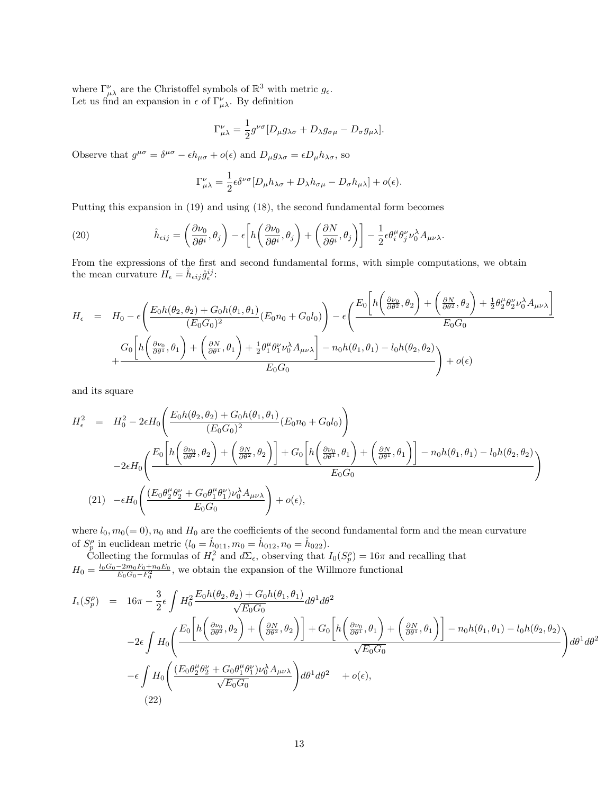where  $\Gamma^{\nu}_{\mu\lambda}$  are the Christoffel symbols of  $\mathbb{R}^3$  with metric  $g_{\epsilon}$ . Let us find an expansion in  $\epsilon$  of  $\Gamma^{\nu}_{\mu\lambda}$ . By definition

$$
\Gamma^{\nu}_{\mu\lambda} = \frac{1}{2} g^{\nu\sigma} [D_{\mu} g_{\lambda\sigma} + D_{\lambda} g_{\sigma\mu} - D_{\sigma} g_{\mu\lambda}].
$$

Observe that  $g^{\mu\sigma} = \delta^{\mu\sigma} - \epsilon h_{\mu\sigma} + o(\epsilon)$  and  $D_{\mu}g_{\lambda\sigma} = \epsilon D_{\mu}h_{\lambda\sigma}$ , so

$$
\Gamma^{\nu}_{\mu\lambda} = \frac{1}{2} \epsilon \delta^{\nu\sigma} [D_{\mu} h_{\lambda\sigma} + D_{\lambda} h_{\sigma\mu} - D_{\sigma} h_{\mu\lambda}] + o(\epsilon).
$$

Putting this expansion in (19) and using (18), the second fundamental form becomes

(20) 
$$
\mathring{h}_{\epsilon ij} = \left(\frac{\partial \nu_0}{\partial \theta^i}, \theta_j\right) - \epsilon \left[h\left(\frac{\partial \nu_0}{\partial \theta^i}, \theta_j\right) + \left(\frac{\partial N}{\partial \theta^i}, \theta_j\right)\right] - \frac{1}{2} \epsilon \theta_i^{\mu} \theta_j^{\nu} \nu_0^{\lambda} A_{\mu\nu\lambda}.
$$

From the expressions of the first and second fundamental forms, with simple computations, we obtain the mean curvature  $H_{\epsilon} = \mathring{h}_{\epsilon ij} \mathring{g}_{\epsilon}^{ij}$ :

$$
H_{\epsilon} = H_0 - \epsilon \left( \frac{E_0 h(\theta_2, \theta_2) + G_0 h(\theta_1, \theta_1)}{(E_0 G_0)^2} (E_0 n_0 + G_0 l_0) \right) - \epsilon \left( \frac{E_0 \left[ h \left( \frac{\partial \nu_0}{\partial \theta^2}, \theta_2 \right) + \left( \frac{\partial N}{\partial \theta^2}, \theta_2 \right) + \frac{1}{2} \theta_2^{\mu} \theta_2^{\nu} \nu_0^{\lambda} A_{\mu\nu\lambda} \right]}{E_0 G_0} \right)
$$
  
+ 
$$
\frac{G_0 \left[ h \left( \frac{\partial \nu_0}{\partial \theta^1}, \theta_1 \right) + \left( \frac{\partial N}{\partial \theta^1}, \theta_1 \right) + \frac{1}{2} \theta_1^{\mu} \theta_1^{\nu} \nu_0^{\lambda} A_{\mu\nu\lambda} \right] - n_0 h(\theta_1, \theta_1) - l_0 h(\theta_2, \theta_2)}{E_0 G_0} \right) + o(\epsilon)
$$

and its square

$$
H_{\epsilon}^{2} = H_{0}^{2} - 2\epsilon H_{0} \left( \frac{E_{0}h(\theta_{2}, \theta_{2}) + G_{0}h(\theta_{1}, \theta_{1})}{(E_{0}G_{0})^{2}} (E_{0}n_{0} + G_{0}l_{0}) \right)
$$
  

$$
-2\epsilon H_{0} \left( \frac{E_{0} \left[ h \left( \frac{\partial \nu_{0}}{\partial \theta^{2}}, \theta_{2} \right) + \left( \frac{\partial N}{\partial \theta^{2}}, \theta_{2} \right) \right] + G_{0} \left[ h \left( \frac{\partial \nu_{0}}{\partial \theta^{1}}, \theta_{1} \right) + \left( \frac{\partial N}{\partial \theta^{1}}, \theta_{1} \right) \right] - n_{0}h(\theta_{1}, \theta_{1}) - l_{0}h(\theta_{2}, \theta_{2})}{E_{0}G_{0}} \right)
$$
  
(21) 
$$
-\epsilon H_{0} \left( \frac{(E_{0}\theta_{2}^{\mu}\theta_{2}^{\nu} + G_{0}\theta_{1}^{\mu}\theta_{1}^{\nu})\nu_{0}^{\lambda}A_{\mu\nu\lambda}}{E_{0}G_{0}} \right) + o(\epsilon),
$$

where  $l_0, m_0(= 0), n_0$  and  $H_0$  are the coefficients of the second fundamental form and the mean curvature of  $S_p^{\rho}$  in euclidean metric  $(l_0 = \dot{h}_{011}, m_0 = \dot{h}_{012}, n_0 = \dot{h}_{022}).$ 

Collecting the formulas of  $H_{\epsilon}^2$  and  $d\Sigma_{\epsilon}$ , observing that  $I_0(S_p^{\rho}) = 16\pi$  and recalling that  $H_0 = \frac{l_0 G_0 - 2m_0 F_0 + n_0 E_0}{E_0 G_0 - F_0^2}$ , we obtain the expansion of the Willmore functional

$$
I_{\epsilon}(S_{p}^{\rho}) = 16\pi - \frac{3}{2}\epsilon \int H_{0}^{2} \frac{E_{0}h(\theta_{2}, \theta_{2}) + G_{0}h(\theta_{1}, \theta_{1})}{\sqrt{E_{0}G_{0}}} d\theta^{1} d\theta^{2}
$$
  
\n
$$
-2\epsilon \int H_{0} \left( \frac{E_{0} \left[ h \left( \frac{\partial \nu_{0}}{\partial \theta^{2}}, \theta_{2} \right) + \left( \frac{\partial N}{\partial \theta^{2}}, \theta_{2} \right) \right] + G_{0} \left[ h \left( \frac{\partial \nu_{0}}{\partial \theta^{1}}, \theta_{1} \right) + \left( \frac{\partial N}{\partial \theta^{1}}, \theta_{1} \right) \right] - n_{0}h(\theta_{1}, \theta_{1}) - l_{0}h(\theta_{2}, \theta_{2})}{\sqrt{E_{0}G_{0}}} \right) d\theta^{1} d\theta^{2}
$$
  
\n
$$
- \epsilon \int H_{0} \left( \frac{(E_{0}\theta_{2}^{\mu}\theta_{2}^{\nu} + G_{0}\theta_{1}^{\mu}\theta_{1}^{\nu})\nu_{0}^{\lambda}A_{\mu\nu\lambda}}{\sqrt{E_{0}G_{0}}} d\theta^{1} d\theta^{2} + o(\epsilon),
$$
  
\n(22)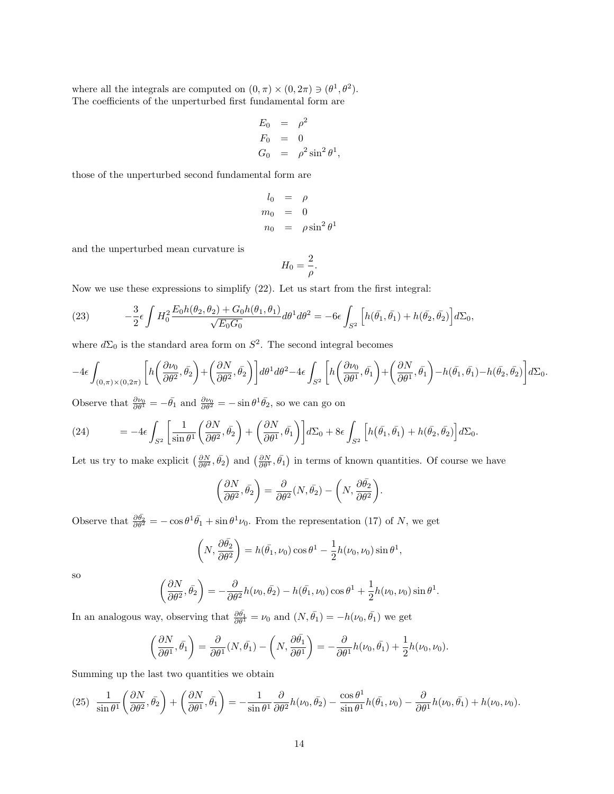where all the integrals are computed on  $(0, \pi) \times (0, 2\pi) \ni (\theta^1, \theta^2)$ . The coefficients of the unperturbed first fundamental form are

$$
E_0 = \rho^2
$$
  
\n
$$
F_0 = 0
$$
  
\n
$$
G_0 = \rho^2 \sin^2 \theta^1,
$$

those of the unperturbed second fundamental form are

$$
l_0 = \rho
$$
  
\n
$$
m_0 = 0
$$
  
\n
$$
n_0 = \rho \sin^2 \theta^1
$$

and the unperturbed mean curvature is

$$
H_0 = \frac{2}{\rho}.
$$

Now we use these expressions to simplify (22). Let us start from the first integral:

(23) 
$$
-\frac{3}{2}\epsilon \int H_0^2 \frac{E_0 h(\theta_2, \theta_2) + G_0 h(\theta_1, \theta_1)}{\sqrt{E_0 G_0}} d\theta^1 d\theta^2 = -6\epsilon \int_{S^2} \left[ h(\bar{\theta_1}, \bar{\theta_1}) + h(\bar{\theta_2}, \bar{\theta_2}) \right] d\Sigma_0,
$$

where  $d\Sigma_0$  is the standard area form on  $S^2$ . The second integral becomes

$$
-4\epsilon\int_{(0,\pi)\times(0,2\pi)}\bigg[h\bigg(\frac{\partial \nu_0}{\partial \theta^2},\bar{\theta_2}\bigg) + \bigg(\frac{\partial N}{\partial \theta^2},\bar{\theta_2}\bigg)\bigg]d\theta^1d\theta^2 - 4\epsilon\int_{S^2}\bigg[h\bigg(\frac{\partial \nu_0}{\partial \theta^1},\bar{\theta_1}\bigg) + \bigg(\frac{\partial N}{\partial \theta^1},\bar{\theta_1}\bigg) - h(\bar{\theta_1},\bar{\theta_1}) - h(\bar{\theta_2},\bar{\theta_2})\bigg]d\Sigma_0.
$$

Observe that  $\frac{\partial \nu_0}{\partial \theta^1} = -\bar{\theta_1}$  and  $\frac{\partial \nu_0}{\partial \theta^2} = -\sin \theta^1 \bar{\theta_2}$ , so we can go on

(24) 
$$
= -4\epsilon \int_{S^2} \left[ \frac{1}{\sin \theta^1} \left( \frac{\partial N}{\partial \theta^2}, \bar{\theta}_2 \right) + \left( \frac{\partial N}{\partial \theta^1}, \bar{\theta}_1 \right) \right] d\Sigma_0 + 8\epsilon \int_{S^2} \left[ h(\bar{\theta}_1, \bar{\theta}_1) + h(\bar{\theta}_2, \bar{\theta}_2) \right] d\Sigma_0.
$$

Let us try to make explicit  $\left(\frac{\partial N}{\partial \theta^2}, \bar{\theta_2}\right)$  and  $\left(\frac{\partial N}{\partial \theta^1}, \bar{\theta_1}\right)$  in terms of known quantities. Of course we have

$$
\left(\frac{\partial N}{\partial \theta^2}, \bar{\theta_2}\right) = \frac{\partial}{\partial \theta^2} (N, \bar{\theta_2}) - \left(N, \frac{\partial \bar{\theta_2}}{\partial \theta^2}\right).
$$

Observe that  $\frac{\partial \bar{\theta}_2}{\partial \theta^2} = -\cos \theta^1 \bar{\theta}_1 + \sin \theta^1 \nu_0$ . From the representation (17) of N, we get

$$
\left(N, \frac{\partial \bar{\theta}_2}{\partial \theta^2}\right) = h(\bar{\theta}_1, \nu_0) \cos \theta^1 - \frac{1}{2}h(\nu_0, \nu_0) \sin \theta^1,
$$

so

$$
\left(\frac{\partial N}{\partial \theta^2}, \bar{\theta}_2\right) = -\frac{\partial}{\partial \theta^2} h(\nu_0, \bar{\theta}_2) - h(\bar{\theta}_1, \nu_0) \cos \theta^1 + \frac{1}{2} h(\nu_0, \nu_0) \sin \theta^1.
$$

In an analogous way, observing that  $\frac{\partial \bar{\theta_1}}{\partial \theta_1} = \nu_0$  and  $(N, \bar{\theta_1}) = -h(\nu_0, \bar{\theta_1})$  we get

$$
\left(\frac{\partial N}{\partial \theta^1},\bar{\theta_1}\right) = \frac{\partial}{\partial \theta^1}(N,\bar{\theta_1}) - \left(N,\frac{\partial \bar{\theta_1}}{\partial \theta^1}\right) = -\frac{\partial}{\partial \theta^1}h(\nu_0,\bar{\theta_1}) + \frac{1}{2}h(\nu_0,\nu_0).
$$

Summing up the last two quantities we obtain

$$
(25)\quad \frac{1}{\sin\theta^1} \left(\frac{\partial N}{\partial \theta^2}, \bar{\theta_2}\right) + \left(\frac{\partial N}{\partial \theta^1}, \bar{\theta_1}\right) = -\frac{1}{\sin\theta^1} \frac{\partial}{\partial \theta^2} h(\nu_0, \bar{\theta_2}) - \frac{\cos\theta^1}{\sin\theta^1} h(\bar{\theta_1}, \nu_0) - \frac{\partial}{\partial \theta^1} h(\nu_0, \bar{\theta_1}) + h(\nu_0, \nu_0).
$$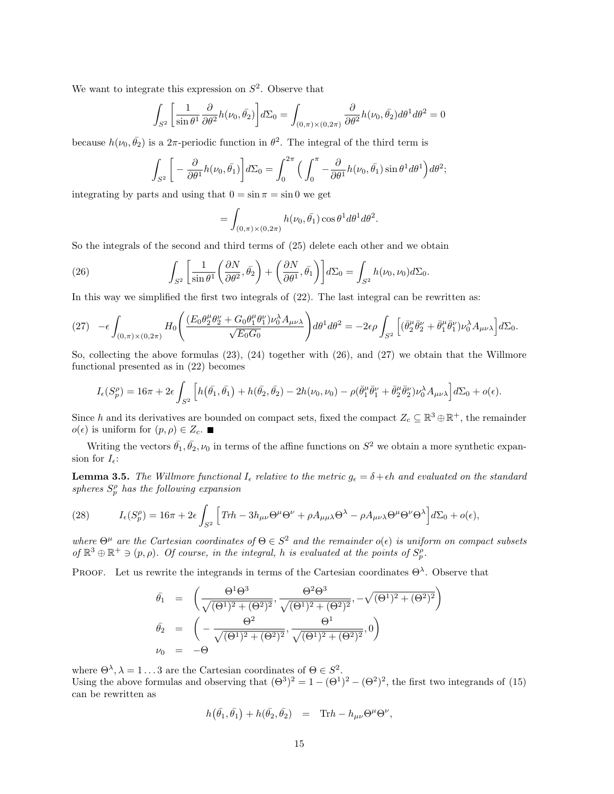We want to integrate this expression on  $S^2$ . Observe that

$$
\int_{S^2} \left[ \frac{1}{\sin \theta^1} \frac{\partial}{\partial \theta^2} h(\nu_0, \bar{\theta}_2) \right] d\Sigma_0 = \int_{(0,\pi) \times (0,2\pi)} \frac{\partial}{\partial \theta^2} h(\nu_0, \bar{\theta}_2) d\theta^1 d\theta^2 = 0
$$

because  $h(\nu_0, \bar{\theta}_2)$  is a 2 $\pi$ -periodic function in  $\theta^2$ . The integral of the third term is

$$
\int_{S^2} \bigg[ -\frac{\partial}{\partial \theta^1} h(\nu_0, \bar{\theta}_1) \bigg] d\Sigma_0 = \int_0^{2\pi} \Big( \int_0^{\pi} -\frac{\partial}{\partial \theta^1} h(\nu_0, \bar{\theta}_1) \sin \theta^1 d\theta^1 \Big) d\theta^2;
$$

integrating by parts and using that  $0 = \sin \pi = \sin 0$  we get

$$
= \int_{(0,\pi)\times(0,2\pi)} h(\nu_0,\bar{\theta_1}) \cos\theta^1 d\theta^1 d\theta^2.
$$

So the integrals of the second and third terms of (25) delete each other and we obtain

(26) 
$$
\int_{S^2} \left[ \frac{1}{\sin \theta^1} \left( \frac{\partial N}{\partial \theta^2}, \bar{\theta_2} \right) + \left( \frac{\partial N}{\partial \theta^1}, \bar{\theta_1} \right) \right] d\Sigma_0 = \int_{S^2} h(\nu_0, \nu_0) d\Sigma_0.
$$

In this way we simplified the first two integrals of (22). The last integral can be rewritten as:

$$
(27) \quad -\epsilon \int_{(0,\pi)\times(0,2\pi)} H_0\left(\frac{(E_0\theta_2^{\mu}\theta_2^{\nu} + G_0\theta_1^{\mu}\theta_1^{\nu})\nu_0^{\lambda}A_{\mu\nu\lambda}}{\sqrt{E_0G_0}}\right) d\theta^1 d\theta^2 = -2\epsilon \rho \int_{S^2} \left[ (\bar{\theta}_2^{\mu}\bar{\theta}_2^{\nu} + \bar{\theta}_1^{\mu}\bar{\theta}_1^{\nu})\nu_0^{\lambda}A_{\mu\nu\lambda} \right] d\Sigma_0.
$$

So, collecting the above formulas (23), (24) together with (26), and (27) we obtain that the Willmore functional presented as in (22) becomes

$$
I_{\epsilon}(S_{p}^{\rho}) = 16\pi + 2\epsilon \int_{S^2} \left[ h(\bar{\theta}_1, \bar{\theta}_1) + h(\bar{\theta}_2, \bar{\theta}_2) - 2h(\nu_0, \nu_0) - \rho(\bar{\theta}_1^{\mu}\bar{\theta}_1^{\nu} + \bar{\theta}_2^{\mu}\bar{\theta}_2^{\nu})\nu_0^{\lambda}A_{\mu\nu\lambda} \right] d\Sigma_0 + o(\epsilon).
$$

Since h and its derivatives are bounded on compact sets, fixed the compact  $Z_c \subseteq \mathbb{R}^3 \oplus \mathbb{R}^+$ , the remainder  $o(\epsilon)$  is uniform for  $(p, \rho) \in Z_c$ .

Writing the vectors  $\bar{\theta_1}, \bar{\theta_2}, \nu_0$  in terms of the affine functions on  $S^2$  we obtain a more synthetic expansion for  $I_{\epsilon}$ :

**Lemma 3.5.** The Willmore functional  $I_{\epsilon}$  relative to the metric  $g_{\epsilon} = \delta + \epsilon h$  and evaluated on the standard spheres  $S_p^{\rho}$  has the following expansion

(28) 
$$
I_{\epsilon}(S_{p}^{\rho}) = 16\pi + 2\epsilon \int_{S^{2}} \left[ Trh - 3h_{\mu\nu} \Theta^{\mu} \Theta^{\nu} + \rho A_{\mu\mu\lambda} \Theta^{\lambda} - \rho A_{\mu\nu\lambda} \Theta^{\mu} \Theta^{\nu} \Theta^{\lambda} \right] d\Sigma_{0} + o(\epsilon),
$$

where  $\Theta^{\mu}$  are the Cartesian coordinates of  $\Theta \in S^2$  and the remainder  $o(\epsilon)$  is uniform on compact subsets of  $\mathbb{R}^3 \oplus \mathbb{R}^+ \ni (p, \rho)$ . Of course, in the integral, h is evaluated at the points of  $S_p^{\rho}$ .

PROOF. Let us rewrite the integrands in terms of the Cartesian coordinates  $\Theta^{\lambda}$ . Observe that

$$
\begin{array}{rcl}\n\bar{\theta}_1 & = & \left(\frac{\Theta^1 \Theta^3}{\sqrt{(\Theta^1)^2 + (\Theta^2)^2}}, \frac{\Theta^2 \Theta^3}{\sqrt{(\Theta^1)^2 + (\Theta^2)^2}}, -\sqrt{(\Theta^1)^2 + (\Theta^2)^2}\right) \\
\bar{\theta}_2 & = & \left(-\frac{\Theta^2}{\sqrt{(\Theta^1)^2 + (\Theta^2)^2}}, \frac{\Theta^1}{\sqrt{(\Theta^1)^2 + (\Theta^2)^2}}, 0\right) \\
\nu_0 & = & -\Theta\n\end{array}
$$

where  $\Theta^{\lambda}$ ,  $\lambda = 1...3$  are the Cartesian coordinates of  $\Theta \in S^2$ . Using the above formulas and observing that  $(\Theta^3)^2 = 1 - (\Theta^1)^2 - (\Theta^2)^2$ , the first two integrands of (15) can be rewritten as

$$
h\big(\bar{\theta_1},\bar{\theta_1}\big)+h(\bar{\theta_2},\bar{\theta_2})\quad =\quad {\rm Tr} h-h_{\mu\nu}\Theta^\mu\Theta^\nu,
$$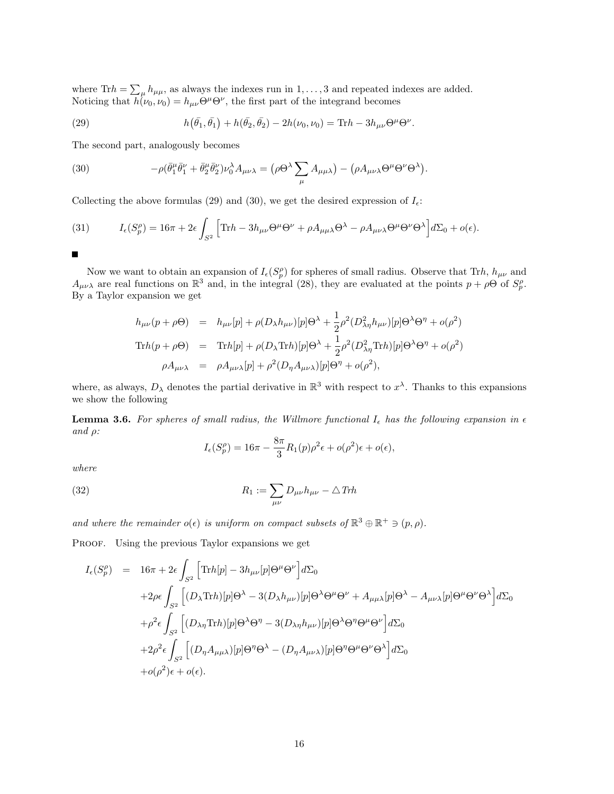where Tr $h = \sum_{\mu} h_{\mu\mu}$ , as always the indexes run in 1, ..., 3 and repeated indexes are added. Noticing that  $h(\nu_0, \nu_0) = h_{\mu\nu} \Theta^{\mu} \Theta^{\nu}$ , the first part of the integrand becomes

(29) 
$$
h(\bar{\theta_1}, \bar{\theta_1}) + h(\bar{\theta_2}, \bar{\theta_2}) - 2h(\nu_0, \nu_0) = \text{Tr}h - 3h_{\mu\nu}\Theta^{\mu}\Theta^{\nu}
$$

The second part, analogously becomes

(30) 
$$
-\rho(\bar{\theta}_1^{\mu}\bar{\theta}_1^{\nu}+\bar{\theta}_2^{\mu}\bar{\theta}_2^{\nu})\nu_0^{\lambda}A_{\mu\nu\lambda}=(\rho\Theta^{\lambda}\sum_{\mu}A_{\mu\mu\lambda})-(\rho A_{\mu\nu\lambda}\Theta^{\mu}\Theta^{\nu}\Theta^{\lambda}).
$$

Collecting the above formulas (29) and (30), we get the desired expression of  $I_{\epsilon}$ :

(31) 
$$
I_{\epsilon}(S_p^{\rho}) = 16\pi + 2\epsilon \int_{S^2} \left[ \text{Tr}h - 3h_{\mu\nu}\Theta^{\mu}\Theta^{\nu} + \rho A_{\mu\mu\lambda}\Theta^{\lambda} - \rho A_{\mu\nu\lambda}\Theta^{\mu}\Theta^{\nu}\Theta^{\lambda} \right] d\Sigma_0 + o(\epsilon).
$$

Г

Now we want to obtain an expansion of  $I_{\epsilon}(S_p^{\rho})$  for spheres of small radius. Observe that Trh,  $h_{\mu\nu}$  and  $A_{\mu\nu\lambda}$  are real functions on  $\mathbb{R}^3$  and, in the integral (28), they are evaluated at the points  $p + \rho\Theta$  of  $S_p^{\rho}$ . By a Taylor expansion we get

.

$$
h_{\mu\nu}(p+\rho\Theta) = h_{\mu\nu}[p] + \rho(D_{\lambda}h_{\mu\nu})[p]\Theta^{\lambda} + \frac{1}{2}\rho^{2}(D_{\lambda\eta}^{2}h_{\mu\nu})[p]\Theta^{\lambda}\Theta^{\eta} + o(\rho^{2})
$$
  
\n
$$
\text{Tr}h(p+\rho\Theta) = \text{Tr}h[p] + \rho(D_{\lambda}\text{Tr}h)[p]\Theta^{\lambda} + \frac{1}{2}\rho^{2}(D_{\lambda\eta}^{2}\text{Tr}h)[p]\Theta^{\lambda}\Theta^{\eta} + o(\rho^{2})
$$
  
\n
$$
\rho A_{\mu\nu\lambda} = \rho A_{\mu\nu\lambda}[p] + \rho^{2}(D_{\eta}A_{\mu\nu\lambda})[p]\Theta^{\eta} + o(\rho^{2}),
$$

where, as always,  $D_{\lambda}$  denotes the partial derivative in  $\mathbb{R}^{3}$  with respect to  $x^{\lambda}$ . Thanks to this expansions we show the following

**Lemma 3.6.** For spheres of small radius, the Willmore functional  $I_{\epsilon}$  has the following expansion in  $\epsilon$ and  $\rho$ :

$$
I_{\epsilon}(S_p^{\rho}) = 16\pi - \frac{8\pi}{3}R_1(p)\rho^2\epsilon + o(\rho^2)\epsilon + o(\epsilon),
$$

where

(32) 
$$
R_1 := \sum_{\mu\nu} D_{\mu\nu} h_{\mu\nu} - \triangle T rh
$$

and where the remainder  $o(\epsilon)$  is uniform on compact subsets of  $\mathbb{R}^3 \oplus \mathbb{R}^+ \ni (p, \rho)$ .

PROOF. Using the previous Taylor expansions we get

$$
I_{\epsilon}(S_{p}^{\rho}) = 16\pi + 2\epsilon \int_{S^{2}} \left[ \text{Tr}h[p] - 3h_{\mu\nu}[p] \Theta^{\mu} \Theta^{\nu} \right] d\Sigma_{0}
$$
  
+2 $\rho \epsilon \int_{S^{2}} \left[ (D_{\lambda} \text{Tr}h)[p] \Theta^{\lambda} - 3(D_{\lambda}h_{\mu\nu})[p] \Theta^{\lambda} \Theta^{\mu} \Theta^{\nu} + A_{\mu\mu\lambda}[p] \Theta^{\lambda} - A_{\mu\nu\lambda}[p] \Theta^{\mu} \Theta^{\nu} \Theta^{\lambda} \right] d\Sigma_{0}$   
+ $\rho^{2} \epsilon \int_{S^{2}} \left[ (D_{\lambda\eta} \text{Tr}h)[p] \Theta^{\lambda} \Theta^{\eta} - 3(D_{\lambda\eta}h_{\mu\nu})[p] \Theta^{\lambda} \Theta^{\eta} \Theta^{\mu} \Theta^{\nu} \right] d\Sigma_{0}$   
+2 $\rho^{2} \epsilon \int_{S^{2}} \left[ (D_{\eta} A_{\mu\mu\lambda})[p] \Theta^{\eta} \Theta^{\lambda} - (D_{\eta} A_{\mu\nu\lambda})[p] \Theta^{\eta} \Theta^{\mu} \Theta^{\nu} \Theta^{\lambda} \right] d\Sigma_{0}$   
+ $\sigma(\rho^{2}) \epsilon + \sigma(\epsilon).$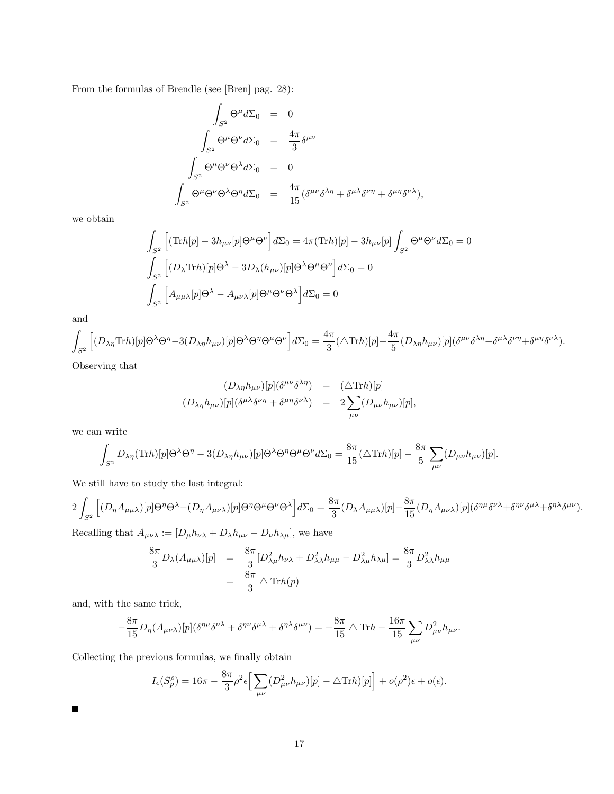From the formulas of Brendle (see [Bren] pag. 28):

$$
\int_{S^2} \Theta^{\mu} d\Sigma_0 = 0
$$
  

$$
\int_{S^2} \Theta^{\mu} \Theta^{\nu} d\Sigma_0 = \frac{4\pi}{3} \delta^{\mu\nu}
$$
  

$$
\int_{S^2} \Theta^{\mu} \Theta^{\nu} \Theta^{\lambda} d\Sigma_0 = 0
$$
  

$$
\int_{S^2} \Theta^{\mu} \Theta^{\nu} \Theta^{\lambda} \Theta^{\eta} d\Sigma_0 = \frac{4\pi}{15} (\delta^{\mu\nu} \delta^{\lambda\eta} + \delta^{\mu\lambda} \delta^{\nu\eta} + \delta^{\mu\eta} \delta^{\nu\lambda}),
$$

we obtain

$$
\int_{S^2} \left[ (\text{Tr}h[p] - 3h_{\mu\nu}[p] \Theta^{\mu} \Theta^{\nu} \right] d\Sigma_0 = 4\pi (\text{Tr}h)[p] - 3h_{\mu\nu}[p] \int_{S^2} \Theta^{\mu} \Theta^{\nu} d\Sigma_0 = 0
$$
  

$$
\int_{S^2} \left[ (D_{\lambda} \text{Tr}h)[p] \Theta^{\lambda} - 3D_{\lambda} (h_{\mu\nu})[p] \Theta^{\lambda} \Theta^{\mu} \Theta^{\nu} \right] d\Sigma_0 = 0
$$
  

$$
\int_{S^2} \left[ A_{\mu\mu\lambda}[p] \Theta^{\lambda} - A_{\mu\nu\lambda}[p] \Theta^{\mu} \Theta^{\nu} \Theta^{\lambda} \right] d\Sigma_0 = 0
$$

and

$$
\int_{S^2}\Big[(D_{\lambda\eta}\text{Tr}h)[p]\Theta^{\lambda}\Theta^{\eta}-3(D_{\lambda\eta}h_{\mu\nu})[p]\Theta^{\lambda}\Theta^{\eta}\Theta^{\mu}\Theta^{\nu}\Big]d\Sigma_0=\frac{4\pi}{3}(\triangle\text{Tr}h)[p]-\frac{4\pi}{5}(D_{\lambda\eta}h_{\mu\nu})[p](\delta^{\mu\nu}\delta^{\lambda\eta}+\delta^{\mu\lambda}\delta^{\nu\eta}+\delta^{\mu\eta}\delta^{\nu\lambda}).
$$

Observing that

$$
(D_{\lambda\eta}h_{\mu\nu})[p](\delta^{\mu\nu}\delta^{\lambda\eta}) = (\Delta \text{Tr}h)[p]
$$
  

$$
(D_{\lambda\eta}h_{\mu\nu})[p](\delta^{\mu\lambda}\delta^{\nu\eta} + \delta^{\mu\eta}\delta^{\nu\lambda}) = 2\sum_{\mu\nu}(D_{\mu\nu}h_{\mu\nu})[p],
$$

we can write

$$
\int_{S^2} D_{\lambda\eta}(\text{Tr}h)[p] \Theta^{\lambda} \Theta^{\eta} - 3(D_{\lambda\eta}h_{\mu\nu})[p] \Theta^{\lambda} \Theta^{\eta} \Theta^{\mu} \Theta^{\nu} d\Sigma_0 = \frac{8\pi}{15}(\triangle \text{Tr}h)[p] - \frac{8\pi}{5} \sum_{\mu\nu} (D_{\mu\nu}h_{\mu\nu})[p].
$$

We still have to study the last integral:

$$
2\int_{S^2} \Big[ (D_{\eta}A_{\mu\mu\lambda})[p]\Theta^{\eta}\Theta^{\lambda} - (D_{\eta}A_{\mu\nu\lambda})[p]\Theta^{\eta}\Theta^{\mu}\Theta^{\nu}\Theta^{\lambda} \Big] d\Sigma_0 = \frac{8\pi}{3} (D_{\lambda}A_{\mu\mu\lambda})[p] - \frac{8\pi}{15} (D_{\eta}A_{\mu\nu\lambda})[p] (\delta^{\eta\mu}\delta^{\nu\lambda} + \delta^{\eta\nu}\delta^{\mu\lambda} + \delta^{\eta\lambda}\delta^{\mu\nu}).
$$

Recalling that  $A_{\mu\nu\lambda} := [D_{\mu}h_{\nu\lambda} + D_{\lambda}h_{\mu\nu} - D_{\nu}h_{\lambda\mu}]$ , we have

$$
\frac{8\pi}{3}D_{\lambda}(A_{\mu\mu\lambda})[p] = \frac{8\pi}{3}[D_{\lambda\mu}^2h_{\nu\lambda} + D_{\lambda\lambda}^2h_{\mu\mu} - D_{\lambda\mu}^2h_{\lambda\mu}] = \frac{8\pi}{3}D_{\lambda\lambda}^2h_{\mu\mu}
$$

$$
= \frac{8\pi}{3}\Delta \text{Tr}h(p)
$$

and, with the same trick,

 $\blacksquare$ 

$$
-\frac{8\pi}{15}D_{\eta}(A_{\mu\nu\lambda})[p](\delta^{\eta\mu}\delta^{\nu\lambda}+\delta^{\eta\nu}\delta^{\mu\lambda}+\delta^{\eta\lambda}\delta^{\mu\nu})=-\frac{8\pi}{15}\bigtriangleup\mathrm{Tr}h-\frac{16\pi}{15}\sum_{\mu\nu}D_{\mu\nu}^{2}h_{\mu\nu}.
$$

Collecting the previous formulas, we finally obtain

$$
I_{\epsilon}(S_p^{\rho}) = 16\pi - \frac{8\pi}{3}\rho^2 \epsilon \left[ \sum_{\mu\nu} (D_{\mu\nu}^2 h_{\mu\nu})[p] - \Delta \text{Tr}h)[p] \right] + o(\rho^2)\epsilon + o(\epsilon).
$$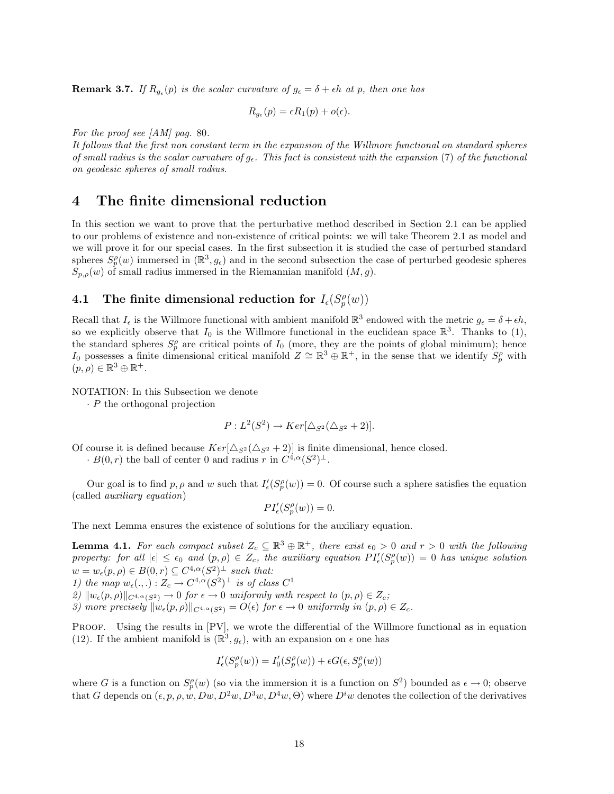**Remark 3.7.** If  $R_{g_{\epsilon}}(p)$  is the scalar curvature of  $g_{\epsilon} = \delta + \epsilon h$  at p, then one has

$$
R_{g_{\epsilon}}(p) = \epsilon R_1(p) + o(\epsilon).
$$

For the proof see [AM] pag. 80.

It follows that the first non constant term in the expansion of the Willmore functional on standard spheres of small radius is the scalar curvature of  $g_{\epsilon}$ . This fact is consistent with the expansion (7) of the functional on geodesic spheres of small radius.

### 4 The finite dimensional reduction

In this section we want to prove that the perturbative method described in Section 2.1 can be applied to our problems of existence and non-existence of critical points: we will take Theorem 2.1 as model and we will prove it for our special cases. In the first subsection it is studied the case of perturbed standard spheres  $S_p^{\rho}(w)$  immersed in  $(\mathbb{R}^3, g_\epsilon)$  and in the second subsection the case of perturbed geodesic spheres  $S_{p,\rho}(w)$  of small radius immersed in the Riemannian manifold  $(M, g)$ .

## 4.1 The finite dimensional reduction for  $I_{\epsilon}(S_p^{\rho}(w))$

Recall that  $I_{\epsilon}$  is the Willmore functional with ambient manifold  $\mathbb{R}^{3}$  endowed with the metric  $g_{\epsilon} = \delta + \epsilon h$ , so we explicitly observe that  $I_0$  is the Willmore functional in the euclidean space  $\mathbb{R}^3$ . Thanks to (1), the standard spheres  $S_p^{\rho}$  are critical points of  $I_0$  (more, they are the points of global minimum); hence I<sub>0</sub> possesses a finite dimensional critical manifold  $Z \cong \mathbb{R}^3 \oplus \mathbb{R}^+$ , in the sense that we identify  $S_p^{\rho}$  with  $(p, \rho) \in \mathbb{R}^3 \oplus \mathbb{R}^+.$ 

NOTATION: In this Subsection we denote

 $\cdot$  P the orthogonal projection

$$
P: L^{2}(S^{2}) \rightarrow Ker[\Delta_{S^{2}}(\Delta_{S^{2}}+2)].
$$

Of course it is defined because  $Ker[\Delta_{S^2}(\Delta_{S^2} + 2)]$  is finite dimensional, hence closed.

 $\cdot B(0,r)$  the ball of center 0 and radius r in  $C^{4,\alpha}(S^2)^{\perp}$ .

Our goal is to find p,  $\rho$  and w such that  $I'_{\epsilon}(S_p^{\rho}(w)) = 0$ . Of course such a sphere satisfies the equation (called auxiliary equation)

$$
PI'_{\epsilon}(S^{\rho}_{p}(w)) = 0.
$$

The next Lemma ensures the existence of solutions for the auxiliary equation.

**Lemma 4.1.** For each compact subset  $Z_c \subseteq \mathbb{R}^3 \oplus \mathbb{R}^+$ , there exist  $\epsilon_0 > 0$  and  $r > 0$  with the following property: for all  $|\epsilon| \leq \epsilon_0$  and  $(p, \rho) \in Z_c$ , the auxiliary equation  $PI'_{\epsilon}(S_p^{\rho}(w)) = 0$  has unique solution  $w = w_{\epsilon}(p, \rho) \in B(0, r) \subseteq C^{4,\alpha}(S^2)^{\perp}$  such that:

1) the map  $w_{\epsilon}(\cdot, \cdot) : Z_c \to C^{4,\alpha}(S^2)^{\perp}$  is of class  $C^1$ 

2)  $\|w_{\epsilon}(p, \rho)\|_{C^{4,\alpha}(S^2)} \to 0$  for  $\epsilon \to 0$  uniformly with respect to  $(p, \rho) \in Z_c$ ;

3) more precisely  $||w_{\epsilon}(p, \rho)||_{C^{4,\alpha}(S^2)} = O(\epsilon)$  for  $\epsilon \to 0$  uniformly in  $(p, \rho) \in Z_c$ .

PROOF. Using the results in [PV], we wrote the differential of the Willmore functional as in equation (12). If the ambient manifold is  $(\mathbb{R}^3, g_{\epsilon})$ , with an expansion on  $\epsilon$  one has

$$
I'_{\epsilon}(S^{\rho}_p(w)) = I'_{0}(S^{\rho}_p(w)) + \epsilon G(\epsilon, S^{\rho}_p(w))
$$

where G is a function on  $S_p^{\rho}(w)$  (so via the immersion it is a function on  $S^2$ ) bounded as  $\epsilon \to 0$ ; observe that G depends on  $(\epsilon, p, \rho, w, Dw, D^2w, D^3w, D^4w, \Theta)$  where  $D^iw$  denotes the collection of the derivatives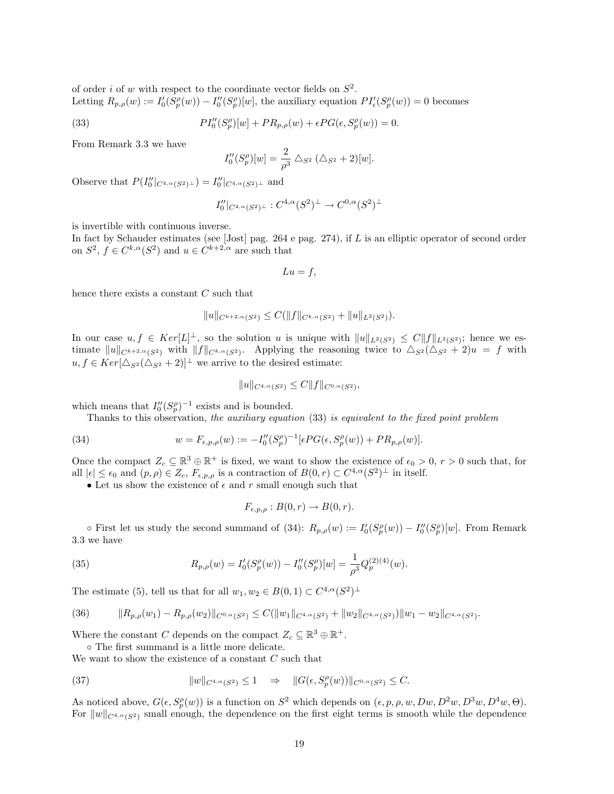of order *i* of w with respect to the coordinate vector fields on  $S^2$ . Letting  $R_{p,\rho}(w) := I'_0(S_p^{\rho}(w)) - I''_0(S_p^{\rho})[w]$ , the auxiliary equation  $PI'_{\epsilon}(S_p^{\rho}(w)) = 0$  becomes

(33) 
$$
PI''_0(S_p^{\rho})[w] + PR_{p,\rho}(w) + \epsilon PG(\epsilon, S_p^{\rho}(w)) = 0.
$$

From Remark 3.3 we have

$$
I_0''(S_p^{\rho})[w] = \frac{2}{\rho^3} \triangle_{S^2} (\triangle_{S^2} + 2)[w].
$$

Observe that  $P(I_0''|_{C^{4,\alpha}(S^2)^{\perp}}) = I_0''|_{C^{4,\alpha}(S^2)^{\perp}}$  and

$$
I''_0|_{C^{4,\alpha}(S^2)^\perp}: C^{4,\alpha}(S^2)^\perp \to C^{0,\alpha}(S^2)^\perp
$$

is invertible with continuous inverse.

In fact by Schauder estimates (see [Jost] pag. 264 e pag. 274), if L is an elliptic operator of second order on  $S^2$ ,  $f \in C^{k,\alpha}(S^2)$  and  $u \in C^{k+2,\alpha}$  are such that

$$
Lu = f,
$$

hence there exists a constant C such that

$$
||u||_{C^{k+2,\alpha}(S^2)} \leq C(||f||_{C^{k,\alpha}(S^2)} + ||u||_{L^2(S^2)}).
$$

In our case  $u, f \in Ker[L]^{\perp}$ , so the solution u is unique with  $||u||_{L^2(S^2)} \leq C||f||_{L^2(S^2)}$ ; hence we estimate  $||u||_{C^{k+2,\alpha}(S^2)}$  with  $||f||_{C^{k,\alpha}(S^2)}$ . Applying the reasoning twice to  $\Delta_{S^2}(\Delta_{S^2} + 2)u = f$  with  $u, f \in Ker[\Delta_{S^2}(\Delta_{S^2}+2)]^{\perp}$  we arrive to the desired estimate:

$$
||u||_{C^{4,\alpha}(S^2)} \leq C||f||_{C^{0,\alpha}(S^2)},
$$

which means that  $I_0''(S_p^{\rho})^{-1}$  exists and is bounded.

Thanks to this observation, the auxiliary equation (33) is equivalent to the fixed point problem

(34) 
$$
w = F_{\epsilon, p, \rho}(w) := -I_0''(S_p^{\rho})^{-1}[\epsilon PG(\epsilon, S_p^{\rho}(w)) + PR_{p, \rho}(w)].
$$

Once the compact  $Z_c \subseteq \mathbb{R}^3 \oplus \mathbb{R}^+$  is fixed, we want to show the existence of  $\epsilon_0 > 0$ ,  $r > 0$  such that, for all  $|\epsilon| \leq \epsilon_0$  and  $(p, \rho) \in Z_c$ ,  $F_{\epsilon, p, \rho}$  is a contraction of  $B(0, r) \subset C^{4,\alpha}(S^2)^{\perp}$  in itself.

• Let us show the existence of  $\epsilon$  and  $r$  small enough such that

$$
F_{\epsilon,p,\rho}: B(0,r) \to B(0,r).
$$

 $\circ$  First let us study the second summand of (34):  $R_{p,\rho}(w) := I'_0(S_p^{\rho}(w)) - I''_0(S_p^{\rho})[w]$ . From Remark 3.3 we have

(35) 
$$
R_{p,\rho}(w) = I'_0(S_p^{\rho}(w)) - I''_0(S_p^{\rho})[w] = \frac{1}{\rho^3} Q_p^{(2)(4)}(w).
$$

The estimate (5), tell us that for all  $w_1, w_2 \in B(0, 1) \subset C^{4,\alpha}(S^2)^{\perp}$ 

$$
(36) \t\t\t ||R_{p,\rho}(w_1)-R_{p,\rho}(w_2)||_{C^{0,\alpha}(S^2)} \leq C(||w_1||_{C^{4,\alpha}(S^2)}+||w_2||_{C^{4,\alpha}(S^2)})||w_1-w_2||_{C^{4,\alpha}(S^2)}.
$$

Where the constant C depends on the compact  $Z_c \subseteq \mathbb{R}^3 \oplus \mathbb{R}^+$ .

◦ The first summand is a little more delicate.

We want to show the existence of a constant  $C$  such that

(37) 
$$
||w||_{C^{4,\alpha}(S^2)} \leq 1 \quad \Rightarrow \quad ||G(\epsilon, S_p^{\rho}(w))||_{C^{0,\alpha}(S^2)} \leq C.
$$

As noticed above,  $G(\epsilon, S_p^{\rho}(w))$  is a function on  $S^2$  which depends on  $(\epsilon, p, \rho, w, Dw, D^2w, D^3w, D^4w, \Theta)$ . For  $||w||_{C^{4,\alpha}(S^2)}$  small enough, the dependence on the first eight terms is smooth while the dependence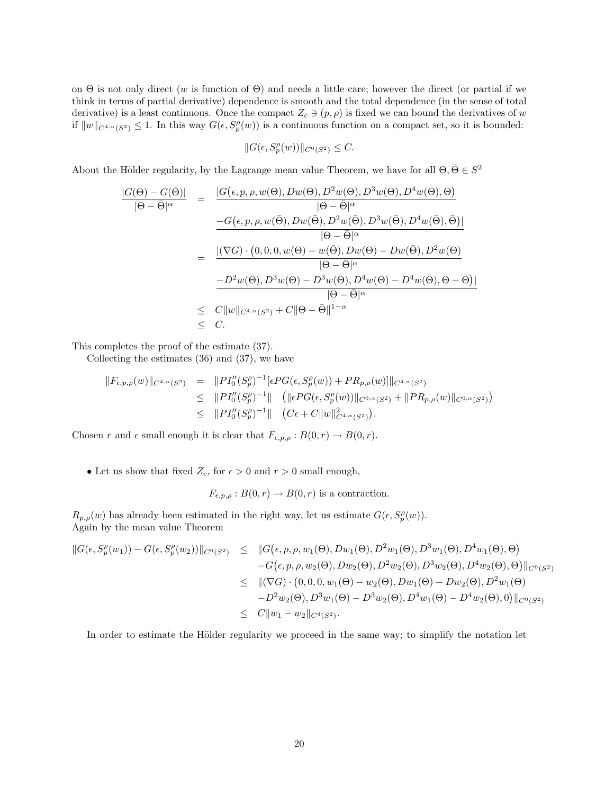on  $\Theta$  is not only direct (w is function of  $\Theta$ ) and needs a little care; however the direct (or partial if we think in terms of partial derivative) dependence is smooth and the total dependence (in the sense of total derivative) is a least continuous. Once the compact  $Z_c \ni (p, \rho)$  is fixed we can bound the derivatives of w if  $||w||_{C^{4,\alpha}(S^2)} \leq 1$ . In this way  $G(\epsilon, S_p^{\rho}(w))$  is a continuous function on a compact set, so it is bounded:

$$
||G(\epsilon, S_p^{\rho}(w))||_{C^0(S^2)} \leq C.
$$

About the Hölder regularity, by the Lagrange mean value Theorem, we have for all  $\Theta, \bar{\Theta} \in S^2$ 

$$
\frac{|G(\Theta) - G(\bar{\Theta})|}{|\Theta - \bar{\Theta}|^{\alpha}} = \frac{|G(\epsilon, p, \rho, w(\Theta), Dw(\Theta), D^2w(\Theta), D^3w(\Theta), D^4w(\Theta), \Theta)}{|\Theta - \bar{\Theta}|^{\alpha}} \n- \frac{G(\epsilon, p, \rho, w(\bar{\Theta}), Dw(\bar{\Theta}), D^2w(\bar{\Theta}), D^3w(\bar{\Theta}), D^4w(\bar{\Theta}), \bar{\Theta})|}{|\Theta - \bar{\Theta}|^{\alpha}} \n= \frac{|(\nabla G) \cdot (0, 0, 0, w(\Theta) - w(\bar{\Theta}), Dw(\Theta) - Dw(\bar{\Theta}), D^2w(\Theta))}{|\Theta - \bar{\Theta}|^{\alpha}} \n- D^2w(\bar{\Theta}), D^3w(\Theta) - D^3w(\bar{\Theta}), D^4w(\Theta) - D^4w(\bar{\Theta}), \Theta - \bar{\Theta})| \n\le C ||w||_{C^{4,\alpha}(S^2)} + C ||\Theta - \bar{\Theta}||^{1-\alpha} \n\le C.
$$

This completes the proof of the estimate (37).

Collecting the estimates (36) and (37), we have

$$
\begin{array}{rcl}\n\|F_{\epsilon,p,\rho}(w)\|_{C^{4,\alpha}(S^2)} & = & \|PI_0''(S_p^{\rho})^{-1}[\epsilon PG(\epsilon, S_p^{\rho}(w)) + PR_{p,\rho}(w)]\|_{C^{4,\alpha}(S^2)} \\
& \leq & \|PI_0''(S_p^{\rho})^{-1}\| \quad \left(\|\epsilon PG(\epsilon, S_p^{\rho}(w))\|_{C^{0,\alpha}(S^2)} + \|PR_{p,\rho}(w)\|_{C^{0,\alpha}(S^2)}\right) \\
& \leq & \|PI_0''(S_p^{\rho})^{-1}\| \quad \left(C\epsilon + C\|w\|_{C^{4,\alpha}(S^2)}^2\right).\n\end{array}
$$

Chosen r and  $\epsilon$  small enough it is clear that  $F_{\epsilon,p,\rho}: B(0,r) \to B(0,r)$ .

• Let us show that fixed  $Z_c$ , for  $\epsilon > 0$  and  $r > 0$  small enough,

$$
F_{\epsilon,p,\rho}: B(0,r) \to B(0,r)
$$
 is a contraction.

 $R_{p,\rho}(w)$  has already been estimated in the right way, let us estimate  $G(\epsilon, S_p^{\rho}(w))$ . Again by the mean value Theorem

$$
\|G(\epsilon, S_p^{\rho}(w_1)) - G(\epsilon, S_p^{\rho}(w_2))\|_{C^0(S^2)} \leq \|G(\epsilon, p, \rho, w_1(\Theta), Dw_1(\Theta), D^2w_1(\Theta), D^3w_1(\Theta), D^4w_1(\Theta), \Theta) -G(\epsilon, p, \rho, w_2(\Theta), Dw_2(\Theta), D^2w_2(\Theta), D^3w_2(\Theta), D^4w_2(\Theta), \Theta)\|_{C^0(S^2)} \leq \|(\nabla G) \cdot (0, 0, 0, w_1(\Theta) - w_2(\Theta), Dw_1(\Theta) - Dw_2(\Theta), D^2w_1(\Theta) -D^2w_2(\Theta), D^3w_1(\Theta) - D^3w_2(\Theta), D^4w_1(\Theta) - D^4w_2(\Theta), 0)\|_{C^0(S^2)} \leq C\|w_1 - w_2\|_{C^4(S^2)}.
$$

In order to estimate the Hölder regularity we proceed in the same way; to simplify the notation let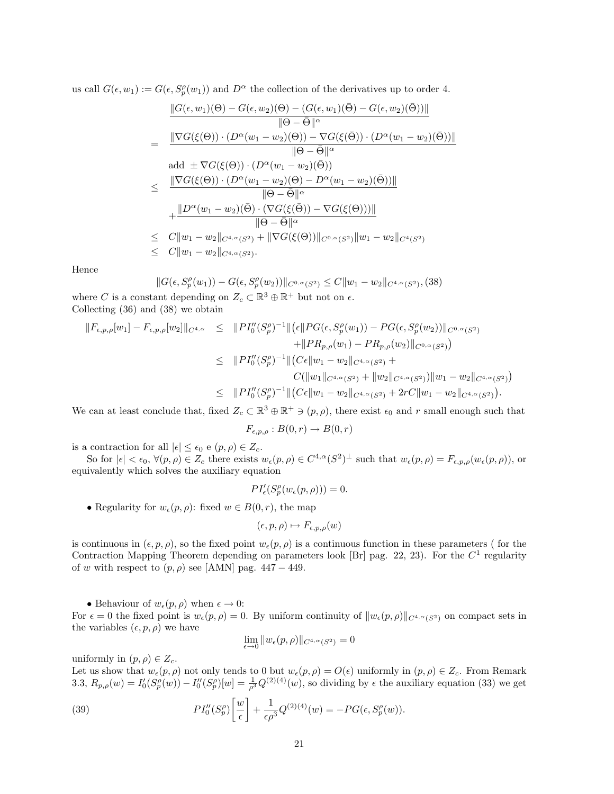us call  $G(\epsilon, w_1) := G(\epsilon, S_p^{\rho}(w_1))$  and  $D^{\alpha}$  the collection of the derivatives up to order 4.

$$
\frac{\|G(\epsilon,w_1)(\Theta) - G(\epsilon,w_2)(\Theta) - (G(\epsilon,w_1)(\bar{\Theta}) - G(\epsilon,w_2)(\bar{\Theta}))\|}{\|\Theta - \bar{\Theta}\|^{\alpha}} \n= \frac{\|\nabla G(\xi(\Theta)) \cdot (D^{\alpha}(w_1 - w_2)(\Theta)) - \nabla G(\xi(\bar{\Theta})) \cdot (D^{\alpha}(w_1 - w_2)(\bar{\Theta}))\|}{\|\Theta - \bar{\Theta}\|^{\alpha}} \n\text{add } \pm \nabla G(\xi(\Theta)) \cdot (D^{\alpha}(w_1 - w_2)(\bar{\Theta})) \n\leq \frac{\|\nabla G(\xi(\Theta)) \cdot (D^{\alpha}(w_1 - w_2)(\Theta) - D^{\alpha}(w_1 - w_2)(\bar{\Theta}))\|}{\|\Theta - \bar{\Theta}\|^{\alpha}} \n+ \frac{\|D^{\alpha}(w_1 - w_2)(\bar{\Theta}) \cdot (\nabla G(\xi(\bar{\Theta})) - \nabla G(\xi(\Theta)))\|}{\|\Theta - \bar{\Theta}\|^{\alpha}} \n\leq C \|w_1 - w_2\|_{C^{4,\alpha}(S^2)} + \|\nabla G(\xi(\Theta))\|_{C^{0,\alpha}(S^2)} \|w_1 - w_2\|_{C^{4}(S^2)} \n\leq C \|w_1 - w_2\|_{C^{4,\alpha}(S^2)}.
$$

Hence

$$
||G(\epsilon, S_p^{\rho}(w_1)) - G(\epsilon, S_p^{\rho}(w_2))||_{C^{0,\alpha}(S^2)} \leq C||w_1 - w_2||_{C^{4,\alpha}(S^2)}, (38)
$$

where C is a constant depending on  $Z_c \subset \mathbb{R}^3 \oplus \mathbb{R}^+$  but not on  $\epsilon$ . Collecting (36) and (38) we obtain

$$
\|F_{\epsilon,p,\rho}[w_1] - F_{\epsilon,p,\rho}[w_2]\|_{C^{4,\alpha}} \le \|PI_0''(S_p^{\rho})^{-1}\|(\epsilon \|PG(\epsilon, S_p^{\rho}(w_1)) - PG(\epsilon, S_p^{\rho}(w_2))\|_{C^{0,\alpha}(S^2)} \n+ \|PR_{p,\rho}(w_1) - PR_{p,\rho}(w_2)\|_{C^{0,\alpha}(S^2)}\)
$$
\n
$$
\le \|PI_0''(S_p^{\rho})^{-1}\| (C\epsilon \|w_1 - w_2\|_{C^{4,\alpha}(S^2)} + C(\|w_1\|_{C^{4,\alpha}(S^2)} + \|w_2\|_{C^{4,\alpha}(S^2)})\|w_1 - w_2\|_{C^{4,\alpha}(S^2)})
$$
\n
$$
\le \|PI_0''(S_p^{\rho})^{-1}\| (C\epsilon \|w_1 - w_2\|_{C^{4,\alpha}(S^2)} + 2rC \|w_1 - w_2\|_{C^{4,\alpha}(S^2)}).
$$

We can at least conclude that, fixed  $Z_c \subset \mathbb{R}^3 \oplus \mathbb{R}^+ \ni (p, \rho)$ , there exist  $\epsilon_0$  and r small enough such that

$$
F_{\epsilon,p,\rho}:B(0,r)\to B(0,r)
$$

is a contraction for all  $|\epsilon| \leq \epsilon_0$  e  $(p, \rho) \in Z_c$ .

So for  $|\epsilon| < \epsilon_0$ ,  $\forall (p, \rho) \in Z_c$  there exists  $w_{\epsilon}(p, \rho) \in C^{4,\alpha}(S^2)^{\perp}$  such that  $w_{\epsilon}(p, \rho) = F_{\epsilon, p, \rho}(w_{\epsilon}(p, \rho))$ , or equivalently which solves the auxiliary equation

$$
PI'_{\epsilon}(S^{\rho}_{p}(w_{\epsilon}(p,\rho)))=0.
$$

• Regularity for  $w_{\epsilon}(p, \rho)$ : fixed  $w \in B(0, r)$ , the map

$$
(\epsilon, p, \rho) \mapsto F_{\epsilon, p, \rho}(w)
$$

is continuous in  $(\epsilon, p, \rho)$ , so the fixed point  $w_{\epsilon}(p, \rho)$  is a continuous function in these parameters ( for the Contraction Mapping Theorem depending on parameters look [Br] pag. 22, 23). For the  $C<sup>1</sup>$  regularity of w with respect to  $(p, \rho)$  see [AMN] pag. 447 – 449.

• Behaviour of  $w_{\epsilon}(p, \rho)$  when  $\epsilon \to 0$ :

For  $\epsilon = 0$  the fixed point is  $w_{\epsilon}(p, \rho) = 0$ . By uniform continuity of  $||w_{\epsilon}(p, \rho)||_{C^{4,\alpha}(S^2)}$  on compact sets in the variables  $(\epsilon, p, \rho)$  we have

$$
\lim_{\epsilon \to 0} \|w_{\epsilon}(p,\rho)\|_{C^{4,\alpha}(S^2)} = 0
$$

uniformly in  $(p, \rho) \in Z_c$ .

Let us show that  $w_{\epsilon}(p, \rho)$  not only tends to 0 but  $w_{\epsilon}(p, \rho) = O(\epsilon)$  uniformly in  $(p, \rho) \in Z_c$ . From Remark 3.3,  $R_{p,\rho}(w) = I_0'(S_p^{\rho}(w)) - I_0''(S_p^{\rho})[w] = \frac{1}{\rho^3} Q^{(2)(4)}(w)$ , so dividing by  $\epsilon$  the auxiliary equation (33) we get

(39) 
$$
PI''_0(S_p^{\rho})\left[\frac{w}{\epsilon}\right] + \frac{1}{\epsilon \rho^3} Q^{(2)(4)}(w) = -PG(\epsilon, S_p^{\rho}(w)).
$$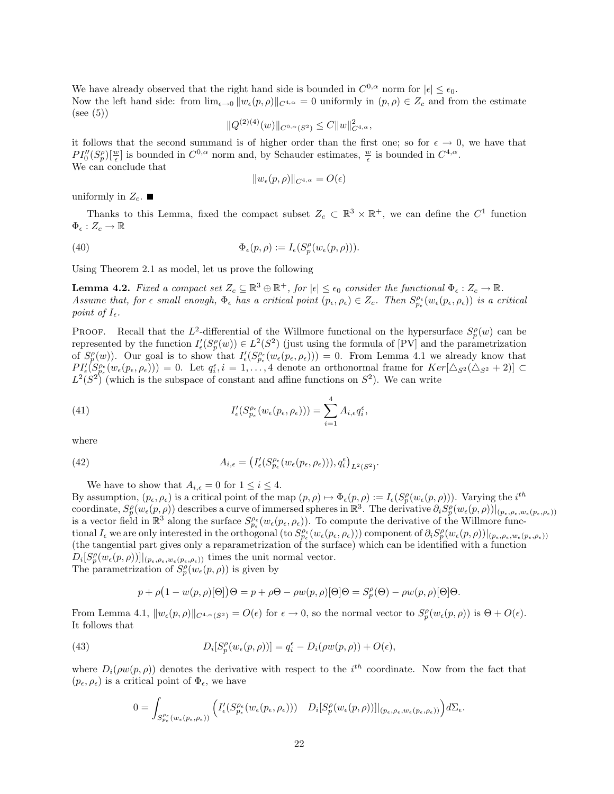We have already observed that the right hand side is bounded in  $C^{0,\alpha}$  norm for  $|\epsilon| \leq \epsilon_0$ . Now the left hand side: from  $\lim_{\epsilon \to 0} ||w_{\epsilon}(p, \rho)||_{C^{4,\alpha}} = 0$  uniformly in  $(p, \rho) \in Z_c$  and from the estimate  $(see (5))$ 

$$
||Q^{(2)(4)}(w)||_{C^{0,\alpha}(S^2)} \leq C||w||_{C^{4,\alpha}}^2,
$$

it follows that the second summand is of higher order than the first one; so for  $\epsilon \to 0$ , we have that  $PI''_0(S_p^{\rho})[\frac{w}{\epsilon}]$  is bounded in  $C^{0,\alpha}$  norm and, by Schauder estimates,  $\frac{w}{\epsilon}$  is bounded in  $C^{4,\alpha}$ . We can conclude that

$$
||w_{\epsilon}(p,\rho)||_{C^{4,\alpha}} = O(\epsilon)
$$

uniformly in  $Z_c$ .

Thanks to this Lemma, fixed the compact subset  $Z_c \subset \mathbb{R}^3 \times \mathbb{R}^+$ , we can define the  $C^1$  function  $\Phi_{\epsilon}: Z_{c} \to \mathbb{R}$ 

(40) 
$$
\Phi_{\epsilon}(p,\rho) := I_{\epsilon}(S_p^{\rho}(w_{\epsilon}(p,\rho))).
$$

Using Theorem 2.1 as model, let us prove the following

**Lemma 4.2.** Fixed a compact set  $Z_c \subseteq \mathbb{R}^3 \oplus \mathbb{R}^+$ , for  $|\epsilon| \leq \epsilon_0$  consider the functional  $\Phi_{\epsilon}: Z_c \to \mathbb{R}$ . Assume that, for  $\epsilon$  small enough,  $\Phi_{\epsilon}$  has a critical point  $(p_{\epsilon}, \rho_{\epsilon}) \in Z_c$ . Then  $S_{p_{\epsilon}}^{\rho_{\epsilon}}(w_{\epsilon}(p_{\epsilon}, \rho_{\epsilon}))$  is a critical point of  $I_{\epsilon}$ .

**PROOF.** Recall that the L<sup>2</sup>-differential of the Willmore functional on the hypersurface  $S_p^{\rho}(w)$  can be represented by the function  $I'_{\epsilon}(S_p^{\rho}(w)) \in L^2(S^2)$  (just using the formula of [PV] and the parametrization of  $S_p^{\rho}(w)$ ). Our goal is to show that  $I'_{\epsilon}(S_{p_{\epsilon}}^{\rho_{\epsilon}}(w_{\epsilon}(p_{\epsilon},\rho_{\epsilon})))=0$ . From Lemma 4.1 we already know that  $PI'_{\epsilon}(S_{p_{\epsilon}}^{p_{\epsilon}}(w_{\epsilon}(p_{\epsilon},\rho_{\epsilon})))=0.$  Let  $q_{i}^{\epsilon}, i=1,\ldots,4$  denote an orthonormal frame for  $Ker[\Delta_{S^{2}}(\Delta_{S^{2}}+2)] \subset$  $L^2(S^2)$  (which is the subspace of constant and affine functions on  $S^2$ ). We can write

(41) 
$$
I'_{\epsilon}(S_{p_{\epsilon}}^{\rho_{\epsilon}}(w_{\epsilon}(p_{\epsilon},\rho_{\epsilon})))=\sum_{i=1}^{4}A_{i,\epsilon}q_{i}^{\epsilon},
$$

where

(42) 
$$
A_{i,\epsilon} = \left(I'_{\epsilon}(S^{\rho_{\epsilon}}_{p_{\epsilon}}(w_{\epsilon}(p_{\epsilon}, \rho_{\epsilon}))), q_{i}^{\epsilon}\right)_{L^{2}(S^{2})}.
$$

We have to show that  $A_{i,\epsilon} = 0$  for  $1 \leq i \leq 4$ . By assumption,  $(p_{\epsilon}, \rho_{\epsilon})$  is a critical point of the map  $(p, \rho) \mapsto \Phi_{\epsilon}(p, \rho) := I_{\epsilon}(S^{\rho}_{p}(w_{\epsilon}(p, \rho)))$ . Varying the  $i^{th}$ coordinate,  $S_p^{\rho}(w_{\epsilon}(p,\rho))$  describes a curve of immersed spheres in  $\mathbb{R}^3$ . The derivative  $\partial_i S_p^{\rho}(w_{\epsilon}(p,\rho))|_{(p_{\epsilon},\rho_{\epsilon},w_{\epsilon}(p_{\epsilon},\rho_{\epsilon}))}$ is a vector field in  $\mathbb{R}^3$  along the surface  $S_{p_\epsilon}^{\rho_\epsilon}(w_\epsilon(p_\epsilon, \rho_\epsilon))$ . To compute the derivative of the Willmore functional  $I_{\epsilon}$  we are only interested in the orthogonal (to  $S_{p_{\epsilon}}^{\rho_{\epsilon}}(w_{\epsilon}(p_{\epsilon}, \rho_{\epsilon}))$ ) component of  $\partial_{i}S_{p}^{\rho}(w_{\epsilon}(p, \rho))|_{(p_{\epsilon}, \rho_{\epsilon}, w_{\epsilon}(p_{\epsilon}, \rho_{\epsilon}))}$ (the tangential part gives only a reparametrization of the surface) which can be identified with a function  $D_i[S_p^{\rho}(w_{\epsilon}(p,\rho))]_{(p_{\epsilon},\rho_{\epsilon},w_{\epsilon}(p_{\epsilon},\rho_{\epsilon}))}$  times the unit normal vector. The parametrization of  $\tilde{S}_{p}^{\rho}(w_{\epsilon}(p,\rho))$  is given by

$$
p + \rho \big(1 - w(p, \rho)[\Theta]\big)\Theta = p + \rho \Theta - \rho w(p, \rho)[\Theta]\Theta = S_p^{\rho}(\Theta) - \rho w(p, \rho)[\Theta]\Theta.
$$

From Lemma 4.1,  $||w_{\epsilon}(p,\rho)||_{C^{4,\alpha}(S^2)} = O(\epsilon)$  for  $\epsilon \to 0$ , so the normal vector to  $S^{\rho}_{p}(w_{\epsilon}(p,\rho))$  is  $\Theta + O(\epsilon)$ . It follows that

(43) 
$$
D_i[S_p^{\rho}(w_{\epsilon}(p,\rho))] = q_i^{\epsilon} - D_i(\rho w(p,\rho)) + O(\epsilon),
$$

where  $D_i(\rho w(p,\rho))$  denotes the derivative with respect to the i<sup>th</sup> coordinate. Now from the fact that  $(p_{\epsilon}, \rho_{\epsilon})$  is a critical point of  $\Phi_{\epsilon}$ , we have

$$
0 = \int_{S_{p_{\epsilon}}^{\rho_{\epsilon}}(w_{\epsilon}(p_{\epsilon},\rho_{\epsilon}))} \Big( I'_{\epsilon}(S_{p_{\epsilon}}^{\rho_{\epsilon}}(w_{\epsilon}(p_{\epsilon},\rho_{\epsilon}))) - D_i[S'_p(w_{\epsilon}(p,\rho))]|_{(p_{\epsilon},\rho_{\epsilon},w_{\epsilon}(p_{\epsilon},\rho_{\epsilon}))} \Big) d\Sigma_{\epsilon}.
$$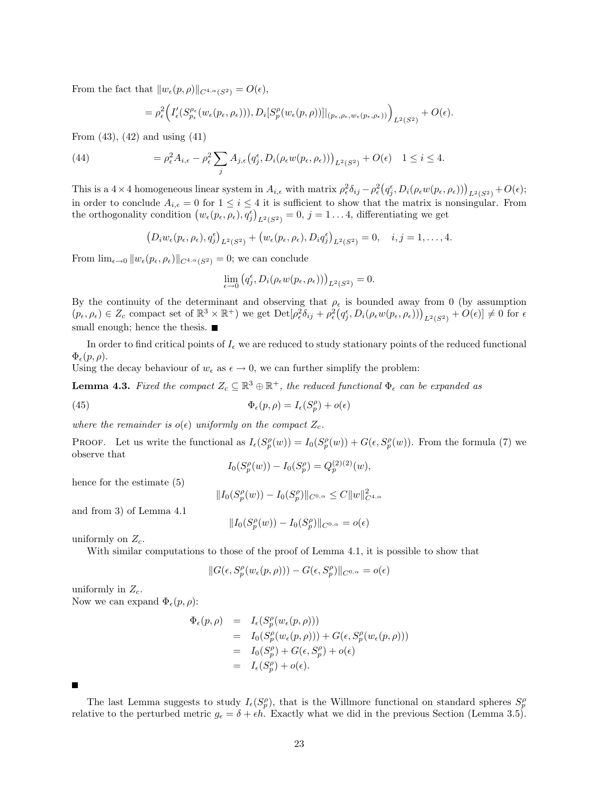From the fact that  $||w_{\epsilon}(p, \rho)||_{C^{4,\alpha}(S^2)} = O(\epsilon),$ 

$$
= \rho_{\epsilon}^2 \Big( I'_{\epsilon} (S_{p_{\epsilon}}^{\rho_{\epsilon}}(w_{\epsilon}(p_{\epsilon}, \rho_{\epsilon}))), D_i[S'_p(w_{\epsilon}(p, \rho))]|_{(p_{\epsilon}, \rho_{\epsilon}, w_{\epsilon}(p_{\epsilon}, \rho_{\epsilon}))} \Big)_{L^2(S^2)} + O(\epsilon).
$$

From  $(43)$ ,  $(42)$  and using  $(41)$ 

(44) 
$$
= \rho_{\epsilon}^2 A_{i,\epsilon} - \rho_{\epsilon}^2 \sum_j A_{j,\epsilon} (q_j^{\epsilon}, D_i(\rho_{\epsilon} w(p_{\epsilon}, \rho_{\epsilon})))_{L^2(S^2)} + O(\epsilon) \quad 1 \leq i \leq 4.
$$

This is a 4 × 4 homogeneous linear system in  $A_{i,\epsilon}$  with matrix  $\rho_{\epsilon}^2 \delta_{ij} - \rho_{\epsilon}^2 (q_j^{\epsilon}, D_i(\rho_{\epsilon} w(p_{\epsilon}, \rho_{\epsilon})))_{L^2(S^2)} + O(\epsilon);$ in order to conclude  $A_{i,\epsilon} = 0$  for  $1 \leq i \leq 4$  it is sufficient to show that the matrix is nonsingular. From the orthogonality condition  $(w_{\epsilon}(p_{\epsilon}, \rho_{\epsilon}), q_{j}^{\epsilon})_{L^{2}(S^{2})} = 0, j = 1...4$ , differentiating we get

$$
(D_i w_{\epsilon}(p_{\epsilon}, \rho_{\epsilon}), q_j^{\epsilon})_{L^2(S^2)} + (w_{\epsilon}(p_{\epsilon}, \rho_{\epsilon}), D_i q_j^{\epsilon})_{L^2(S^2)} = 0, \quad i, j = 1, \ldots, 4.
$$

From  $\lim_{\epsilon \to 0} ||w_{\epsilon}(p_{\epsilon}, \rho_{\epsilon})||_{C^{4,\alpha}(S^2)} = 0$ ; we can conclude

$$
\lim_{\epsilon \to 0} (q_j^\epsilon, D_i(\rho_\epsilon w(p_\epsilon,\rho_\epsilon)))_{L^2(S^2)} = 0.
$$

By the continuity of the determinant and observing that  $\rho_{\epsilon}$  is bounded away from 0 (by assumption  $(p_{\epsilon}, \rho_{\epsilon}) \in Z_c$  compact set of  $\mathbb{R}^3 \times \mathbb{R}^+$ ) we get  $\mathrm{Det}[\rho_{\epsilon}^2 \delta_{ij} + \rho_{\epsilon}^2 (q_j^{\epsilon}, D_i(\rho_{\epsilon} w(p_{\epsilon}, \rho_{\epsilon})))_{L^2(S^2)} + O(\epsilon)] \neq 0$  for  $\epsilon$ small enough; hence the thesis.  $\blacksquare$ 

In order to find critical points of  $I_{\epsilon}$  we are reduced to study stationary points of the reduced functional  $\Phi_{\epsilon}(p,\rho).$ 

Using the decay behaviour of  $w_{\epsilon}$  as  $\epsilon \to 0$ , we can further simplify the problem:

**Lemma 4.3.** Fixed the compact  $Z_c \subseteq \mathbb{R}^3 \oplus \mathbb{R}^+$ , the reduced functional  $\Phi_{\epsilon}$  can be expanded as

(45) 
$$
\Phi_{\epsilon}(p,\rho) = I_{\epsilon}(S_p^{\rho}) + o(\epsilon)
$$

where the remainder is  $o(\epsilon)$  uniformly on the compact  $Z_c$ .

PROOF. Let us write the functional as  $I_{\epsilon}(S_p^{\rho}(w)) = I_0(S_p^{\rho}(w)) + G(\epsilon, S_p^{\rho}(w))$ . From the formula (7) we observe that

$$
I_0(S_p^{\rho}(w)) - I_0(S_p^{\rho}) = Q_p^{(2)(2)}(w),
$$

hence for the estimate (5)

$$
||I_0(S_p^{\rho}(w)) - I_0(S_p^{\rho})||_{C^{0,\alpha}} \leq C||w||^2_{C^{4,\alpha}}
$$

and from 3) of Lemma 4.1

$$
||I_0(S_p^{\rho}(w)) - I_0(S_p^{\rho})||_{C^{0,\alpha}} = o(\epsilon)
$$

uniformly on  $Z_c$ .

With similar computations to those of the proof of Lemma 4.1, it is possible to show that

$$
||G(\epsilon, S_p^{\rho}(w_{\epsilon}(p,\rho))) - G(\epsilon, S_p^{\rho})||_{C^{0,\alpha}} = o(\epsilon)
$$

uniformly in  $Z_c$ . Now we can expand  $\Phi_{\epsilon}(p,\rho)$ :

$$
\begin{array}{rcl}\n\Phi_{\epsilon}(p,\rho) & = & I_{\epsilon}(S^{\rho}_{p}(w_{\epsilon}(p,\rho))) \\
& = & I_{0}(S^{\rho}_{p}(w_{\epsilon}(p,\rho))) + G(\epsilon, S^{\rho}_{p}(w_{\epsilon}(p,\rho))) \\
& = & I_{0}(S^{\rho}_{p}) + G(\epsilon, S^{\rho}_{p}) + o(\epsilon) \\
& = & I_{\epsilon}(S^{\rho}_{p}) + o(\epsilon).\n\end{array}
$$

The last Lemma suggests to study  $I_{\epsilon}(S_p^{\rho})$ , that is the Willmore functional on standard spheres  $S_p^{\rho}$ relative to the perturbed metric  $g_{\epsilon} = \delta + \epsilon h$ . Exactly what we did in the previous Section (Lemma 3.5).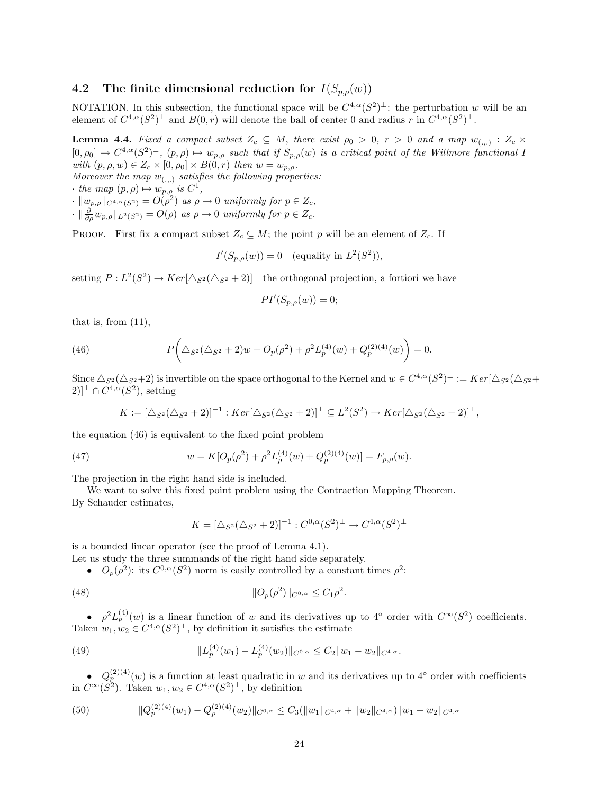### 4.2 The finite dimensional reduction for  $I(S_{p,\rho}(w))$

NOTATION. In this subsection, the functional space will be  $C^{4,\alpha}(S^2)^{\perp}$ : the perturbation w will be an element of  $C^{4,\alpha}(S^2)^{\perp}$  and  $B(0,r)$  will denote the ball of center 0 and radius r in  $C^{4,\alpha}(S^2)^{\perp}$ .

**Lemma 4.4.** Fixed a compact subset  $Z_c \subseteq M$ , there exist  $\rho_0 > 0$ ,  $r > 0$  and a map  $w_{(.,.)}: Z_c \times$  $[0, \rho_0] \to C^{4,\alpha}(S^2)^{\perp}, (p,\rho) \mapsto w_{p,\rho}$  such that if  $S_{p,\rho}(w)$  is a critical point of the Willmore functional I with  $(p, \rho, w) \in Z_c \times [0, \rho_0] \times B(0, r)$  then  $w = w_{p,\rho}$ .

Moreover the map  $w_{(\ldots)}$  satisfies the following properties:

· the map  $(p, \rho) \mapsto w_{p,\rho}$  is  $C^1$ ,

 $\cdot \|w_{p,\rho}\|_{C^{4,\alpha}(S^2)} = O(\rho^2)$  as  $\rho \to 0$  uniformly for  $p \in Z_c$ ,

 $\cdot \|\frac{\partial}{\partial \rho} w_{p,\rho}\|_{L^2(S^2)} = O(\rho)$  as  $\rho \to 0$  uniformly for  $p \in Z_c$ .

PROOF. First fix a compact subset  $Z_c \subseteq M$ ; the point p will be an element of  $Z_c$ . If

$$
I'(S_{p,\rho}(w)) = 0 \quad \text{(equality in } L^2(S^2)),
$$

setting  $P: L^2(S^2) \to Ker[\Delta_{S^2}(\Delta_{S^2}+2)]^{\perp}$  the orthogonal projection, a fortiori we have

$$
PI'(S_{p,\rho}(w)) = 0;
$$

that is, from  $(11)$ ,

(46) 
$$
P\bigg(\Delta_{S^2}(\Delta_{S^2}+2)w+O_p(\rho^2)+\rho^2L_p^{(4)}(w)+Q_p^{(2)(4)}(w)\bigg)=0.
$$

Since  $\Delta_{S^2}(\Delta_{S^2}+2)$  is invertible on the space orthogonal to the Kernel and  $w \in C^{4,\alpha}(S^2)^{\perp} := Ker[\Delta_{S^2}(\Delta_{S^2}+2)]$  $(2)$ <sup> $\perp \cap C^{4,\alpha}(S^2)$ , setting</sup>

$$
K := [\Delta_{S^2}(\Delta_{S^2} + 2)]^{-1} : Ker[\Delta_{S^2}(\Delta_{S^2} + 2)]^{\perp} \subseteq L^2(S^2) \to Ker[\Delta_{S^2}(\Delta_{S^2} + 2)]^{\perp},
$$

the equation (46) is equivalent to the fixed point problem

(47) 
$$
w = K[O_p(\rho^2) + \rho^2 L_p^{(4)}(w) + Q_p^{(2)(4)}(w)] = F_{p,\rho}(w).
$$

The projection in the right hand side is included.

We want to solve this fixed point problem using the Contraction Mapping Theorem. By Schauder estimates,

$$
K = [\Delta_{S^2}(\Delta_{S^2} + 2)]^{-1} : C^{0,\alpha}(S^2)^{\perp} \to C^{4,\alpha}(S^2)^{\perp}
$$

is a bounded linear operator (see the proof of Lemma 4.1).

Let us study the three summands of the right hand side separately.

•  $O_p(\rho^2)$ : its  $C^{0,\alpha}(S^2)$  norm is easily controlled by a constant times  $\rho^2$ :

(48) 
$$
||O_p(\rho^2)||_{C^{0,\alpha}} \leq C_1 \rho^2.
$$

•  $\rho^2 L_p^{(4)}(w)$  is a linear function of w and its derivatives up to 4° order with  $C^{\infty}(S^2)$  coefficients. Taken  $w_1, w_2 \in C^{4,\alpha}(S^2)^{\perp}$ , by definition it satisfies the estimate

(49) 
$$
||L_p^{(4)}(w_1) - L_p^{(4)}(w_2)||_{C^{0,\alpha}} \leq C_2 ||w_1 - w_2||_{C^{4,\alpha}}.
$$

•  $Q_p^{(2)(4)}(w)$  is a function at least quadratic in w and its derivatives up to 4° order with coefficients in  $C^{\infty}(S^2)$ . Taken  $w_1, w_2 \in C^{4,\alpha}(S^2)^{\perp}$ , by definition

(50) 
$$
\|Q_p^{(2)(4)}(w_1) - Q_p^{(2)(4)}(w_2)\|_{C^{0,\alpha}} \leq C_3(\|w_1\|_{C^{4,\alpha}} + \|w_2\|_{C^{4,\alpha}})\|w_1 - w_2\|_{C^{4,\alpha}}
$$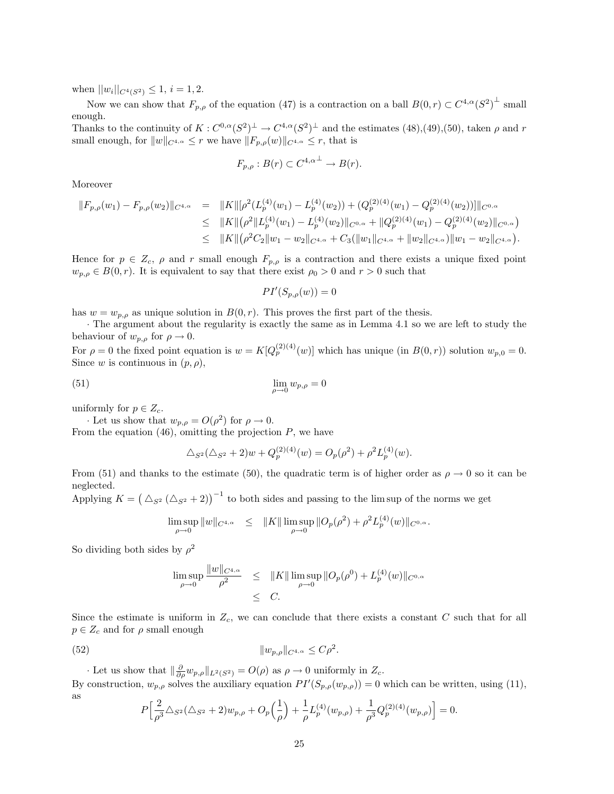when  $||w_i||_{C^4(S^2)} \leq 1$ ,  $i = 1, 2$ .

Now we can show that  $F_{p,\rho}$  of the equation (47) is a contraction on a ball  $B(0,r) \subset C^{4,\alpha}(S^2)^{\perp}$  small enough.

Thanks to the continuity of  $K: C^{0,\alpha}(S^2)^{\perp} \to C^{4,\alpha}(S^2)^{\perp}$  and the estimates  $(48),(49),(50)$ , taken  $\rho$  and r small enough, for  $||w||_{C^{4,\alpha}} \leq r$  we have  $||F_{p,\rho}(w)||_{C^{4,\alpha}} \leq r$ , that is

$$
F_{p,\rho}:B(r)\subset C^{4,\alpha^{\perp}}\to B(r).
$$

Moreover

$$
\|F_{p,\rho}(w_1) - F_{p,\rho}(w_2)\|_{C^{4,\alpha}} = \|K\| [\rho^2 (L_p^{(4)}(w_1) - L_p^{(4)}(w_2)) + (Q_p^{(2)(4)}(w_1) - Q_p^{(2)(4)}(w_2))]\|_{C^{0,\alpha}}
$$
  
\n
$$
\leq \|K\| (\rho^2 \|L_p^{(4)}(w_1) - L_p^{(4)}(w_2)\|_{C^{0,\alpha}} + \|Q_p^{(2)(4)}(w_1) - Q_p^{(2)(4)}(w_2)\|_{C^{0,\alpha}})
$$
  
\n
$$
\leq \|K\| (\rho^2 C_2 \|w_1 - w_2\|_{C^{4,\alpha}} + C_3 (\|w_1\|_{C^{4,\alpha}} + \|w_2\|_{C^{4,\alpha}}) \|w_1 - w_2\|_{C^{4,\alpha}}).
$$

Hence for  $p \in Z_c$ ,  $\rho$  and r small enough  $F_{p,\rho}$  is a contraction and there exists a unique fixed point  $w_{p,\rho} \in B(0,r)$ . It is equivalent to say that there exist  $\rho_0 > 0$  and  $r > 0$  such that

$$
PI'(S_{p,\rho}(w)) = 0
$$

has  $w = w_{p,\rho}$  as unique solution in  $B(0,r)$ . This proves the first part of the thesis.

· The argument about the regularity is exactly the same as in Lemma 4.1 so we are left to study the behaviour of  $w_{p,\rho}$  for  $\rho \to 0$ .

For  $\rho = 0$  the fixed point equation is  $w = K[Q_p^{(2)(4)}(w)]$  which has unique (in  $B(0,r)$ ) solution  $w_{p,0} = 0$ . Since w is continuous in  $(p, \rho)$ ,

$$
\lim_{\rho \to 0} w_{p,\rho} = 0
$$

uniformly for  $p \in Z_c$ .

· Let us show that  $w_{p,\rho} = O(\rho^2)$  for  $\rho \to 0$ . From the equation  $(46)$ , omitting the projection  $P$ , we have

$$
\Delta_{S^2}(\Delta_{S^2} + 2)w + Q_p^{(2)(4)}(w) = O_p(\rho^2) + \rho^2 L_p^{(4)}(w).
$$

From (51) and thanks to the estimate (50), the quadratic term is of higher order as  $\rho \to 0$  so it can be neglected.

Applying  $K = (\triangle_{S^2} (\triangle_{S^2} + 2))^{-1}$  to both sides and passing to the lim sup of the norms we get

$$
\limsup_{\rho \to 0} ||w||_{C^{4,\alpha}} \leq ||K|| \limsup_{\rho \to 0} ||O_p(\rho^2) + \rho^2 L_p^{(4)}(w)||_{C^{0,\alpha}}.
$$

So dividing both sides by  $\rho^2$ 

$$
\limsup_{\rho \to 0} \frac{\|w\|_{C^{4,\alpha}}}{\rho^2} \leq \|K\| \limsup_{\rho \to 0} \|O_p(\rho^0) + L_p^{(4)}(w)\|_{C^{0,\alpha}}
$$
  
 $\leq C.$ 

Since the estimate is uniform in  $Z_c$ , we can conclude that there exists a constant C such that for all  $p \in Z_c$  and for  $\rho$  small enough

(52) 
$$
||w_{p,\rho}||_{C^{4,\alpha}} \leq C\rho^2.
$$

· Let us show that  $\|\frac{\partial}{\partial \rho} w_{p,\rho}\|_{L^2(S^2)} = O(\rho)$  as  $\rho \to 0$  uniformly in  $Z_c$ . By construction,  $w_{p,\rho}$  solves the auxiliary equation  $PI'(S_{p,\rho}(w_{p,\rho})) = 0$  which can be written, using (11), as

$$
P\Big[\frac{2}{\rho^3}\triangle_{S^2}(\triangle_{S^2}+2)w_{p,\rho}+O_p\Big(\frac{1}{\rho}\Big)+\frac{1}{\rho}L_p^{(4)}(w_{p,\rho})+\frac{1}{\rho^3}Q_p^{(2)(4)}(w_{p,\rho})\Big]=0.
$$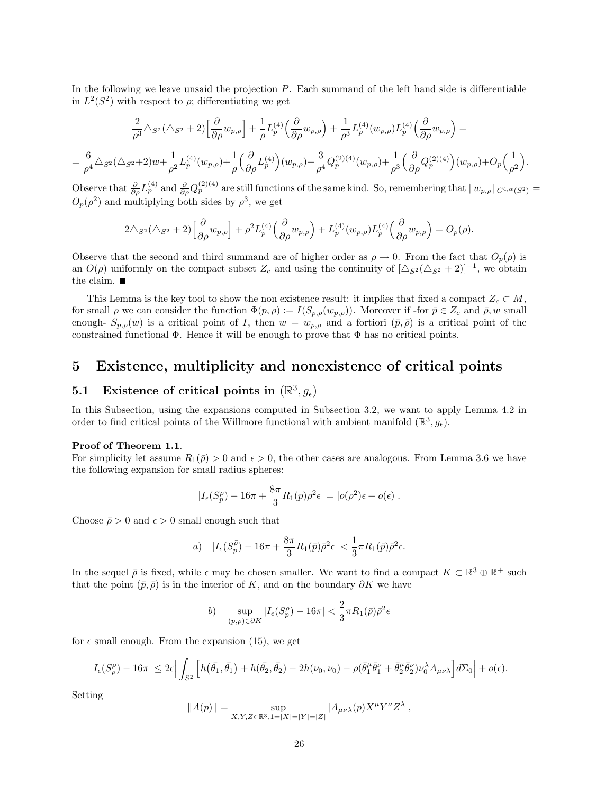In the following we leave unsaid the projection P. Each summand of the left hand side is differentiable in  $L^2(S^2)$  with respect to  $\rho$ ; differentiating we get

$$
\frac{2}{\rho^3}\triangle_{S^2}(\triangle_{S^2}+2)\Big[\frac{\partial}{\partial\rho}w_{p,\rho}\Big]+\frac{1}{\rho}L_{p}^{(4)}\Big(\frac{\partial}{\partial\rho}w_{p,\rho}\Big)+\frac{1}{\rho^3}L_{p}^{(4)}(w_{p,\rho})L_{p}^{(4)}\Big(\frac{\partial}{\partial\rho}w_{p,\rho}\Big)=
$$

$$
= \frac{6}{\rho^4} \triangle_{S^2} (\triangle_{S^2} + 2) w + \frac{1}{\rho^2} L_p^{(4)}(w_{p,\rho}) + \frac{1}{\rho} \left(\frac{\partial}{\partial \rho} L_p^{(4)}\right) (w_{p,\rho}) + \frac{3}{\rho^4} Q_p^{(2)(4)}(w_{p,\rho}) + \frac{1}{\rho^3} \left(\frac{\partial}{\partial \rho} Q_p^{(2)(4)}\right) (w_{p,\rho}) + O_p\left(\frac{1}{\rho^2}\right).
$$

Observe that  $\frac{\partial}{\partial \rho} L_p^{(4)}$  and  $\frac{\partial}{\partial \rho} Q_p^{(2)(4)}$  are still functions of the same kind. So, remembering that  $||w_{p,\rho}||_{C^{4,\alpha}(S^2)} =$  $O_p(\rho^2)$  and multiplying both sides by  $\rho^3$ , we get

$$
2\triangle_{S^2}(\triangle_{S^2}+2)\Big[\frac{\partial}{\partial \rho}w_{p,\rho}\Big]+\rho^2L_p^{(4)}\Big(\frac{\partial}{\partial \rho}w_{p,\rho}\Big)+L_p^{(4)}(w_{p,\rho})L_p^{(4)}\Big(\frac{\partial}{\partial \rho}w_{p,\rho}\Big)=O_p(\rho).
$$

Observe that the second and third summand are of higher order as  $\rho \to 0$ . From the fact that  $O_p(\rho)$  is an  $O(\rho)$  uniformly on the compact subset  $Z_c$  and using the continuity of  $[\Delta_{S^2} (\Delta_{S^2} + 2)]^{-1}$ , we obtain the claim.  $\blacksquare$ 

This Lemma is the key tool to show the non existence result: it implies that fixed a compact  $Z_c \subset M$ , for small  $\rho$  we can consider the function  $\Phi(p, \rho) := I(S_{p,\rho}(w_{p,\rho}))$ . Moreover if -for  $\bar{p} \in Z_c$  and  $\bar{\rho}, w$  small enough-  $S_{\bar{p},\bar{\rho}}(w)$  is a critical point of I, then  $w = w_{\bar{p},\bar{\rho}}$  and a fortiori  $(\bar{p},\bar{\rho})$  is a critical point of the constrained functional  $\Phi$ . Hence it will be enough to prove that  $\Phi$  has no critical points.

## 5 Existence, multiplicity and nonexistence of critical points

## 5.1 Existence of critical points in  $(\mathbb{R}^3, g_{\epsilon})$

In this Subsection, using the expansions computed in Subsection 3.2, we want to apply Lemma 4.2 in order to find critical points of the Willmore functional with ambient manifold  $(\mathbb{R}^3, g_{\epsilon})$ .

### Proof of Theorem 1.1.

For simplicity let assume  $R_1(\bar{p}) > 0$  and  $\epsilon > 0$ , the other cases are analogous. From Lemma 3.6 we have the following expansion for small radius spheres:

$$
|I_{\epsilon}(S^{\rho}_p) - 16\pi + \frac{8\pi}{3}R_1(p)\rho^2\epsilon| = |o(\rho^2)\epsilon + o(\epsilon)|.
$$

Choose  $\bar{\rho} > 0$  and  $\epsilon > 0$  small enough such that

a) 
$$
|I_{\epsilon}(S_{\bar{p}}^{\bar{\rho}}) - 16\pi + \frac{8\pi}{3}R_1(\bar{p})\bar{\rho}^2\epsilon| < \frac{1}{3}\pi R_1(\bar{p})\bar{\rho}^2\epsilon.
$$

In the sequel  $\bar{\rho}$  is fixed, while  $\epsilon$  may be chosen smaller. We want to find a compact  $K \subset \mathbb{R}^3 \oplus \mathbb{R}^+$  such that the point  $(\bar{p}, \bar{\rho})$  is in the interior of K, and on the boundary  $\partial K$  we have

$$
b) \quad \sup_{(p,\rho)\in\partial K} |I_{\epsilon}(S_p^{\rho}) - 16\pi| < \frac{2}{3}\pi R_1(\bar{p})\bar{\rho}^2 \epsilon
$$

for  $\epsilon$  small enough. From the expansion (15), we get

$$
|I_{\epsilon}(S^{\rho}_{p})-16\pi|\leq 2\epsilon\Big|\int_{S^{2}}\Big[h\big(\bar{\theta_{1}},\bar{\theta_{1}}\big)+h(\bar{\theta_{2}},\bar{\theta_{2}})-2h(\nu_{0},\nu_{0})-\rho(\bar{\theta}_{1}^{\mu}\bar{\theta}_{1}^{\nu}+\bar{\theta}_{2}^{\mu}\bar{\theta}_{2}^{\nu})\nu_{0}^{\lambda}A_{\mu\nu\lambda}\Big]d\Sigma_{0}\Big|+o(\epsilon).
$$

Setting

$$
||A(p)|| = \sup_{X,Y,Z \in \mathbb{R}^3, 1 = |X| = |Y| = |Z|} |A_{\mu\nu\lambda}(p)X^{\mu}Y^{\nu}Z^{\lambda}|,
$$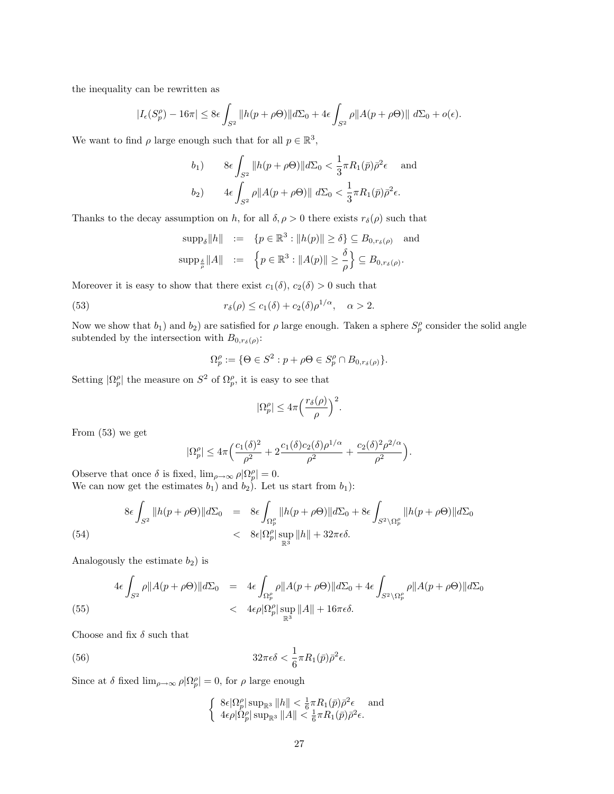the inequality can be rewritten as

$$
|I_{\epsilon}(S_{p}^{\rho})-16\pi|\leq 8\epsilon\int_{S^{2}}\|h(p+\rho\Theta)\|d\Sigma_{0}+4\epsilon\int_{S^{2}}\rho\|A(p+\rho\Theta)\|\ d\Sigma_{0}+o(\epsilon).
$$

We want to find  $\rho$  large enough such that for all  $p \in \mathbb{R}^3$ ,

$$
b_1) \qquad 8\epsilon \int_{S^2} ||h(p+\rho\Theta)||d\Sigma_0 < \frac{1}{3}\pi R_1(\bar{p})\bar{\rho}^2\epsilon \quad \text{and}
$$

$$
b_2) \qquad 4\epsilon \int_{S^2} \rho ||A(p+\rho\Theta)|| d\Sigma_0 < \frac{1}{3}\pi R_1(\bar{p})\bar{\rho}^2\epsilon.
$$

Thanks to the decay assumption on h, for all  $\delta, \rho > 0$  there exists  $r_{\delta}(\rho)$  such that

$$
\begin{array}{rcl}\n\text{supp}_{\delta} \|h\| & := & \left\{p \in \mathbb{R}^3 : \|h(p)\| \geq \delta\right\} \subseteq B_{0,rs(\rho)} \quad \text{and} \\
\text{supp}_{\frac{\delta}{\rho}} \|A\| & := & \left\{p \in \mathbb{R}^3 : \|A(p)\| \geq \frac{\delta}{\rho}\right\} \subseteq B_{0,rs(\rho)}.\n\end{array}
$$

Moreover it is easy to show that there exist  $c_1(\delta)$ ,  $c_2(\delta) > 0$  such that

(53) 
$$
r_{\delta}(\rho) \leq c_1(\delta) + c_2(\delta)\rho^{1/\alpha}, \quad \alpha > 2.
$$

Now we show that  $b_1$ ) and  $b_2$ ) are satisfied for  $\rho$  large enough. Taken a sphere  $S_p^{\rho}$  consider the solid angle subtended by the intersection with  $B_{0,r_\delta(\rho)}$ :

$$
\Omega_p^{\rho} := \{ \Theta \in S^2 : p + \rho \Theta \in S_p^{\rho} \cap B_{0, r_\delta(\rho)} \}.
$$

Setting  $|\Omega_p^{\rho}|$  the measure on  $S^2$  of  $\Omega_p^{\rho}$ , it is easy to see that

$$
|\Omega_p^{\rho}| \leq 4\pi \Big(\frac{r_\delta(\rho)}{\rho}\Big)^2.
$$

From (53) we get

$$
|\Omega_p^{\rho}| \leq 4\pi \Big( \frac{c_1(\delta)^2}{\rho^2} + 2 \frac{c_1(\delta)c_2(\delta)\rho^{1/\alpha}}{\rho^2} + \frac{c_2(\delta)^2\rho^{2/\alpha}}{\rho^2} \Big).
$$

Observe that once  $\delta$  is fixed,  $\lim_{\rho \to \infty} \rho |\Omega_p^{\rho}| = 0$ . We can now get the estimates  $b_1$ ) and  $b_2$ ). Let us start from  $b_1$ ):

$$
8\epsilon \int_{S^2} \|h(p+\rho\Theta)\| d\Sigma_0 = 8\epsilon \int_{\Omega_p^{\rho}} \|h(p+\rho\Theta)\| d\Sigma_0 + 8\epsilon \int_{S^2 \setminus \Omega_p^{\rho}} \|h(p+\rho\Theta)\| d\Sigma_0
$$
  

$$
< 8\epsilon |\Omega_p^{\rho}| \sup_{\mathbb{R}^3} \|h\| + 32\pi\epsilon\delta.
$$

Analogously the estimate  $b_2$ ) is

(55) 
$$
4\epsilon \int_{S^2} \rho \|A(p+\rho\Theta)\| d\Sigma_0 = 4\epsilon \int_{\Omega_p^{\rho}} \rho \|A(p+\rho\Theta)\| d\Sigma_0 + 4\epsilon \int_{S^2 \setminus \Omega_p^{\rho}} \rho \|A(p+\rho\Theta)\| d\Sigma_0
$$

$$
< 4\epsilon \rho |\Omega_p^{\rho}| \sup_{\mathbb{R}^3} \|A\| + 16\pi \epsilon \delta.
$$

Choose and fix  $\delta$  such that

(56) 
$$
32\pi\epsilon\delta < \frac{1}{6}\pi R_1(\bar{p})\bar{\rho}^2\epsilon.
$$

Since at  $\delta$  fixed  $\lim_{\rho \to \infty} \rho |\Omega_p^{\rho}| = 0$ , for  $\rho$  large enough

$$
\begin{cases} 8\epsilon |\Omega_p^{\rho}| \sup_{\mathbb{R}^3} ||h|| < \frac{1}{6}\pi R_1(\bar{p})\bar{\rho}^2 \epsilon \quad \text{and} \\ 4\epsilon \rho |\Omega_p^{\rho}| \sup_{\mathbb{R}^3} ||A|| < \frac{1}{6}\pi R_1(\bar{p})\bar{\rho}^2 \epsilon. \end{cases}
$$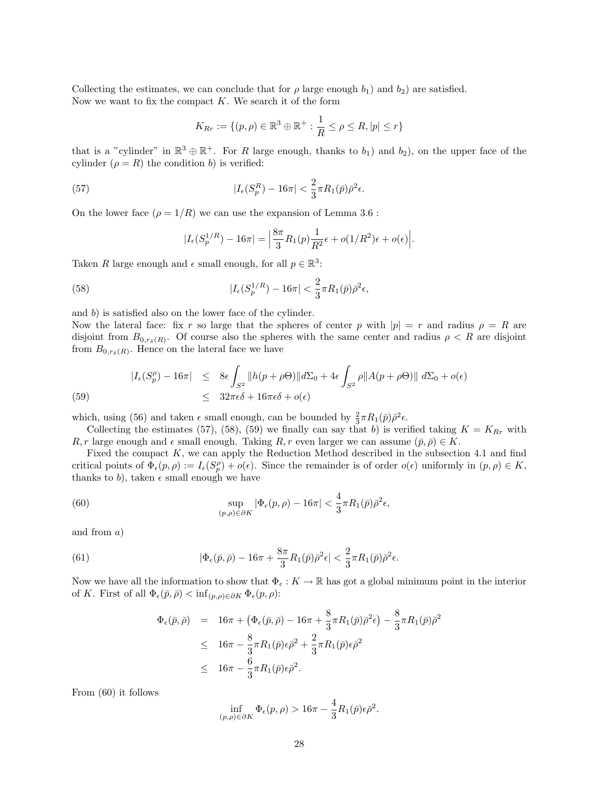Collecting the estimates, we can conclude that for  $\rho$  large enough  $b_1$ ) and  $b_2$ ) are satisfied. Now we want to fix the compact  $K$ . We search it of the form

$$
K_{Rr} := \{ (p,\rho) \in \mathbb{R}^3 \oplus \mathbb{R}^+ : \frac{1}{R} \le \rho \le R, |p| \le r \}
$$

that is a "cylinder" in  $\mathbb{R}^3 \oplus \mathbb{R}^+$ . For R large enough, thanks to  $b_1$ ) and  $b_2$ ), on the upper face of the cylinder  $(\rho = R)$  the condition b) is verified:

(57) 
$$
|I_{\epsilon}(S_p^R) - 16\pi| < \frac{2}{3}\pi R_1(\bar{p})\bar{\rho}^2\epsilon.
$$

On the lower face  $(\rho = 1/R)$  we can use the expansion of Lemma 3.6 :

$$
|I_{\epsilon}(S_p^{1/R}) - 16\pi| = \left|\frac{8\pi}{3}R_1(p)\frac{1}{R^2}\epsilon + o(1/R^2)\epsilon + o(\epsilon)\right|.
$$

Taken R large enough and  $\epsilon$  small enough, for all  $p \in \mathbb{R}^3$ :

(58) 
$$
|I_{\epsilon}(S_p^{1/R}) - 16\pi| < \frac{2}{3}\pi R_1(\bar{p})\bar{\rho}^2\epsilon,
$$

and b) is satisfied also on the lower face of the cylinder.

Now the lateral face: fix r so large that the spheres of center p with  $|p| = r$  and radius  $\rho = R$  are disjoint from  $B_{0,r_\delta(R)}$ . Of course also the spheres with the same center and radius  $\rho < R$  are disjoint from  $B_{0,r\delta(R)}$ . Hence on the lateral face we have

(59) 
$$
|I_{\epsilon}(S_{p}^{\rho}) - 16\pi| \leq 8\epsilon \int_{S^{2}} ||h(p + \rho \Theta)||d\Sigma_{0} + 4\epsilon \int_{S^{2}} \rho ||A(p + \rho \Theta)|| d\Sigma_{0} + o(\epsilon)
$$

$$
\leq 32\pi\epsilon\delta + 16\pi\epsilon\delta + o(\epsilon)
$$

which, using (56) and taken  $\epsilon$  small enough, can be bounded by  $\frac{2}{3}\pi R_1(\bar{p})\bar{\rho}^2\epsilon$ .

Collecting the estimates (57), (58), (59) we finally can say that b) is verified taking  $K = K_{Rr}$  with  $R, r$  large enough and  $\epsilon$  small enough. Taking  $R, r$  even larger we can assume  $(\bar{p}, \bar{\rho}) \in K$ .

Fixed the compact  $K$ , we can apply the Reduction Method described in the subsection 4.1 and find critical points of  $\Phi_{\epsilon}(p,\rho) := I_{\epsilon}(S_p^{\rho}) + o(\epsilon)$ . Since the remainder is of order  $o(\epsilon)$  uniformly in  $(p,\rho) \in K$ , thanks to b), taken  $\epsilon$  small enough we have

(60) 
$$
\sup_{(p,\rho)\in\partial K} |\Phi_{\epsilon}(p,\rho) - 16\pi| < \frac{4}{3}\pi R_1(\bar{p})\bar{\rho}^2\epsilon,
$$

and from a)

(61) 
$$
|\Phi_{\epsilon}(\bar{p},\bar{\rho})-16\pi+\frac{8\pi}{3}R_1(\bar{p})\bar{\rho}^2\epsilon|<\frac{2}{3}\pi R_1(\bar{p})\bar{\rho}^2\epsilon.
$$

Now we have all the information to show that  $\Phi_{\epsilon}: K \to \mathbb{R}$  has got a global minimum point in the interior of K. First of all  $\Phi_{\epsilon}(\bar{p}, \bar{\rho}) < \inf_{(p,\rho) \in \partial K} \Phi_{\epsilon}(p,\rho)$ :

$$
\Phi_{\epsilon}(\bar{p}, \bar{\rho}) = 16\pi + (\Phi_{\epsilon}(\bar{p}, \bar{\rho}) - 16\pi + \frac{8}{3}\pi R_1(\bar{p})\bar{\rho}^2 \epsilon) - \frac{8}{3}\pi R_1(\bar{p})\bar{\rho}^2
$$
  
\n
$$
\leq 16\pi - \frac{8}{3}\pi R_1(\bar{p})\epsilon \bar{\rho}^2 + \frac{2}{3}\pi R_1(\bar{p})\epsilon \bar{\rho}^2
$$
  
\n
$$
\leq 16\pi - \frac{6}{3}\pi R_1(\bar{p})\epsilon \bar{\rho}^2.
$$

From (60) it follows

$$
\inf_{(p,\rho)\in\partial K}\Phi_{\epsilon}(p,\rho) > 16\pi - \frac{4}{3}R_1(\bar{p})\epsilon\bar{\rho}^2.
$$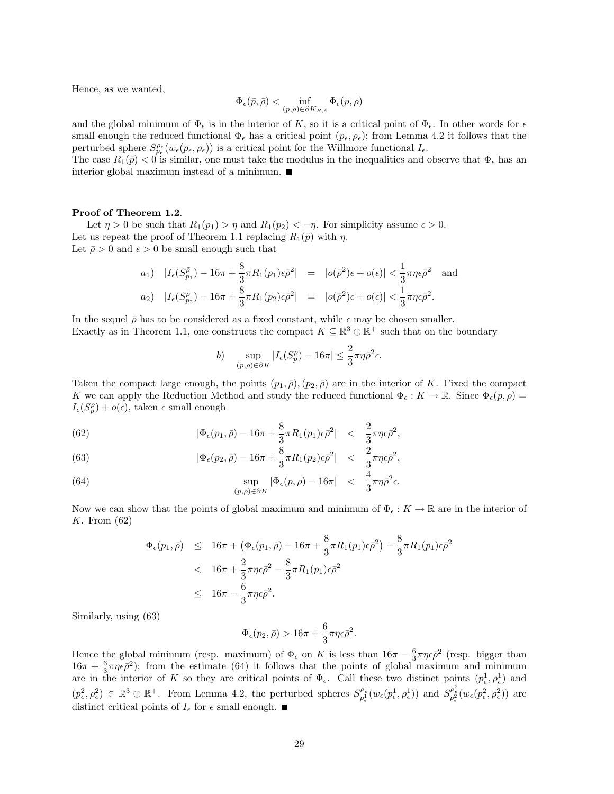Hence, as we wanted,

$$
\Phi_\epsilon(\bar p, \bar \rho) < \inf_{(p,\rho) \in \partial K_{R,\delta}} \Phi_\epsilon(p,\rho)
$$

and the global minimum of  $\Phi_{\epsilon}$  is in the interior of K, so it is a critical point of  $\Phi_{\epsilon}$ . In other words for  $\epsilon$ small enough the reduced functional  $\Phi_{\epsilon}$  has a critical point  $(p_{\epsilon}, \rho_{\epsilon})$ ; from Lemma 4.2 it follows that the perturbed sphere  $S_{p_{\epsilon}}^{\rho_{\epsilon}}(w_{\epsilon}(p_{\epsilon},\rho_{\epsilon}))$  is a critical point for the Willmore functional  $I_{\epsilon}$ .

The case  $R_1(\bar{p}) < 0$  is similar, one must take the modulus in the inequalities and observe that  $\Phi_{\epsilon}$  has an interior global maximum instead of a minimum.

#### Proof of Theorem 1.2.

Let  $\eta > 0$  be such that  $R_1(p_1) > \eta$  and  $R_1(p_2) < -\eta$ . For simplicity assume  $\epsilon > 0$ . Let us repeat the proof of Theorem 1.1 replacing  $R_1(\bar{p})$  with  $\eta$ . Let  $\bar{\rho} > 0$  and  $\epsilon > 0$  be small enough such that

$$
a_1) \quad |I_{\epsilon}(S_{p_1}^{\bar{\rho}}) - 16\pi + \frac{8}{3}\pi R_1(p_1)\epsilon \bar{\rho}^2| = |o(\bar{\rho}^2)\epsilon + o(\epsilon)| < \frac{1}{3}\pi \eta \epsilon \bar{\rho}^2 \quad \text{and}
$$
  

$$
a_2) \quad |I_{\epsilon}(S_{p_2}^{\bar{\rho}}) - 16\pi + \frac{8}{3}\pi R_1(p_2)\epsilon \bar{\rho}^2| = |o(\bar{\rho}^2)\epsilon + o(\epsilon)| < \frac{1}{3}\pi \eta \epsilon \bar{\rho}^2.
$$

In the sequel  $\bar{\rho}$  has to be considered as a fixed constant, while  $\epsilon$  may be chosen smaller. Exactly as in Theorem 1.1, one constructs the compact  $K \subseteq \mathbb{R}^3 \oplus \mathbb{R}^+$  such that on the boundary

$$
b) \quad \sup_{(p,\rho)\in\partial K} |I_{\epsilon}(S_p^{\rho}) - 16\pi| \le \frac{2}{3}\pi\eta\bar{\rho}^2\epsilon.
$$

Taken the compact large enough, the points  $(p_1, \bar{p}), (p_2, \bar{p})$  are in the interior of K. Fixed the compact K we can apply the Reduction Method and study the reduced functional  $\Phi_{\epsilon}: K \to \mathbb{R}$ . Since  $\Phi_{\epsilon}(p, \rho)$  =  $I_{\epsilon}(S_p^{\rho}) + o(\epsilon)$ , taken  $\epsilon$  small enough

(62) 
$$
|\Phi_{\epsilon}(p_1,\bar{\rho}) - 16\pi + \frac{8}{3}\pi R_1(p_1)\epsilon \bar{\rho}^2| < \frac{2}{3}\pi \eta \epsilon \bar{\rho}^2,
$$

(63) 
$$
|\Phi_{\epsilon}(p_2,\bar{\rho}) - 16\pi + \frac{8}{3}\pi R_1(p_2)\epsilon \bar{\rho}^2| < \frac{2}{3}\pi \eta \epsilon \bar{\rho}^2,
$$

(64) 
$$
\sup_{(p,\rho)\in\partial K} |\Phi_{\epsilon}(p,\rho) - 16\pi| < \frac{4}{3}\pi\eta\bar{\rho}^{2}\epsilon.
$$

Now we can show that the points of global maximum and minimum of  $\Phi_{\epsilon}: K \to \mathbb{R}$  are in the interior of K. From (62)

$$
\Phi_{\epsilon}(p_1, \bar{\rho}) \leq 16\pi + \left(\Phi_{\epsilon}(p_1, \bar{\rho}) - 16\pi + \frac{8}{3}\pi R_1(p_1)\epsilon \bar{\rho}^2\right) - \frac{8}{3}\pi R_1(p_1)\epsilon \bar{\rho}^2
$$
  

$$
< 16\pi + \frac{2}{3}\pi \eta \epsilon \bar{\rho}^2 - \frac{8}{3}\pi R_1(p_1)\epsilon \bar{\rho}^2
$$
  

$$
\leq 16\pi - \frac{6}{3}\pi \eta \epsilon \bar{\rho}^2.
$$

Similarly, using (63)

$$
\Phi_{\epsilon}(p_2,\bar{\rho}) > 16\pi + \frac{6}{3}\pi\eta\epsilon\bar{\rho}^2.
$$

Hence the global minimum (resp. maximum) of  $\Phi_{\epsilon}$  on K is less than  $16\pi - \frac{6}{3}\pi\eta\epsilon\bar{\rho}^2$  (resp. bigger than  $16\pi + \frac{6}{3}\pi\eta\epsilon\bar{\rho}^2$ ; from the estimate (64) it follows that the points of global maximum and minimum are in the interior of K so they are critical points of  $\Phi_{\epsilon}$ . Call these two distinct points  $(p_{\epsilon}^1, \rho_{\epsilon}^1)$  and  $(p_{\epsilon}^2, \rho_{\epsilon}^2) \in \mathbb{R}^3 \oplus \mathbb{R}^+$ . From Lemma 4.2, the perturbed spheres  $S_{p_{\epsilon}^1}^{\rho_{\epsilon}^1}(w_{\epsilon}(p_{\epsilon}^1, \rho_{\epsilon}^1))$  and  $S_{p_{\epsilon}^2}^{\rho_{\epsilon}^2}(w_{\epsilon}(p_{\epsilon}^2, \rho_{\epsilon}^2))$  are distinct critical points of  $I_{\epsilon}$  for  $\epsilon$  small enough.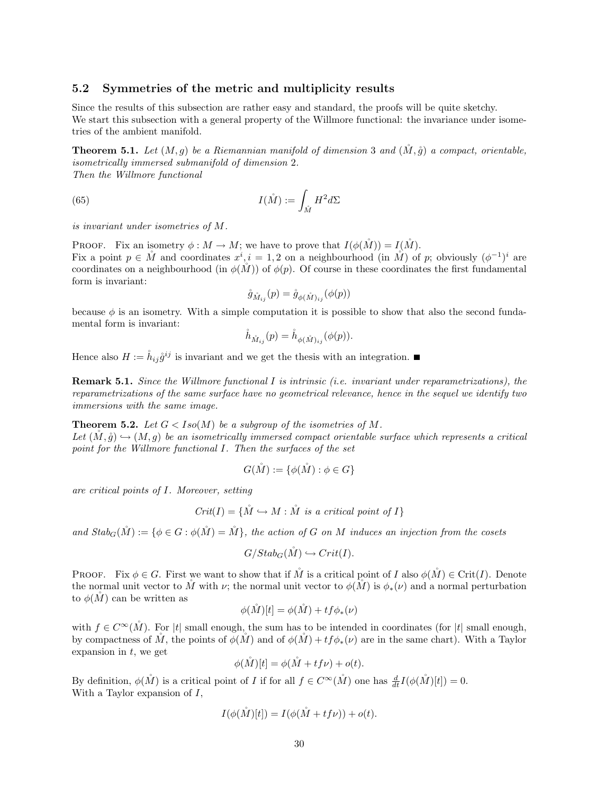### 5.2 Symmetries of the metric and multiplicity results

Since the results of this subsection are rather easy and standard, the proofs will be quite sketchy. We start this subsection with a general property of the Willmore functional: the invariance under isometries of the ambient manifold.

**Theorem 5.1.** Let  $(M, q)$  be a Riemannian manifold of dimension 3 and  $(M, \mathring{q})$  a compact, orientable, isometrically immersed submanifold of dimension 2. Then the Willmore functional

(65) 
$$
I(\mathring{M}) := \int_{\mathring{M}} H^2 d\Sigma
$$

is invariant under isometries of M.

**PROOF.** Fix an isometry  $\phi : M \to M$ ; we have to prove that  $I(\phi(M)) = I(M)$ . Fix a point  $p \in \mathring{M}$  and coordinates  $x^i, i = 1, 2$  on a neighbourhood (in  $\mathring{M}$ ) of p; obviously  $(\phi^{-1})^i$  are coordinates on a neighbourhood (in  $\phi(M)$ ) of  $\phi(p)$ . Of course in these coordinates the first fundamental form is invariant:

$$
\mathring{g}_{\mathring{M}_{ij}}(p)=\mathring{g}_{\phi(\mathring{M})_{ij}}(\phi(p))
$$

because  $\phi$  is an isometry. With a simple computation it is possible to show that also the second fundamental form is invariant:

$$
\mathring{h}_{\mathring{M}_{ij}}(p) = \mathring{h}_{\phi(\mathring{M})_{ij}}(\phi(p)).
$$

Hence also  $H := \mathring{h}_{ij} \mathring{g}^{ij}$  is invariant and we get the thesis with an integration.

**Remark 5.1.** Since the Willmore functional I is intrinsic (i.e. invariant under reparametrizations), the reparametrizations of the same surface have no geometrical relevance, hence in the sequel we identify two immersions with the same image.

**Theorem 5.2.** Let  $G < Iso(M)$  be a subgroup of the isometries of M. Let  $(M, \mathring{q}) \hookrightarrow (M, q)$  be an isometrically immersed compact orientable surface which represents a critical point for the Willmore functional I. Then the surfaces of the set

$$
G(\mathring{M}) := \{ \phi(\mathring{M}) : \phi \in G \}
$$

are critical points of I. Moreover, setting

$$
Crit(I) = \{ \stackrel{\circ}{M} \hookrightarrow M : \stackrel{\circ}{M} \text{ is a critical point of } I \}
$$

and  $Stab_G(\mathring{M}) := \{ \phi \in G : \phi(\mathring{M}) = \mathring{M} \}$ , the action of G on M induces an injection from the cosets

$$
G/Stab_G(\mathring{M}) \hookrightarrow Crit(I).
$$

**PROOF.** Fix  $\phi \in G$ . First we want to show that if M is a critical point of I also  $\phi(M) \in \text{Crit}(I)$ . Denote the normal unit vector to M with  $\nu$ ; the normal unit vector to  $\phi(M)$  is  $\phi_*(\nu)$  and a normal perturbation to  $\phi(M)$  can be written as

$$
\phi(\mathring{M})[t] = \phi(\mathring{M}) + tf\phi_*(\nu)
$$

with  $f \in C^{\infty}(\check{M})$ . For |t| small enough, the sum has to be intended in coordinates (for |t| small enough, by compactness of  $\check{M}$ , the points of  $\phi(\check{M})$  and of  $\phi(\check{M}) + tf\phi_*(\nu)$  are in the same chart). With a Taylor expansion in  $t$ , we get

$$
\phi(\mathring{M})[t] = \phi(\mathring{M} + tf\nu) + o(t).
$$

By definition,  $\phi(\stackrel{\circ}{M})$  is a critical point of *I* if for all  $f \in C^{\infty}(\stackrel{\circ}{M})$  one has  $\frac{d}{dt}I(\phi(\stackrel{\circ}{M})[t]) = 0$ . With a Taylor expansion of  $I$ ,

$$
I(\phi(\mathring{M})[t]) = I(\phi(\mathring{M} + tf\nu)) + o(t).
$$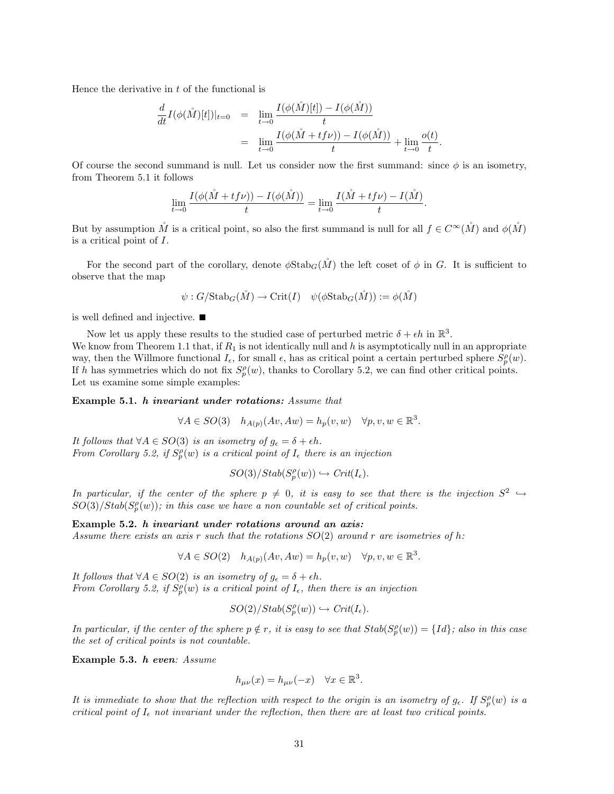Hence the derivative in  $t$  of the functional is

$$
\frac{d}{dt}I(\phi(\mathring{M})[t])|_{t=0} = \lim_{t \to 0} \frac{I(\phi(\mathring{M})[t]) - I(\phi(\mathring{M}))}{t} \n= \lim_{t \to 0} \frac{I(\phi(\mathring{M} + t f \nu)) - I(\phi(\mathring{M}))}{t} + \lim_{t \to 0} \frac{o(t)}{t}.
$$

Of course the second summand is null. Let us consider now the first summand: since  $\phi$  is an isometry, from Theorem 5.1 it follows

$$
\lim_{t \to 0} \frac{I(\phi(\mathring{M} + tf\nu)) - I(\phi(\mathring{M}))}{t} = \lim_{t \to 0} \frac{I(\mathring{M} + tf\nu) - I(\mathring{M})}{t}.
$$

But by assumption M<sup>'</sup> is a critical point, so also the first summand is null for all  $f \in C^{\infty}(M)$  and  $\phi(M)$ is a critical point of I.

For the second part of the corollary, denote  $\phi$ Stab<sub>G</sub>(M<sup>n</sup>) the left coset of  $\phi$  in G. It is sufficient to observe that the map

$$
\psi: G/{\rm Stab}_G(\mathring{M})\to {\rm Crit}(I)\quad \psi(\phi{\rm Stab}_G(\mathring{M})):=\phi(\mathring{M})
$$

is well defined and injective.

Now let us apply these results to the studied case of perturbed metric  $\delta + \epsilon h$  in  $\mathbb{R}^3$ . We know from Theorem 1.1 that, if  $R_1$  is not identically null and h is asymptotically null in an appropriate way, then the Willmore functional  $I_{\epsilon}$ , for small  $\epsilon$ , has as critical point a certain perturbed sphere  $S_p^{\rho}(w)$ . If h has symmetries which do not fix  $S_p^{\rho}(w)$ , thanks to Corollary 5.2, we can find other critical points. Let us examine some simple examples:

Example 5.1. h invariant under rotations: Assume that

$$
\forall A \in SO(3) \quad h_{A(p)}(Av, Aw) = h_p(v, w) \quad \forall p, v, w \in \mathbb{R}^3.
$$

It follows that  $\forall A \in SO(3)$  is an isometry of  $g_{\epsilon} = \delta + \epsilon h$ . From Corollary 5.2, if  $S_p^{\rho}(w)$  is a critical point of  $I_{\epsilon}$  there is an injection

$$
SO(3)/Stab(S_p^{\rho}(w)) \hookrightarrow Crit(I_{\epsilon}).
$$

In particular, if the center of the sphere  $p \neq 0$ , it is easy to see that there is the injection  $S^2 \hookrightarrow$  $SO(3)/Stab(S_p^{\rho}(w))$ ; in this case we have a non countable set of critical points.

Example 5.2. h invariant under rotations around an axis: Assume there exists an axis r such that the rotations  $SO(2)$  around r are isometries of h:

$$
C = \frac{1}{2}
$$

$$
\forall A \in SO(2) \quad h_{A(p)}(Av, Aw) = h_p(v, w) \quad \forall p, v, w \in \mathbb{R}^3.
$$

It follows that  $\forall A \in SO(2)$  is an isometry of  $g_{\epsilon} = \delta + \epsilon h$ . From Corollary 5.2, if  $S_p^{\rho}(w)$  is a critical point of  $I_{\epsilon}$ , then there is an injection

$$
SO(2)/Stab(S_p^{\rho}(w)) \hookrightarrow Crit(I_{\epsilon}).
$$

In particular, if the center of the sphere  $p \notin r$ , it is easy to see that  $Stab(S_p^{\rho}(w)) = \{Id\}$ ; also in this case the set of critical points is not countable.

Example 5.3. h even: Assume

$$
h_{\mu\nu}(x) = h_{\mu\nu}(-x) \quad \forall x \in \mathbb{R}^3.
$$

It is immediate to show that the reflection with respect to the origin is an isometry of  $g_{\epsilon}$ . If  $S_p^{\rho}(w)$  is a critical point of  $I_{\epsilon}$  not invariant under the reflection, then there are at least two critical points.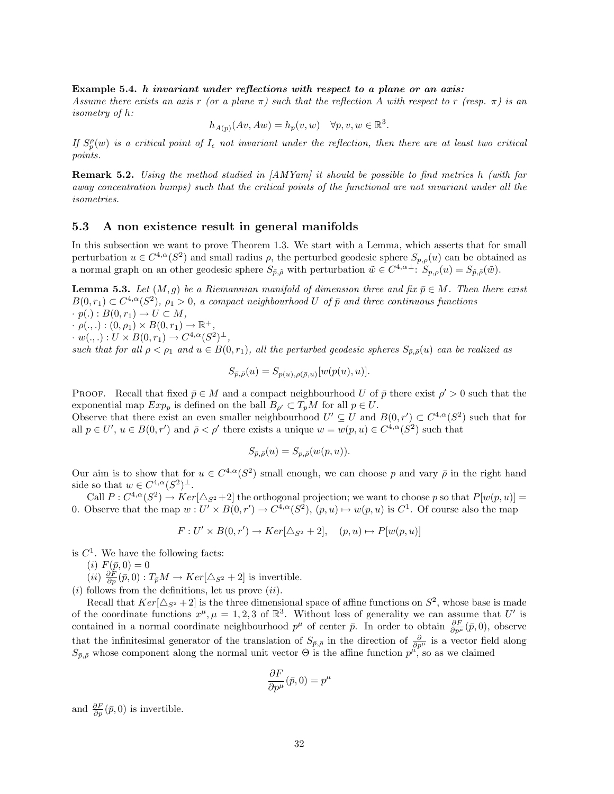### Example 5.4. h invariant under reflections with respect to a plane or an axis:

Assume there exists an axis r (or a plane  $\pi$ ) such that the reflection A with respect to r (resp.  $\pi$ ) is an isometry of h:

$$
h_{A(p)}(Av, Aw) = h_p(v, w) \quad \forall p, v, w \in \mathbb{R}^3.
$$

If  $S_p^{\rho}(w)$  is a critical point of  $I_{\epsilon}$  not invariant under the reflection, then there are at least two critical points.

**Remark 5.2.** Using the method studied in  $[AMYam]$  it should be possible to find metrics h (with far away concentration bumps) such that the critical points of the functional are not invariant under all the isometries.

### 5.3 A non existence result in general manifolds

In this subsection we want to prove Theorem 1.3. We start with a Lemma, which asserts that for small perturbation  $u \in C^{4,\alpha}(S^2)$  and small radius  $\rho$ , the perturbed geodesic sphere  $S_{p,\rho}(u)$  can be obtained as a normal graph on an other geodesic sphere  $S_{\tilde{p},\tilde{\rho}}$  with perturbation  $\tilde{w} \in C^{4,\alpha \perp}$ :  $S_{p,\rho}(u) = S_{\tilde{p},\tilde{\rho}}(\tilde{w})$ .

**Lemma 5.3.** Let  $(M, g)$  be a Riemannian manifold of dimension three and fix  $\bar{p} \in M$ . Then there exist  $B(0,r_1) \subset C^{4,\alpha}(S^2)$ ,  $\rho_1 > 0$ , a compact neighbourhood U of  $\bar{p}$  and three continuous functions  $\cdot p(.) : B(0,r_1) \rightarrow U \subset M,$ 

 $\cdot \rho(.,.): (0,\rho_1) \times B(0,r_1) \to \mathbb{R}^+,$ 

 $\cdot w(.,.): U \times B(0,r_1) \to C^{4,\alpha}(S^2)^{\perp},$ 

such that for all  $\rho < \rho_1$  and  $u \in B(0,r_1)$ , all the perturbed geodesic spheres  $S_{\bar{p},\bar{\rho}}(u)$  can be realized as

$$
S_{\bar{p},\bar{\rho}}(u) = S_{p(u),\rho(\bar{\rho},u)}[w(p(u),u)].
$$

**PROOF.** Recall that fixed  $\bar{p} \in M$  and a compact neighbourhood U of  $\bar{p}$  there exist  $\rho' > 0$  such that the exponential map  $Exp_p$  is defined on the ball  $B_{\rho'} \subset T_pM$  for all  $p \in U$ .

Observe that there exist an even smaller neighbourhood  $U' \subseteq U$  and  $B(0,r') \subset C^{4,\alpha}(S^2)$  such that for all  $p \in U'$ ,  $u \in B(0, r')$  and  $\bar{\rho} < \rho'$  there exists a unique  $w = w(p, u) \in C^{4,\alpha}(S^2)$  such that

$$
S_{\bar{p},\bar{\rho}}(u) = S_{p,\bar{\rho}}(w(p,u)).
$$

Our aim is to show that for  $u \in C^{4,\alpha}(S^2)$  small enough, we can choose p and vary  $\bar{\rho}$  in the right hand side so that  $w \in C^{4,\alpha}(S^2)^{\perp}$ .

Call  $P: C^{4,\alpha}(S^2) \to Ker[\Delta_{S^2}+2]$  the orthogonal projection; we want to choose p so that  $P[w(p,u)] =$ 0. Observe that the map  $w: U' \times B(0,r') \to C^{4,\alpha}(S^2), (p,u) \mapsto w(p,u)$  is  $C^1$ . Of course also the map

$$
F: U' \times B(0, r') \to Ker[\triangle_{S^2} + 2], \quad (p, u) \mapsto P[w(p, u)]
$$

is  $C<sup>1</sup>$ . We have the following facts:

(*i*)  $F(\bar{p}, 0) = 0$ 

 $(ii) \frac{\partial F}{\partial p}(\bar{p},0) : T_{\bar{p}}M \to Ker[\triangle_{S^2} + 2]$  is invertible.

 $(i)$  follows from the definitions, let us prove  $(ii)$ .

Recall that  $Ker[\Delta_{S^2}+2]$  is the three dimensional space of affine functions on  $S^2$ , whose base is made of the coordinate functions  $x^{\mu}, \mu = 1, 2, 3$  of  $\mathbb{R}^{3}$ . Without loss of generality we can assume that U' is contained in a normal coordinate neighbourhood  $p^{\mu}$  of center  $\bar{p}$ . In order to obtain  $\frac{\partial F}{\partial p^{\mu}}(\bar{p},0)$ , observe that the infinitesimal generator of the translation of  $S_{\bar{p}, \bar{\rho}}$  in the direction of  $\frac{\partial}{\partial p^{\mu}}$  is a vector field along  $S_{\bar{p},\bar{\rho}}$  whose component along the normal unit vector  $\Theta$  is the affine function  $p^{\mu}$ , so as we claimed

$$
\frac{\partial F}{\partial p^\mu}(\bar{p},0)=p^\mu
$$

and  $\frac{\partial F}{\partial p}(\bar{p},0)$  is invertible.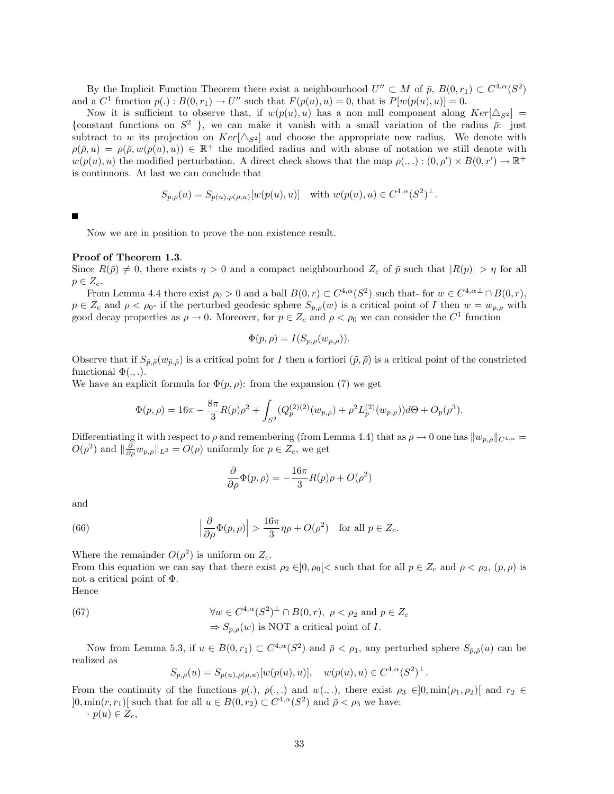By the Implicit Function Theorem there exist a neighbourhood  $U'' \subset M$  of  $\bar{p}$ ,  $B(0,r_1) \subset C^{4,\alpha}(S^2)$ and a  $C^1$  function  $p(.) : B(0,r_1) \to U''$  such that  $F(p(u), u) = 0$ , that is  $P[w(p(u), u)] = 0$ .

Now it is sufficient to observe that, if  $w(p(u), u)$  has a non null component along  $Ker[\Delta_{S^2}] =$ {constant functions on  $S^2$ }, we can make it vanish with a small variation of the radius  $\bar{\rho}$ : just subtract to w its projection on  $Ker[\Delta_{S^2}]$  and choose the appropriate new radius. We denote with  $\rho(\bar{\rho}, u) = \rho(\bar{\rho}, w(p(u), u)) \in \mathbb{R}^+$  the modified radius and with abuse of notation we still denote with  $w(p(u), u)$  the modified perturbation. A direct check shows that the map  $\rho(.,.): (0, \rho') \times B(0, r') \to \mathbb{R}^+$ is continuous. At last we can conclude that

$$
S_{\bar{p},\bar{\rho}}(u) = S_{p(u),\rho(\bar{\rho},u)}[w(p(u),u)] \text{ with } w(p(u),u) \in C^{4,\alpha}(S^2)^{\perp}.
$$

Now we are in position to prove the non existence result.

### Proof of Theorem 1.3.

Since  $R(\bar{p}) \neq 0$ , there exists  $\eta > 0$  and a compact neighbourhood  $Z_c$  of  $\bar{p}$  such that  $|R(p)| > \eta$  for all  $p \in Z_c$ .

From Lemma 4.4 there exist  $\rho_0 > 0$  and a ball  $B(0,r) \subset C^{4,\alpha}(S^2)$  such that- for  $w \in C^{4,\alpha \perp} \cap B(0,r)$ ,  $p \in Z_c$  and  $\rho < \rho_0$ - if the perturbed geodesic sphere  $S_{p,\rho}(w)$  is a critical point of I then  $w = w_{p,\rho}$  with good decay properties as  $\rho \to 0$ . Moreover, for  $p \in Z_c$  and  $\rho < \rho_0$  we can consider the  $C^1$  function

$$
\Phi(p,\rho) = I(S_{p,\rho}(w_{p,\rho})).
$$

Observe that if  $S_{\tilde{p},\tilde{\rho}}(w_{\tilde{p},\tilde{\rho}})$  is a critical point for I then a fortiori  $(\tilde{p},\tilde{\rho})$  is a critical point of the constricted functional  $\Phi(.,.)$ .

We have an explicit formula for  $\Phi(p, \rho)$ : from the expansion (7) we get

$$
\Phi(p,\rho) = 16\pi - \frac{8\pi}{3}R(p)\rho^2 + \int_{S^2} (Q_p^{(2)}(w_{p,\rho}) + \rho^2 L_p^{(2)}(w_{p,\rho}))d\Theta + O_p(\rho^3).
$$

Differentiating it with respect to  $\rho$  and remembering (from Lemma 4.4) that as  $\rho \to 0$  one has  $||w_{p,\rho}||_{C^{4,\alpha}} =$  $O(\rho^2)$  and  $\|\frac{\partial}{\partial \rho} w_{p,\rho}\|_{L^2} = O(\rho)$  uniformly for  $p \in Z_c$ , we get

$$
\frac{\partial}{\partial \rho} \Phi(p, \rho) = -\frac{16\pi}{3} R(p)\rho + O(\rho^2)
$$

and

(66) 
$$
\left|\frac{\partial}{\partial \rho}\Phi(p,\rho)\right| > \frac{16\pi}{3}\eta\rho + O(\rho^2) \text{ for all } p \in Z_c.
$$

Where the remainder  $O(\rho^2)$  is uniform on  $Z_c$ .

From this equation we can say that there exist  $\rho_2 \in ]0, \rho_0[<$  such that for all  $p \in Z_c$  and  $\rho < \rho_2$ ,  $(p, \rho)$  is not a critical point of Φ.

Hence

(67) 
$$
\forall w \in C^{4,\alpha}(S^2)^{\perp} \cap B(0,r), \ \rho < \rho_2 \text{ and } p \in Z_c
$$

$$
\Rightarrow S_{p,\rho}(w) \text{ is NOT a critical point of } I.
$$

Now from Lemma 5.3, if  $u \in B(0,r_1) \subset C^{4,\alpha}(S^2)$  and  $\bar{\rho} < \rho_1$ , any perturbed sphere  $S_{\bar{p},\bar{\rho}}(u)$  can be realized as

$$
S_{\bar{p},\bar{\rho}}(u) = S_{p(u),\rho(\bar{\rho},u)}[w(p(u),u)], \quad w(p(u),u) \in C^{4,\alpha}(S^2)^{\perp}.
$$

From the continuity of the functions  $p(.)$ ,  $\rho(.,.)$  and  $w(.,.)$ , there exist  $\rho_3 \in ]0, \min(\rho_1, \rho_2)]$  and  $r_2 \in$  $]0, \min(r, r_1)[$  such that for all  $u \in B(0, r_2) \subset C^{4,\alpha}(S^2)$  and  $\bar{\rho} < \rho_3$  we have:

 $\cdot p(u) \in Z_c$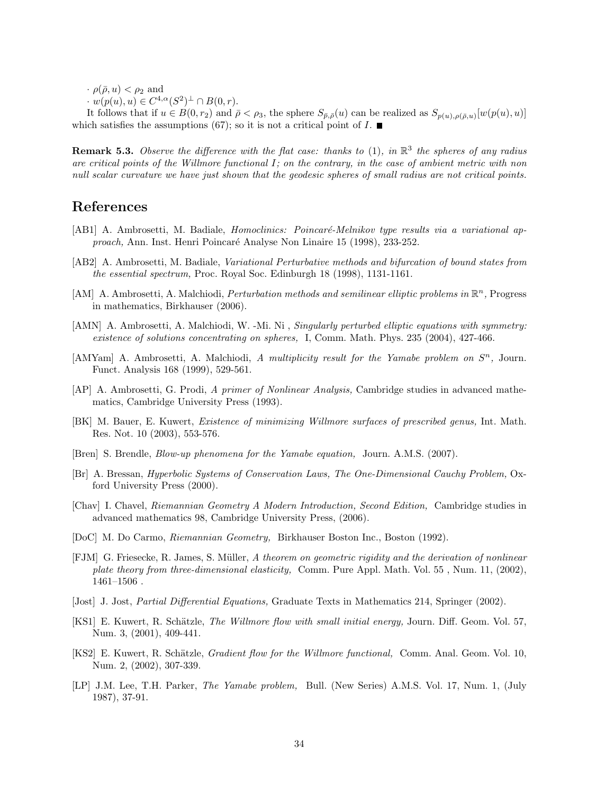$\cdot$   $\rho(\bar{\rho}, u) < \rho_2$  and

 $\cdot w(p(u), u) \in C^{4,\alpha}(S^2)^\perp \cap B(0,r).$ 

It follows that if  $u \in B(0,r_2)$  and  $\bar{\rho} < \rho_3$ , the sphere  $S_{\bar{p},\bar{\rho}}(u)$  can be realized as  $S_{p(u),\rho(\bar{\rho},u)}[w(p(u),u)]$ which satisfies the assumptions (67); so it is not a critical point of  $I$ .

**Remark 5.3.** Observe the difference with the flat case: thanks to (1), in  $\mathbb{R}^3$  the spheres of any radius are critical points of the Willmore functional  $I$ ; on the contrary, in the case of ambient metric with non null scalar curvature we have just shown that the geodesic spheres of small radius are not critical points.

## References

- [AB1] A. Ambrosetti, M. Badiale, *Homoclinics: Poincaré-Melnikov type results via a variational ap*proach, Ann. Inst. Henri Poincaré Analyse Non Linaire 15 (1998), 233-252.
- [AB2] A. Ambrosetti, M. Badiale, Variational Perturbative methods and bifurcation of bound states from the essential spectrum, Proc. Royal Soc. Edinburgh 18 (1998), 1131-1161.
- [AM] A. Ambrosetti, A. Malchiodi, *Perturbation methods and semilinear elliptic problems in*  $\mathbb{R}^n$ , Progress in mathematics, Birkhauser (2006).
- [AMN] A. Ambrosetti, A. Malchiodi, W. -Mi. Ni, Singularly perturbed elliptic equations with symmetry: existence of solutions concentrating on spheres, I, Comm. Math. Phys. 235 (2004), 427-466.
- [AMYam] A. Ambrosetti, A. Malchiodi, A multiplicity result for the Yamabe problem on  $S<sup>n</sup>$ , Journ. Funct. Analysis 168 (1999), 529-561.
- [AP] A. Ambrosetti, G. Prodi, A primer of Nonlinear Analysis, Cambridge studies in advanced mathematics, Cambridge University Press (1993).
- [BK] M. Bauer, E. Kuwert, Existence of minimizing Willmore surfaces of prescribed genus, Int. Math. Res. Not. 10 (2003), 553-576.
- [Bren] S. Brendle, Blow-up phenomena for the Yamabe equation, Journ. A.M.S. (2007).
- [Br] A. Bressan, Hyperbolic Systems of Conservation Laws, The One-Dimensional Cauchy Problem, Oxford University Press (2000).
- [Chav] I. Chavel, Riemannian Geometry A Modern Introduction, Second Edition, Cambridge studies in advanced mathematics 98, Cambridge University Press, (2006).
- [DoC] M. Do Carmo, Riemannian Geometry, Birkhauser Boston Inc., Boston (1992).
- [FJM] G. Friesecke, R. James, S. Müller, A theorem on geometric rigidity and the derivation of nonlinear plate theory from three-dimensional elasticity, Comm. Pure Appl. Math. Vol. 55, Num. 11, (2002), 1461–1506 .
- [Jost] J. Jost, Partial Differential Equations, Graduate Texts in Mathematics 214, Springer (2002).
- [KS1] E. Kuwert, R. Schätzle, *The Willmore flow with small initial energy*, Journ. Diff. Geom. Vol. 57, Num. 3, (2001), 409-441.
- [KS2] E. Kuwert, R. Schätzle, *Gradient flow for the Willmore functional*, Comm. Anal. Geom. Vol. 10, Num. 2, (2002), 307-339.
- [LP] J.M. Lee, T.H. Parker, The Yamabe problem, Bull. (New Series) A.M.S. Vol. 17, Num. 1, (July 1987), 37-91.